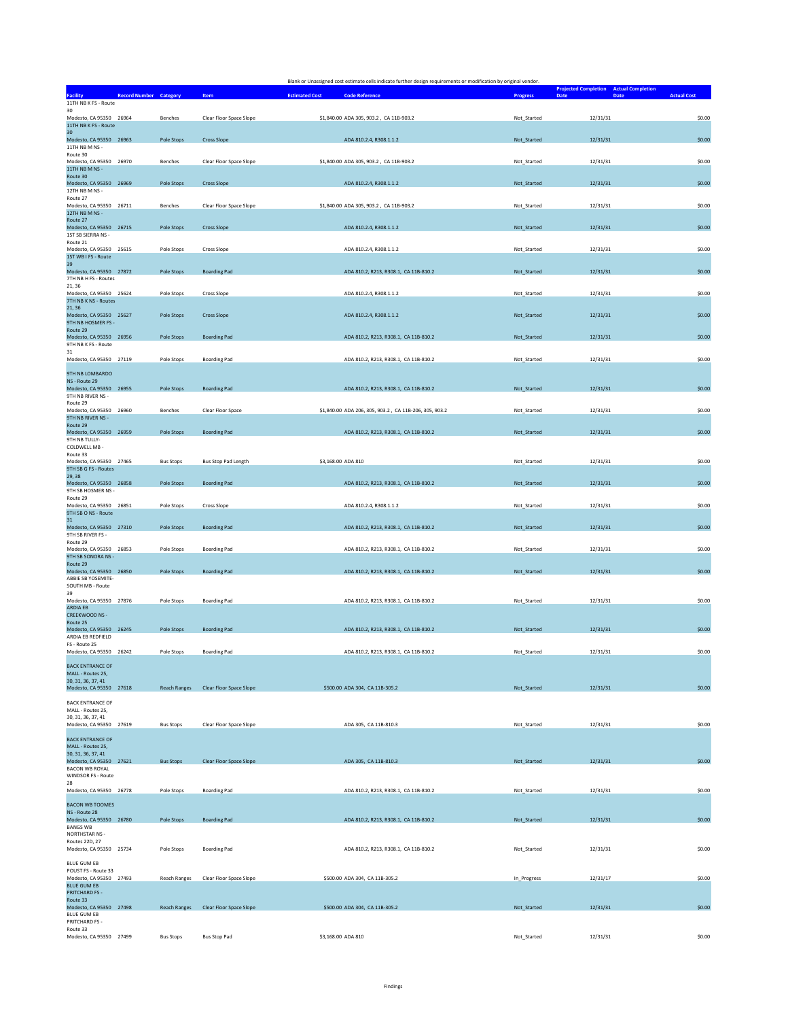|                                                 |                               |                                      | Blank or Unassigned cost estimate cells indicate further design requirements or modification by original vendor. |                 |                                                               |                    |
|-------------------------------------------------|-------------------------------|--------------------------------------|------------------------------------------------------------------------------------------------------------------|-----------------|---------------------------------------------------------------|--------------------|
|                                                 | <b>Record Number Category</b> | Item                                 | <b>Estimated Cost</b><br><b>Code Reference</b>                                                                   | <b>Progress</b> | <b>Projected Completion</b> Actual Completion<br>Date<br>Date | <b>Actual Cost</b> |
| 11TH NB K FS - Route<br>30                      |                               |                                      |                                                                                                                  |                 |                                                               |                    |
| Modesto, CA 95350 26964<br>11TH NB K FS - Route | Benches                       | Clear Floor Space Slope              | \$1,840.00 ADA 305, 903.2, CA 11B-903.2                                                                          | Not_Started     | 12/31/31                                                      | \$0.00             |
| 30                                              |                               |                                      |                                                                                                                  |                 |                                                               |                    |
| Modesto, CA 95350 26963<br>11TH NR M NS -       | Pole Stops                    | <b>Cross Slope</b>                   | ADA 810.2.4, R308.1.1.2                                                                                          | Not Started     | 12/31/31                                                      | \$0.00             |
| Route 30<br>Modesto, CA 95350 26970             | Benches                       | Clear Floor Space Slope              | \$1,840.00 ADA 305, 903.2, CA 11B-903.2                                                                          | Not_Started     | 12/31/31                                                      | \$0.00             |
| 11TH NB M NS -<br>Route 30                      |                               |                                      |                                                                                                                  |                 |                                                               |                    |
| Modesto, CA 95350 26969                         | Pole Stops                    | <b>Cross Slope</b>                   | ADA 810.2.4, R308.1.1.2                                                                                          | Not_Started     | 12/31/31                                                      | \$0.00             |
| 12TH NB M NS -<br>Route 27                      |                               |                                      |                                                                                                                  |                 |                                                               |                    |
| Modesto, CA 95350 26711<br>12TH NB M NS -       | Benches                       | Clear Floor Space Slope              | \$1,840.00 ADA 305, 903.2, CA 11B-903.2                                                                          | Not_Started     | 12/31/31                                                      | \$0.00             |
| Route 27<br>Modesto, CA 95350 26715             | Pole Stops                    | <b>Cross Slope</b>                   | ADA 810.2.4, R308.1.1.2                                                                                          | Not_Started     | 12/31/31                                                      | \$0.00             |
| 1ST SB SIERRA NS -                              |                               |                                      |                                                                                                                  |                 |                                                               |                    |
| Route 21<br>Modesto, CA 95350 25615             | Pole Stops                    | <b>Cross Slope</b>                   | ADA 810.2.4, R308.1.1.2                                                                                          | Not Started     | 12/31/31                                                      | \$0.00             |
| 1ST WB I FS - Route<br>39                       |                               |                                      |                                                                                                                  |                 |                                                               |                    |
| Modesto, CA 95350 27872<br>7TH NB H FS - Routes | Pole Stops                    | <b>Boarding Pad</b>                  | ADA 810.2, R213, R308.1, CA 11B-810.2                                                                            | Not_Started     | 12/31/31                                                      | \$0.00             |
| 21.36<br>Modesto, CA 95350 25624                | Pole Stops                    | Cross Slope                          | ADA 810.2.4, R308.1.1.2                                                                                          | Not_Started     | 12/31/31                                                      | \$0.00             |
| 7TH NB K NS - Routes                            |                               |                                      |                                                                                                                  |                 |                                                               |                    |
| 21, 36<br>Modesto, CA 95350 25627               | Pole Stops                    | <b>Cross Slope</b>                   | ADA 810.2.4, R308.1.1.2                                                                                          | Not_Started     | 12/31/31                                                      | \$0.00             |
| 9TH NB HOSMER FS -<br>Route 29                  |                               |                                      |                                                                                                                  |                 |                                                               |                    |
| Modesto, CA 95350 26956<br>9TH NB K FS - Route  | Pole Stops                    | <b>Boarding Pad</b>                  | ADA 810.2, R213, R308.1, CA 11B-810.2                                                                            | Not_Started     | 12/31/31                                                      | \$0.00             |
| 31                                              |                               |                                      |                                                                                                                  |                 |                                                               |                    |
| Modesto, CA 95350 27119                         | Pole Stops                    | <b>Boarding Pad</b>                  | ADA 810.2, R213, R308.1, CA 11B-810.2                                                                            | Not Started     | 12/31/31                                                      | \$0.00             |
| 9TH NB LOMBARDO<br>NS - Route 29                |                               |                                      |                                                                                                                  |                 |                                                               |                    |
| Modesto, CA 95350 26955<br>9TH NB RIVER NS -    | Pole Stops                    | <b>Boarding Pad</b>                  | ADA 810.2, R213, R308.1, CA 11B-810.2                                                                            | Not_Started     | 12/31/31                                                      | \$0.00             |
| Route 29                                        |                               |                                      |                                                                                                                  |                 |                                                               |                    |
| Modesto, CA 95350 26960<br>9TH NB RIVER NS -    | Benches                       | Clear Floor Space                    | \$1,840.00 ADA 206, 305, 903.2, CA 11B-206, 305, 903.2                                                           | Not_Started     | 12/31/31                                                      | \$0.00             |
| Route 29<br>Modesto, CA 95350 26959             | Pole Stops                    | <b>Boarding Pad</b>                  | ADA 810.2, R213, R308.1, CA 11B-810.2                                                                            | Not_Started     | 12/31/31                                                      | \$0.00             |
| 9TH NB TULLY-                                   |                               |                                      |                                                                                                                  |                 |                                                               |                    |
| COLDWELL MB -<br>Route 33                       |                               |                                      |                                                                                                                  |                 |                                                               |                    |
| Modesto, CA 95350 27465<br>9TH SB G FS - Routes | <b>Bus Stops</b>              | Bus Stop Pad Length                  | \$3,168.00 ADA 810                                                                                               | Not_Started     | 12/31/31                                                      | \$0.00             |
| 29, 38<br>Modesto, CA 95350 26858               | <b>Pole Stops</b>             | <b>Boarding Pad</b>                  | ADA 810.2, R213, R308.1, CA 11B-810.2                                                                            | Not_Started     | 12/31/31                                                      | \$0.00             |
| 9TH SB HOSMER NS -                              |                               |                                      |                                                                                                                  |                 |                                                               |                    |
| Route 29<br>Modesto, CA 95350 26851             | Pole Stops                    | <b>Cross Slope</b>                   | ADA 810.2.4, R308.1.1.2                                                                                          | Not_Started     | 12/31/31                                                      | \$0.00             |
| 9TH SB O NS - Route<br>31                       |                               |                                      |                                                                                                                  |                 |                                                               |                    |
| Modesto, CA 95350 27310<br>9TH SB RIVER FS -    | Pole Stops                    | <b>Boarding Pad</b>                  | ADA 810.2, R213, R308.1, CA 11B-810.2                                                                            | Not_Started     | 12/31/31                                                      | \$0.00             |
| Route 29                                        |                               |                                      |                                                                                                                  |                 |                                                               |                    |
| Modesto, CA 95350 26853<br>9TH SB SONORA NS -   | Pole Stops                    | <b>Boarding Pad</b>                  | ADA 810.2, R213, R308.1, CA 11B-810.2                                                                            | Not_Started     | 12/31/31                                                      | \$0.00             |
| Route 29<br>Modesto, CA 95350 26850             | Pole Stops                    | <b>Boarding Pad</b>                  | ADA 810.2, R213, R308.1, CA 11B-810.2                                                                            | Not_Started     | 12/31/31                                                      | \$0.00             |
| ABBIE SB YOSEMITE-<br>SOUTH MB - Route          |                               |                                      |                                                                                                                  |                 |                                                               |                    |
| 39<br>Modesto, CA 95350 27876                   | Pole Stops                    |                                      | ADA 810.2, R213, R308.1, CA 11B-810.2                                                                            | Not Started     | 12/31/31                                                      | \$0.00             |
| <b>ARDIA EB</b>                                 |                               | <b>Boarding Pad</b>                  |                                                                                                                  |                 |                                                               |                    |
| CREEKWOOD NS -<br>Route 25                      |                               |                                      |                                                                                                                  |                 |                                                               |                    |
| Modesto, CA 95350 26245<br>ARDIA EB REDFIELD    | Pole Stops                    | <b>Boarding Pad</b>                  | ADA 810.2, R213, R308.1, CA 11B-810.2                                                                            | Not_Started     | 12/31/31                                                      | \$0.00             |
| FS - Route 25<br>Modesto, CA 95350 26242        | Pole Stops                    | <b>Boarding Pad</b>                  | ADA 810.2, R213, R308.1, CA 11B-810.2                                                                            | Not Started     | 12/31/31                                                      | \$0.00             |
|                                                 |                               |                                      |                                                                                                                  |                 |                                                               |                    |
| <b>BACK ENTRANCE OF</b><br>MALL - Routes 25,    |                               |                                      |                                                                                                                  |                 |                                                               |                    |
| 30, 31, 36, 37, 41<br>Modesto, CA 95350 27618   |                               | Reach Ranges Clear Floor Space Slope | \$500.00 ADA 304, CA 11B-305.2                                                                                   | Not_Started     | 12/31/31                                                      | \$0.00             |
| <b>BACK ENTRANCE OF</b>                         |                               |                                      |                                                                                                                  |                 |                                                               |                    |
| MALL - Routes 25,                               |                               |                                      |                                                                                                                  |                 |                                                               |                    |
| 30, 31, 36, 37, 41<br>Modesto, CA 95350 27619   | <b>Bus Stops</b>              | Clear Floor Space Slope              | ADA 305, CA 11B-810.3                                                                                            | Not_Started     | 12/31/31                                                      | \$0.00             |
| <b>BACK ENTRANCE OF</b>                         |                               |                                      |                                                                                                                  |                 |                                                               |                    |
| MALL - Routes 25,<br>30, 31, 36, 37, 41         |                               |                                      |                                                                                                                  |                 |                                                               |                    |
| Modesto, CA 95350 27621                         | <b>Bus Stops</b>              | Clear Floor Space Slope              | ADA 305, CA 11B-810.3                                                                                            | Not_Started     | 12/31/31                                                      | \$0.00             |
| <b>BACON WB ROYAL</b><br>WINDSOR FS - Route     |                               |                                      |                                                                                                                  |                 |                                                               |                    |
| 28<br>Modesto, CA 95350 26778                   | Pole Stops                    | <b>Boarding Pad</b>                  | ADA 810.2, R213, R308.1, CA 11B-810.2                                                                            | Not Started     | 12/31/31                                                      | \$0.00             |
|                                                 |                               |                                      |                                                                                                                  |                 |                                                               |                    |
| <b>BACON WB TOOMES</b><br>NS - Route 28         |                               |                                      |                                                                                                                  |                 |                                                               |                    |
| Modesto, CA 95350 26780<br><b>BANGS WB</b>      | Pole Stops                    | <b>Boarding Pad</b>                  | ADA 810.2, R213, R308.1, CA 11B-810.2                                                                            | Not Started     | 12/31/31                                                      | \$0.00             |
| <b>NORTHSTAR NS-</b>                            |                               |                                      |                                                                                                                  |                 |                                                               |                    |
| Routes 22D, 27<br>Modesto, CA 95350 25734       | Pole Stops                    | <b>Boarding Pad</b>                  | ADA 810.2, R213, R308.1, CA 11B-810.2                                                                            | Not_Started     | 12/31/31                                                      | \$0.00             |
| BLUE GUM EB                                     |                               |                                      |                                                                                                                  |                 |                                                               |                    |
| POUST FS - Route 33<br>Modesto, CA 95350 27493  | <b>Reach Ranges</b>           | Clear Floor Space Slope              | \$500.00 ADA 304, CA 11B-305.2                                                                                   | In_Progress     | 12/31/17                                                      | \$0.00             |
| <b>BLUE GUM EB</b><br><b>PRITCHARD FS -</b>     |                               |                                      |                                                                                                                  |                 |                                                               |                    |
| Route 33                                        |                               |                                      |                                                                                                                  |                 |                                                               |                    |
| Modesto, CA 95350 27498<br><b>BLUE GUM EB</b>   | <b>Reach Ranges</b>           | Clear Floor Space Slope              | \$500.00 ADA 304, CA 11B-305.2                                                                                   | Not_Started     | 12/31/31                                                      | \$0.00             |
| PRITCHARD FS -<br>Route 33                      |                               |                                      |                                                                                                                  |                 |                                                               |                    |
| Modesto, CA 95350 27499                         | <b>Bus Stops</b>              | <b>Bus Stop Pad</b>                  | \$3,168.00 ADA 810                                                                                               | Not_Started     | 12/31/31                                                      | \$0.00             |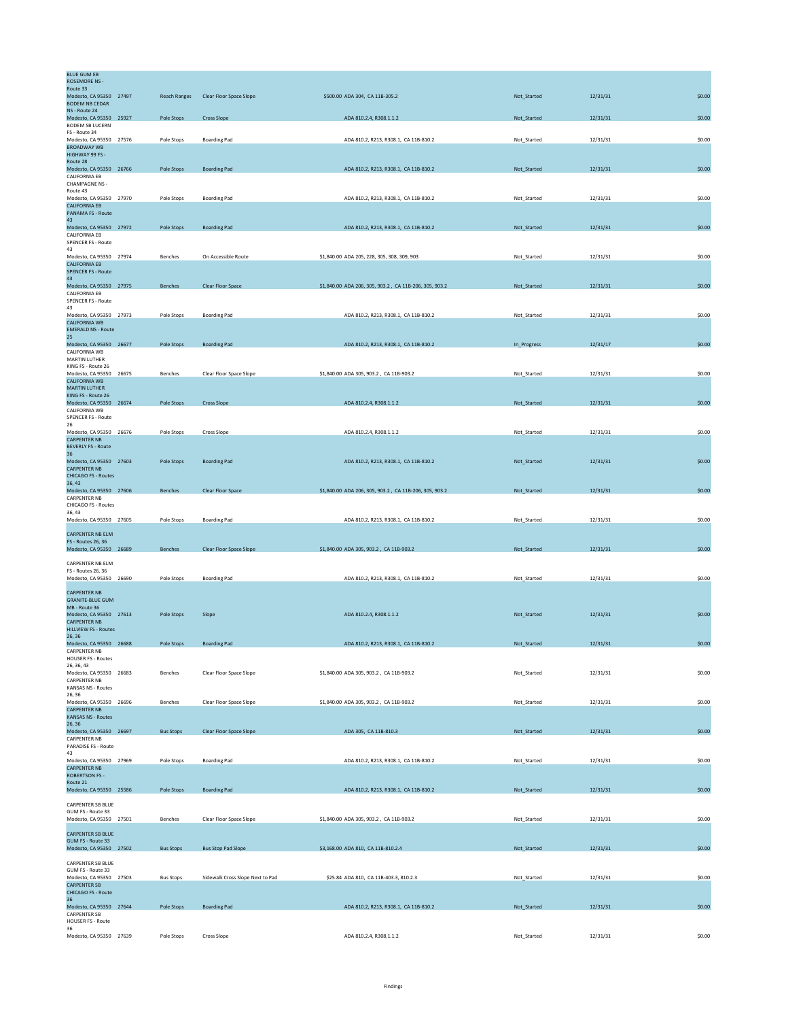| <b>BLUE GUM EB</b>                                 |                     |                                  |                                                        |             |          |        |
|----------------------------------------------------|---------------------|----------------------------------|--------------------------------------------------------|-------------|----------|--------|
| <b>ROSEMORE NS -</b><br>Route 33                   |                     |                                  |                                                        |             |          |        |
| Modesto, CA 95350 27497<br><b>BODEM NB CEDAR</b>   | <b>Reach Ranges</b> | Clear Floor Space Slope          | \$500.00 ADA 304, CA 11B-305.2                         | Not_Started | 12/31/31 | \$0.00 |
| NS - Route 24                                      |                     |                                  |                                                        |             |          |        |
| Modesto, CA 95350 25927<br><b>BODEM SB LUCERN</b>  | Pole Stops          | <b>Cross Slope</b>               | ADA 810.2.4, R308.1.1.2                                | Not_Started | 12/31/31 | \$0.00 |
| FS - Route 34                                      |                     |                                  |                                                        |             |          |        |
| Modesto, CA 95350 27576<br><b>BROADWAY WB</b>      | Pole Stops          | <b>Boarding Pad</b>              | ADA 810.2, R213, R308.1, CA 11B-810.2                  | Not_Started | 12/31/31 | \$0.00 |
| HIGHWAY 99 FS -                                    |                     |                                  |                                                        |             |          |        |
| Route 28<br>Modesto, CA 95350 26766                | Pole Stops          | <b>Boarding Pad</b>              | ADA 810.2, R213, R308.1, CA 11B-810.2                  | Not_Started | 12/31/31 | \$0.00 |
| CALIFORNIA EB                                      |                     |                                  |                                                        |             |          |        |
| <b>CHAMPAGNE NS -</b><br>Route 43                  |                     |                                  |                                                        |             |          |        |
| Modesto, CA 95350 27970<br><b>CALIFORNIA EB</b>    | Pole Stops          | <b>Boarding Pad</b>              | ADA 810.2, R213, R308.1, CA 11B-810.2                  | Not Started | 12/31/31 | \$0.00 |
| PANAMA FS - Route                                  |                     |                                  |                                                        |             |          |        |
| 43<br>Modesto, CA 95350 27972                      | Pole Stops          | <b>Boarding Pad</b>              | ADA 810.2, R213, R308.1, CA 11B-810.2                  | Not_Started | 12/31/31 | \$0.00 |
| CALIFORNIA EB                                      |                     |                                  |                                                        |             |          |        |
| SPENCER FS - Route<br>43                           |                     |                                  |                                                        |             |          |        |
| Modesto, CA 95350 27974                            | Benches             | On Accessible Route              | \$1,840.00 ADA 205, 228, 305, 308, 309, 903            | Not_Started | 12/31/31 | \$0.00 |
| <b>CALIFORNIA EB</b><br><b>SPENCER FS - Route</b>  |                     |                                  |                                                        |             |          |        |
| 43                                                 |                     |                                  |                                                        |             |          |        |
| Modesto, CA 95350 27975<br>CALIFORNIA EB           | Benches             | Clear Floor Space                | \$1,840.00 ADA 206, 305, 903.2, CA 11B-206, 305, 903.2 | Not_Started | 12/31/31 | \$0.00 |
| <b>SPENCER FS - Route</b>                          |                     |                                  |                                                        |             |          |        |
| 43<br>Modesto, CA 95350 27973                      | Pole Stops          | <b>Boarding Pad</b>              | ADA 810.2, R213, R308.1, CA 11B-810.2                  | Not_Started | 12/31/31 | \$0.00 |
| CALIFORNIA WB<br><b>EMERALD NS - Route</b>         |                     |                                  |                                                        |             |          |        |
| 25                                                 |                     |                                  |                                                        |             |          |        |
| Modesto, CA 95350 26677<br>CALIFORNIA WB           | Pole Stops          | <b>Boarding Pad</b>              | ADA 810.2, R213, R308.1, CA 11B-810.2                  | In_Progress | 12/31/17 | \$0.00 |
| <b>MARTIN LUTHER</b>                               |                     |                                  |                                                        |             |          |        |
| KING FS - Route 26<br>Modesto, CA 95350 26675      | Benches             | Clear Floor Space Slope          | \$1,840.00 ADA 305, 903.2, CA 11B-903.2                | Not_Started | 12/31/31 | \$0.00 |
| <b>CALIFORNIA WB</b>                               |                     |                                  |                                                        |             |          |        |
| <b>MARTIN LUTHER</b><br>KING FS - Route 26         |                     |                                  |                                                        |             |          |        |
| Modesto, CA 95350 26674                            | Pole Stops          | <b>Cross Slope</b>               | ADA 810.2.4, R308.1.1.2                                | Not_Started | 12/31/31 | \$0.00 |
| CALIFORNIA WB<br>SPENCER FS - Route                |                     |                                  |                                                        |             |          |        |
| 26                                                 |                     |                                  |                                                        |             |          |        |
| Modesto, CA 95350 26676<br><b>CARPENTER NB</b>     | Pole Stops          | <b>Cross Slope</b>               | ADA 810.2.4, R308.1.1.2                                | Not Started | 12/31/31 | \$0.00 |
| <b>BEVERLY FS - Route</b>                          |                     |                                  |                                                        |             |          |        |
| 36<br>Modesto, CA 95350 27603                      | Pole Stops          | <b>Boarding Pad</b>              | ADA 810.2, R213, R308.1, CA 11B-810.2                  | Not_Started | 12/31/31 | \$0.00 |
| <b>CARPENTER NB</b>                                |                     |                                  |                                                        |             |          |        |
| <b>CHICAGO FS - Routes</b><br>36, 43               |                     |                                  |                                                        |             |          |        |
| Modesto, CA 95350 27606                            | <b>Benches</b>      | Clear Floor Space                | \$1,840.00 ADA 206, 305, 903.2, CA 11B-206, 305, 903.2 | Not_Started | 12/31/31 | \$0.00 |
| <b>CARPENTER NB</b><br>CHICAGO FS - Routes         |                     |                                  |                                                        |             |          |        |
| 36, 43                                             |                     |                                  |                                                        |             |          |        |
| Modesto, CA 95350 27605                            | Pole Stops          | <b>Boarding Pad</b>              | ADA 810.2, R213, R308.1, CA 11B-810.2                  | Not_Started | 12/31/31 | \$0.00 |
| <b>CARPENTER NB ELM</b>                            |                     |                                  |                                                        |             |          |        |
| FS - Routes 26, 36<br>Modesto, CA 95350 26689      | Benches             | Clear Floor Space Slope          | \$1,840.00 ADA 305, 903.2, CA 11B-903.2                | Not_Started | 12/31/31 | \$0.00 |
| CARPENTER NB ELM                                   |                     |                                  |                                                        |             |          |        |
| FS - Routes 26, 36                                 |                     |                                  |                                                        |             |          |        |
| Modesto, CA 95350 26690                            | Pole Stops          | <b>Boarding Pad</b>              | ADA 810.2, R213, R308.1, CA 11B-810.2                  | Not_Started | 12/31/31 | \$0.00 |
| <b>CARPENTER NB</b>                                |                     |                                  |                                                        |             |          |        |
| <b>GRANITE-BLUE GUM</b>                            |                     |                                  |                                                        |             |          |        |
| MB - Route 36<br>Modesto, CA 95350 27613           | Pole Stops          | Slope                            | ADA 810.2.4, R308.1.1.2                                | Not_Started | 12/31/31 | \$0.00 |
| <b>CARPENTER NB</b><br><b>HILLVIEW FS - Routes</b> |                     |                                  |                                                        |             |          |        |
| 26, 36                                             |                     |                                  |                                                        |             |          |        |
| Modesto, CA 95350 26688<br><b>CARPENTER NB</b>     | Pole Stops          | <b>Boarding Pad</b>              | ADA 810.2, R213, R308.1, CA 11B-810.2                  | Not_Started | 12/31/31 | \$0.00 |
| <b>HOUSER FS - Routes</b>                          |                     |                                  |                                                        |             |          |        |
| 26, 36, 43<br>Modesto, CA 95350 26683              | Benches             | Clear Floor Space Slope          | \$1,840.00 ADA 305, 903.2, CA 11B-903.2                | Not_Started | 12/31/31 | \$0.00 |
| <b>CARPENTER NB</b>                                |                     |                                  |                                                        |             |          |        |
| <b>KANSAS NS - Routes</b><br>26, 36                |                     |                                  |                                                        |             |          |        |
| Modesto, CA 95350 26696                            | Benches             | Clear Floor Space Slope          | \$1,840.00 ADA 305, 903.2, CA 11B-903.2                | Not_Started | 12/31/31 | \$0.00 |
| <b>CARPENTER NB</b><br>KANSAS NS - Routes          |                     |                                  |                                                        |             |          |        |
| 26, 36                                             |                     |                                  |                                                        |             |          |        |
| Modesto, CA 95350 26697<br><b>CARPENTER NB</b>     | <b>Bus Stops</b>    | Clear Floor Space Slope          | ADA 305, CA 11B-810.3                                  | Not_Started | 12/31/31 | \$0.00 |
| PARADISE FS - Route                                |                     |                                  |                                                        |             |          |        |
| 43<br>Modesto, CA 95350 27969                      | Pole Stops          | <b>Boarding Pad</b>              | ADA 810.2, R213, R308.1, CA 11B-810.2                  | Not_Started | 12/31/31 | \$0.00 |
| <b>CARPENTER NB</b>                                |                     |                                  |                                                        |             |          |        |
| <b>ROBERTSON FS-</b><br>Route 21                   |                     |                                  |                                                        |             |          |        |
| Modesto, CA 95350 25586                            | Pole Stops          | <b>Boarding Pad</b>              | ADA 810.2, R213, R308.1, CA 11B-810.2                  | Not_Started | 12/31/31 | \$0.00 |
| CARPENTER SB BLUE                                  |                     |                                  |                                                        |             |          |        |
| GUM FS - Route 33                                  |                     |                                  |                                                        |             |          |        |
| Modesto, CA 95350 27501                            | Benches             | Clear Floor Space Slope          | \$1,840.00 ADA 305, 903.2, CA 11B-903.2                | Not_Started | 12/31/31 | \$0.00 |
| <b>CARPENTER SB BLUE</b>                           |                     |                                  |                                                        |             |          |        |
| GUM FS - Route 33<br>Modesto, CA 95350 27502       | <b>Bus Stops</b>    | <b>Bus Stop Pad Slope</b>        | \$3,168.00 ADA 810, CA 11B-810.2.4                     | Not_Started | 12/31/31 | \$0.00 |
|                                                    |                     |                                  |                                                        |             |          |        |
| <b>CARPENTER SB BLUE</b><br>GUM FS - Route 33      |                     |                                  |                                                        |             |          |        |
| Modesto, CA 95350 27503                            | <b>Bus Stops</b>    | Sidewalk Cross Slope Next to Pad | \$25.84 ADA 810, CA 11B-403.3, 810.2.3                 | Not_Started | 12/31/31 | \$0.00 |
| <b>CARPENTER SB</b><br>CHICAGO FS - Route          |                     |                                  |                                                        |             |          |        |
| 36                                                 |                     |                                  |                                                        |             |          |        |
| Modesto, CA 95350 27644<br><b>CARPENTER SB</b>     | Pole Stops          | <b>Boarding Pad</b>              | ADA 810.2, R213, R308.1, CA 11B-810.2                  | Not_Started | 12/31/31 | \$0.00 |
| HOUSER FS - Route                                  |                     |                                  |                                                        |             |          |        |
| 36<br>Modesto, CA 95350 27639                      | Pole Stops          | Cross Slope                      | ADA 810.2.4, R308.1.1.2                                | Not_Started | 12/31/31 | \$0.00 |
|                                                    |                     |                                  |                                                        |             |          |        |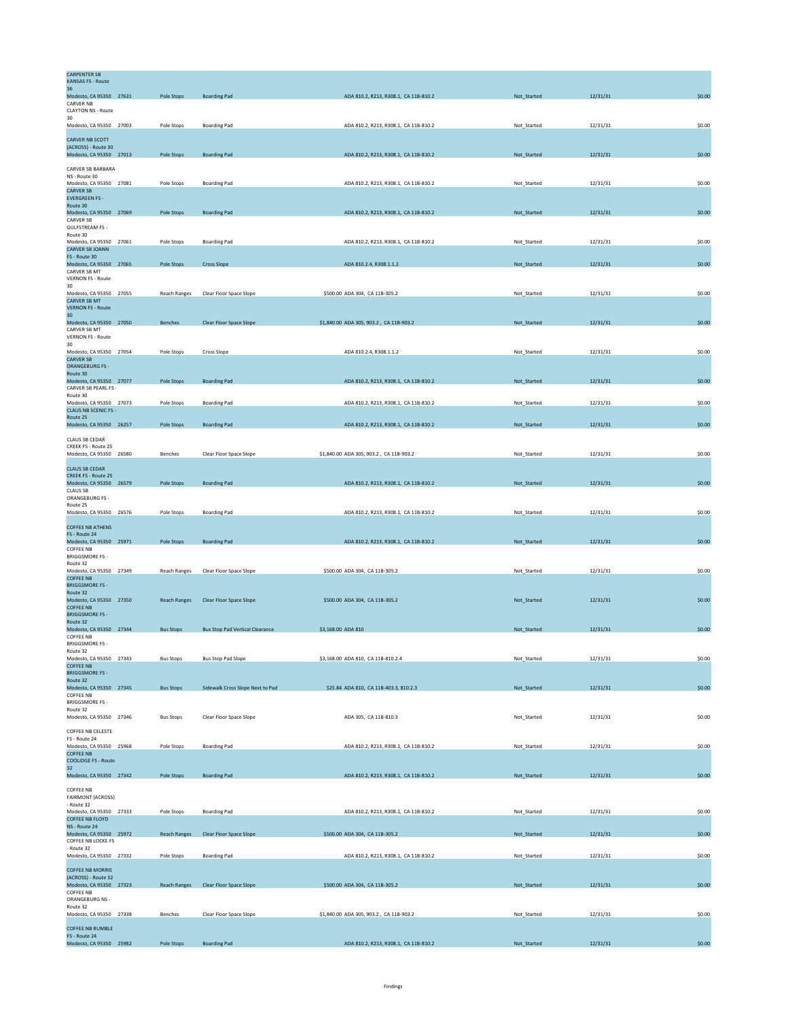| <b>CARPENTER SB</b><br><b>KANSAS FS - Route</b>        |                     |                                        |                                         |             |          |        |
|--------------------------------------------------------|---------------------|----------------------------------------|-----------------------------------------|-------------|----------|--------|
| 36                                                     |                     |                                        |                                         |             |          |        |
| Modesto, CA 95350 27631<br><b>CARVER NB</b>            | Pole Stops          | <b>Boarding Pad</b>                    | ADA 810.2, R213, R308.1, CA 11B-810.2   | Not_Started | 12/31/31 | \$0.00 |
| <b>CLAYTON NS - Route</b><br>30                        |                     |                                        |                                         |             |          |        |
| Modesto, CA 95350 27003                                | Pole Stops          | <b>Boarding Pad</b>                    | ADA 810.2, R213, R308.1, CA 11B-810.2   | Not_Started | 12/31/31 | \$0.00 |
| CARVER NB SCOTT                                        |                     |                                        |                                         |             |          |        |
| (ACROSS) - Route 30<br>Modesto, CA 95350 27013         | Pole Stops          | <b>Boarding Pad</b>                    | ADA 810.2, R213, R308.1, CA 11B-810.2   | Not_Started | 12/31/31 | \$0.00 |
| CARVER SB BARBARA                                      |                     |                                        |                                         |             |          |        |
| NS - Route 30<br>Modesto, CA 95350 27081               | Pole Stops          | <b>Boarding Pad</b>                    | ADA 810.2, R213, R308.1, CA 11B-810.2   | Not_Started | 12/31/31 | \$0.00 |
| <b>CARVER SB</b>                                       |                     |                                        |                                         |             |          |        |
| <b>EVERGREEN FS -</b><br>Route 30                      |                     |                                        |                                         |             |          |        |
| Modesto, CA 95350 27069<br>CARVER SB                   | Pole Stops          | <b>Boarding Pad</b>                    | ADA 810.2, R213, R308.1, CA 11B-810.2   | Not_Started | 12/31/31 | \$0.00 |
| <b>GULFSTREAM FS -</b><br>Route 30                     |                     |                                        |                                         |             |          |        |
| Modesto, CA 95350 27061                                | Pole Stops          | <b>Boarding Pad</b>                    | ADA 810.2, R213, R308.1, CA 11B-810.2   | Not_Started | 12/31/31 | \$0.00 |
| <b>CARVER SB JOANN</b><br>FS - Route 30                |                     |                                        |                                         |             |          |        |
| Modesto, CA 95350 27065<br>CARVER SB MT                | Pole Stops          | <b>Cross Slope</b>                     | ADA 810.2.4, R308.1.1.2                 | Not_Started | 12/31/31 | \$0.00 |
| <b>VERNON FS - Route</b><br>30                         |                     |                                        |                                         |             |          |        |
| Modesto, CA 95350 27055                                | Reach Ranges        | Clear Floor Space Slope                | \$500.00 ADA 304, CA 11B-305.2          | Not_Started | 12/31/31 | \$0.00 |
| <b>CARVER SB MT</b><br><b>VERNON FS - Route</b>        |                     |                                        |                                         |             |          |        |
| 30<br>Modesto, CA 95350 27050                          | Benches             | Clear Floor Space Slope                | \$1,840.00 ADA 305, 903.2, CA 11B-903.2 | Not_Started | 12/31/31 | \$0.00 |
| CARVER SB MT<br><b>VERNON FS - Route</b>               |                     |                                        |                                         |             |          |        |
| 30                                                     |                     |                                        |                                         |             |          |        |
| Modesto, CA 95350 27054<br><b>CARVER SB</b>            | Pole Stops          | Cross Slope                            | ADA 810.2.4, R308.1.1.2                 | Not_Started | 12/31/31 | \$0.00 |
| <b>ORANGEBURG FS-</b><br>Route 30                      |                     |                                        |                                         |             |          |        |
| Modesto, CA 95350 27077<br>CARVER SB PEARL FS -        | Pole Stops          | <b>Boarding Pad</b>                    | ADA 810.2, R213, R308.1, CA 11B-810.2   | Not_Started | 12/31/31 | \$0.00 |
| Route 30                                               |                     |                                        |                                         |             |          |        |
| Modesto, CA 95350 27073<br><b>CLAUS NB SCENIC FS -</b> | Pole Stops          | <b>Boarding Pad</b>                    | ADA 810.2, R213, R308.1, CA 11B-810.2   | Not_Started | 12/31/31 | \$0.00 |
| Route 25<br>Modesto, CA 95350 26257                    | Pole Stops          | <b>Boarding Pad</b>                    | ADA 810.2, R213, R308.1, CA 11B-810.2   | Not_Started | 12/31/31 | \$0.00 |
|                                                        |                     |                                        |                                         |             |          |        |
| <b>CLAUS SB CEDAR</b><br><b>CREEK FS - Route 25</b>    |                     |                                        |                                         |             |          |        |
| Modesto, CA 95350 26580                                | Benches             | Clear Floor Space Slope                | \$1,840.00 ADA 305, 903.2, CA 11B-903.2 | Not_Started | 12/31/31 | \$0.00 |
| <b>CLAUS SB CEDAR</b><br><b>CREEK FS - Route 25</b>    |                     |                                        |                                         |             |          |        |
| Modesto, CA 95350 26579                                | Pole Stops          | <b>Boarding Pad</b>                    | ADA 810.2, R213, R308.1, CA 11B-810.2   | Not_Started | 12/31/31 | \$0.00 |
| <b>CLAUS SB</b><br>ORANGEBURG FS -                     |                     |                                        |                                         |             |          |        |
| Route 25<br>Modesto, CA 95350 26576                    | Pole Stops          | <b>Boarding Pad</b>                    | ADA 810.2, R213, R308.1, CA 11B-810.2   | Not_Started | 12/31/31 | \$0.00 |
| <b>COFFEE NB ATHENS</b>                                |                     |                                        |                                         |             |          |        |
| FS - Route 24                                          |                     |                                        |                                         |             |          |        |
| Modesto, CA 95350 25971<br><b>COFFEE NB</b>            | Pole Stops          | <b>Boarding Pad</b>                    | ADA 810.2, R213, R308.1, CA 11B-810.2   | Not_Started | 12/31/31 | \$0.00 |
| <b>BRIGGSMORE FS -</b><br>Route 32                     |                     |                                        |                                         |             |          |        |
| Modesto, CA 95350 27349<br><b>COFFEE NB</b>            | <b>Reach Ranges</b> | Clear Floor Space Slope                | \$500.00 ADA 304, CA 11B-305.2          | Not_Started | 12/31/31 | \$0.00 |
| <b>BRIGGSMORE FS-</b>                                  |                     |                                        |                                         |             |          |        |
| Route 32<br>Modesto, CA 95350 27350                    | <b>Reach Ranges</b> | Clear Floor Space Slope                | \$500.00 ADA 304, CA 11B-305.2          | Not_Started | 12/31/31 | \$0.00 |
| <b>COFFEE NB</b><br><b>BRIGGSMORE FS-</b>              |                     |                                        |                                         |             |          |        |
| Route 32<br>Modesto, CA 95350 27344                    | <b>Bus Stops</b>    | <b>Bus Stop Pad Vertical Clearance</b> | \$3,168.00 ADA 810                      | Not_Started | 12/31/31 | \$0.00 |
| <b>COFFEE NB</b>                                       |                     |                                        |                                         |             |          |        |
| <b>BRIGGSMORE FS-</b><br>Route 32                      |                     |                                        |                                         |             |          |        |
| Modesto, CA 95350 27343<br><b>COFFEE NB</b>            | <b>Bus Stops</b>    | <b>Bus Stop Pad Slope</b>              | \$3,168.00 ADA 810, CA 11B-810.2.4      | Not_Started | 12/31/31 | \$0.00 |
| <b>BRIGGSMORE FS-</b><br>Route 32                      |                     |                                        |                                         |             |          |        |
| Modesto, CA 95350 27345<br><b>COFFEE NB</b>            | <b>Bus Stops</b>    | Sidewalk Cross Slope Next to Pad       | \$25.84 ADA 810, CA 11B-403.3, 810.2.3  | Not_Started | 12/31/31 | \$0.00 |
| <b>BRIGGSMORE FS -</b>                                 |                     |                                        |                                         |             |          |        |
| Route 32<br>Modesto, CA 95350 27346                    | <b>Bus Stops</b>    | Clear Floor Space Slope                | ADA 305, CA 11B-810.3                   | Not_Started | 12/31/31 | \$0.00 |
| <b>COFFEE NB CELESTE</b>                               |                     |                                        |                                         |             |          |        |
| FS - Route 24<br>Modesto, CA 95350 25968               | Pole Stops          | <b>Boarding Pad</b>                    | ADA 810.2, R213, R308.1, CA 11B-810.2   | Not_Started | 12/31/31 | \$0.00 |
| <b>COFFEE NB</b>                                       |                     |                                        |                                         |             |          |        |
| <b>COOLIDGE FS - Route</b><br>32                       |                     |                                        |                                         |             |          |        |
| Modesto, CA 95350 27342                                | Pole Stops          | <b>Boarding Pad</b>                    | ADA 810.2, R213, R308.1, CA 11B-810.2   | Not_Started | 12/31/31 | \$0.00 |
| <b>COFFEE NB</b><br><b>FAIRMONT (ACROSS)</b>           |                     |                                        |                                         |             |          |        |
| - Route 32                                             |                     |                                        |                                         |             |          |        |
| Modesto, CA 95350 27333<br>COFFEE NB FLOYD             | Pole Stops          | <b>Boarding Pad</b>                    | ADA 810.2, R213, R308.1, CA 11B-810.2   | Not Started | 12/31/31 | \$0.00 |
| NS - Route 24<br>Modesto, CA 95350 25972               | <b>Reach Ranges</b> | Clear Floor Space Slope                | \$500.00 ADA 304, CA 11B-305.2          | Not_Started | 12/31/31 | \$0.00 |
| COFFEE NB LOCKE FS<br>- Route 32                       |                     |                                        |                                         |             |          |        |
| Modesto, CA 95350 27332                                | Pole Stops          | <b>Boarding Pad</b>                    | ADA 810.2, R213, R308.1, CA 11B-810.2   | Not_Started | 12/31/31 | \$0.00 |
| <b>COFFEE NB MORRIS</b>                                |                     |                                        |                                         |             |          |        |
| (ACROSS) - Route 32<br>Modesto, CA 95350 27323         | <b>Reach Ranges</b> | <b>Clear Floor Space Slope</b>         | \$500.00 ADA 304, CA 11B-305.2          | Not_Started | 12/31/31 | \$0.00 |
| <b>COFFEE NB</b><br>ORANGEBURG NS -                    |                     |                                        |                                         |             |          |        |
| Route 32                                               |                     |                                        |                                         |             |          |        |
| Modesto, CA 95350 27338                                | <b>Benches</b>      | Clear Floor Space Slope                | \$1,840.00 ADA 305, 903.2, CA 11B-903.2 | Not_Started | 12/31/31 | \$0.00 |
| <b>COFFEE NB RUMBLE</b><br>FS - Route 24               |                     |                                        |                                         |             |          |        |
| Modesto, CA 95350 25982                                | Pole Stops          | <b>Boarding Pad</b>                    | ADA 810.2, R213, R308.1, CA 11B-810.2   | Not_Started | 12/31/31 | \$0.00 |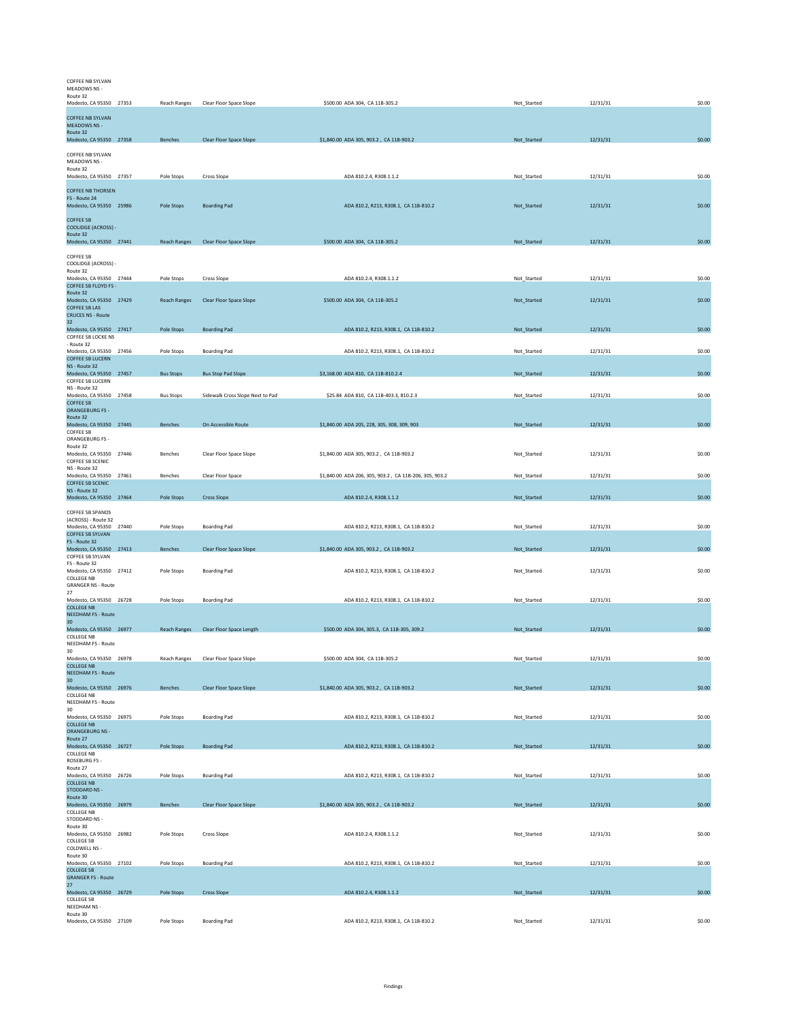| COFFEE NB SYLVAN<br>MEADOWS NS -<br>Route 32                                    |                     |                                       |                                                        |             |          |        |
|---------------------------------------------------------------------------------|---------------------|---------------------------------------|--------------------------------------------------------|-------------|----------|--------|
| Modesto, CA 95350 27353                                                         | Reach Ranges        | Clear Floor Space Slope               | \$500.00 ADA 304, CA 11B-305.2                         | Not_Started | 12/31/31 | \$0.00 |
| <b>COFFEE NB SYLVAN</b><br><b>MEADOWS NS -</b><br>Route 32                      |                     |                                       |                                                        |             |          |        |
| Modesto, CA 95350 27358                                                         | <b>Benches</b>      | Clear Floor Space Slope               | \$1,840.00 ADA 305, 903.2, CA 11B-903.2                | Not_Started | 12/31/31 | \$0.00 |
| COFFEE NB SYLVAN<br>MEADOWS NS -                                                |                     |                                       |                                                        |             |          |        |
| Route 32<br>Modesto, CA 95350 27357                                             | Pole Stops          | <b>Cross Slope</b>                    | ADA 810.2.4, R308.1.1.2                                | Not Started | 12/31/31 | \$0.00 |
| <b>COFFEE NB THORSEN</b><br>FS - Route 24<br>Modesto, CA 95350 25986            | <b>Pole Stops</b>   | <b>Boarding Pad</b>                   | ADA 810.2, R213, R308.1, CA 11B-810.2                  | Not Started | 12/31/31 | \$0.00 |
| <b>COFFEE SB</b><br><b>COOLIDGE (ACROSS) -</b>                                  |                     |                                       |                                                        |             |          |        |
| Route 32<br>Modesto, CA 95350 27441                                             | <b>Reach Ranges</b> | Clear Floor Space Slope               | \$500.00 ADA 304, CA 11B-305.2                         | Not Started | 12/31/31 | \$0.00 |
| <b>COFFEE SB</b>                                                                |                     |                                       |                                                        |             |          |        |
| COOLIDGE (ACROSS) -<br>Route 32                                                 |                     |                                       |                                                        |             |          |        |
| Modesto, CA 95350 27444<br>COFFEE SB FLOYD FS -                                 | Pole Stops          | <b>Cross Slope</b>                    | ADA 810.2.4, R308.1.1.2                                | Not Started | 12/31/31 | \$0.00 |
| Route 32<br>Modesto, CA 95350 27429<br><b>COFFEE SB LAS</b>                     | <b>Reach Ranges</b> | Clear Floor Space Slope               | \$500.00 ADA 304, CA 11B-305.2                         | Not_Started | 12/31/31 | \$0.00 |
| <b>CRUCES NS - Route</b><br>32                                                  |                     |                                       |                                                        |             |          |        |
| Modesto, CA 95350 27417<br>COFFEE SB LOCKE NS                                   | Pole Stops          | <b>Boarding Pad</b>                   | ADA 810.2, R213, R308.1, CA 11B-810.2                  | Not_Started | 12/31/31 | \$0.00 |
| - Route 32<br>Modesto, CA 95350 27456                                           | Pole Stops          | <b>Boarding Pad</b>                   | ADA 810.2, R213, R308.1, CA 11B-810.2                  | Not_Started | 12/31/31 | \$0.00 |
| <b>COFFEE SB LUCERN</b><br>NS - Route 32                                        |                     | <b>Bus Stop Pad Slope</b>             | \$3,168.00 ADA 810, CA 11B-810.2.4                     |             |          | \$0.00 |
| Modesto, CA 95350 27457<br>COFFEE SB LUCERN                                     | <b>Bus Stops</b>    |                                       |                                                        | Not_Started | 12/31/31 |        |
| NS - Route 32<br>Modesto, CA 95350 27458                                        | <b>Bus Stops</b>    | Sidewalk Cross Slope Next to Pad      | \$25.84 ADA 810, CA 11B-403.3, 810.2.3                 | Not_Started | 12/31/31 | \$0.00 |
| <b>COFFEE SB</b><br><b>ORANGEBURG FS-</b>                                       |                     |                                       |                                                        |             |          |        |
| Route 32<br>Modesto, CA 95350 27445                                             | Benches             | On Accessible Route                   | \$1,840.00 ADA 205, 228, 305, 308, 309, 903            | Not_Started | 12/31/31 | \$0.00 |
| <b>COFFEE SB</b><br>ORANGEBURG FS -                                             |                     |                                       |                                                        |             |          |        |
| Route 32<br>Modesto, CA 95350 27446                                             | Benches             | Clear Floor Space Slope               | \$1,840.00 ADA 305, 903.2, CA 11B-903.2                | Not_Started | 12/31/31 | \$0.00 |
| COFFEE SB SCENIC<br>NS - Route 32                                               |                     |                                       |                                                        |             |          |        |
| Modesto, CA 95350 27461<br><b>COFFEE SB SCENIC</b>                              | Benches             | Clear Floor Space                     | \$1,840.00 ADA 206, 305, 903.2, CA 11B-206, 305, 903.2 | Not Started | 12/31/31 | \$0.00 |
| NS - Route 32<br>Modesto, CA 95350 27464                                        | Pole Stops          | <b>Cross Slope</b>                    | ADA 810.2.4, R308.1.1.2                                | Not_Started | 12/31/31 | \$0.00 |
| COFFEE SB SPANOS                                                                |                     |                                       |                                                        |             |          |        |
| (ACROSS) - Route 32<br>Modesto, CA 95350 27440                                  | Pole Stops          | <b>Boarding Pad</b>                   | ADA 810.2, R213, R308.1, CA 11B-810.2                  | Not_Started | 12/31/31 | \$0.00 |
| <b>COFFEE SB SYLVAN</b><br>FS - Route 32                                        |                     |                                       |                                                        |             |          |        |
| Modesto, CA 95350 27413<br>COFFEE SB SYLVAN                                     | Benches             | Clear Floor Space Slope               | \$1,840.00 ADA 305, 903.2, CA 11B-903.2                | Not Started | 12/31/31 | \$0.00 |
| FS - Route 32<br>Modesto, CA 95350 27412                                        | Pole Stops          | <b>Boarding Pad</b>                   | ADA 810.2, R213, R308.1, CA 11B-810.2                  | Not_Started | 12/31/31 | \$0.00 |
| COLLEGE NB<br><b>GRANGER NS - Route</b><br>27                                   |                     |                                       |                                                        |             |          |        |
| Modesto, CA 95350 26728<br><b>COLLEGE NB</b>                                    | Pole Stops          | <b>Boarding Pad</b>                   | ADA 810.2, R213, R308.1, CA 11B-810.2                  | Not_Started | 12/31/31 | \$0.00 |
| <b>NEEDHAM FS - Route</b><br>30                                                 |                     |                                       |                                                        |             |          |        |
| Modesto, CA 95350 26977<br><b>COLLEGE NB</b>                                    |                     | Reach Ranges Clear Floor Space Length | \$500.00 ADA 304, 305.3, CA 11B-305, 309.2             | Not_Started | 12/31/31 | \$0.00 |
| NEEDHAM FS - Route                                                              |                     |                                       |                                                        |             |          |        |
| 30<br>Modesto, CA 95350 26978<br><b>COLLEGE NB</b><br><b>NEEDHAM FS - Route</b> |                     | Reach Ranges Clear Floor Space Slope  | \$500.00 ADA 304, CA 11B-305.2                         | Not_Started | 12/31/31 | \$0.00 |
| 30<br>Modesto, CA 95350 26976                                                   | Benches             | Clear Floor Space Slope               | \$1,840.00 ADA 305, 903.2, CA 11B-903.2                | Not Started | 12/31/31 | \$0.00 |
| COLLEGE NB<br>NEEDHAM FS - Route                                                |                     |                                       |                                                        |             |          |        |
| 30<br>Modesto, CA 95350 26975                                                   | Pole Stops          | <b>Boarding Pad</b>                   | ADA 810.2, R213, R308.1, CA 11B-810.2                  | Not_Started | 12/31/31 | \$0.00 |
| <b>COLLEGE NB</b><br><b>ORANGEBURG NS -</b><br>Route 27                         |                     |                                       |                                                        |             |          |        |
| Modesto, CA 95350 26727<br>COLLEGE NB                                           | Pole Stops          | <b>Boarding Pad</b>                   | ADA 810.2, R213, R308.1, CA 11B-810.2                  | Not_Started | 12/31/31 | \$0.00 |
| ROSEBURG FS -                                                                   |                     |                                       |                                                        |             |          |        |
| Route 27<br>Modesto, CA 95350 26726<br><b>COLLEGE NB</b>                        | Pole Stops          | <b>Boarding Pad</b>                   | ADA 810.2, R213, R308.1, CA 11B-810.2                  | Not_Started | 12/31/31 | \$0.00 |
| <b>STODDARD NS -</b><br>Route 30                                                |                     |                                       |                                                        |             |          |        |
| Modesto, CA 95350 26979                                                         | Benches             | Clear Floor Space Slope               | \$1,840.00 ADA 305, 903.2, CA 11B-903.2                | Not_Started | 12/31/31 | \$0.00 |
| COLLEGE NB<br>STODDARD NS -                                                     |                     |                                       |                                                        |             |          |        |
| Route 30<br>Modesto, CA 95350 26982<br><b>COLLEGE SB</b>                        | Pole Stops          | Cross Slope                           | ADA 810.2.4, R308.1.1.2                                | Not_Started | 12/31/31 | \$0.00 |
| COLDWELL NS -<br>Route 30                                                       |                     |                                       |                                                        |             |          |        |
| Modesto, CA 95350 27102<br><b>COLLEGE SB</b>                                    | Pole Stops          | <b>Boarding Pad</b>                   | ADA 810.2, R213, R308.1, CA 11B-810.2                  | Not_Started | 12/31/31 | \$0.00 |
| <b>GRANGER FS - Route</b><br>27                                                 |                     |                                       |                                                        |             |          |        |
| Modesto, CA 95350 26729<br><b>COLLEGE SB</b>                                    | Pole Stops          | <b>Cross Slope</b>                    | ADA 810.2.4, R308.1.1.2                                | Not_Started | 12/31/31 | \$0.00 |
| NEEDHAM NS -<br>Route 30                                                        |                     |                                       |                                                        |             |          |        |
| Modesto, CA 95350 27109                                                         | Pole Stops          | <b>Boarding Pad</b>                   | ADA 810.2, R213, R308.1, CA 11B-810.2                  | Not_Started | 12/31/31 | \$0.00 |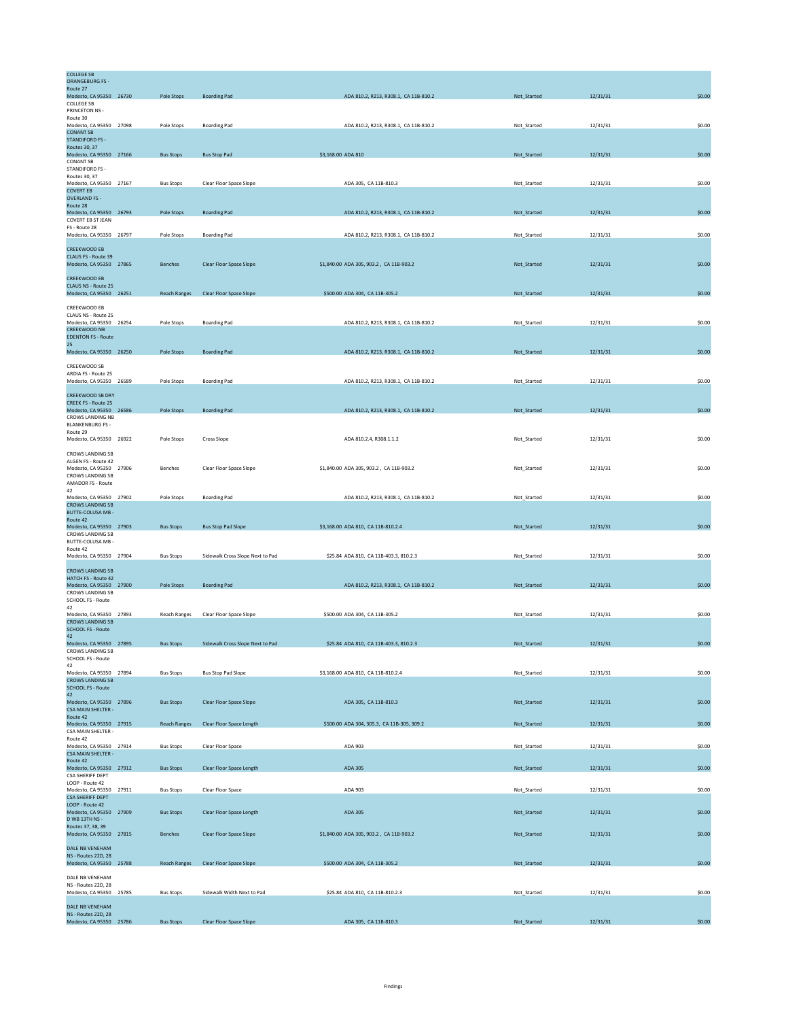| <b>COLLEGE SB</b><br><b>ORANGEBURG FS-</b>            |                     |                                  |                    |                                            |             |          |        |
|-------------------------------------------------------|---------------------|----------------------------------|--------------------|--------------------------------------------|-------------|----------|--------|
| Route 27<br>Modesto, CA 95350 26730                   | Pole Stops          | <b>Boarding Pad</b>              |                    | ADA 810.2, R213, R308.1, CA 11B-810.2      | Not_Started | 12/31/31 | \$0.00 |
| <b>COLLEGE SB</b><br>PRINCETON NS -                   |                     |                                  |                    |                                            |             |          |        |
| Route 30<br>Modesto, CA 95350 27098                   | Pole Stops          | <b>Boarding Pad</b>              |                    | ADA 810.2, R213, R308.1, CA 11B-810.2      | Not_Started | 12/31/31 | \$0.00 |
| <b>CONANT SB</b>                                      |                     |                                  |                    |                                            |             |          |        |
| <b>STANDIFORD FS -</b><br>Routes 30, 37               |                     |                                  |                    |                                            |             |          |        |
| Modesto, CA 95350 27166<br><b>CONANT SB</b>           | <b>Bus Stops</b>    | <b>Bus Stop Pad</b>              | \$3,168,00 ADA 810 |                                            | Not Started | 12/31/31 | \$0.00 |
| STANDIFORD FS -<br>Routes 30, 37                      |                     |                                  |                    |                                            |             |          |        |
| Modesto, CA 95350 27167                               | <b>Bus Stops</b>    | Clear Floor Space Slope          |                    | ADA 305, CA 11B-810.3                      | Not_Started | 12/31/31 | \$0.00 |
| <b>COVERT EB</b><br><b>OVERLAND FS -</b>              |                     |                                  |                    |                                            |             |          |        |
| Route 28<br>Modesto, CA 95350 26793                   | Pole Stops          | <b>Boarding Pad</b>              |                    | ADA 810.2, R213, R308.1, CA 11B-810.2      | Not_Started | 12/31/31 | \$0.00 |
| <b>COVERT EB ST JEAN</b><br>FS - Route 28             |                     |                                  |                    |                                            |             |          |        |
| Modesto, CA 95350 26797                               | Pole Stops          | <b>Boarding Pad</b>              |                    | ADA 810.2, R213, R308.1, CA 11B-810.2      | Not_Started | 12/31/31 | \$0.00 |
| <b>CREEKWOOD EB</b>                                   |                     |                                  |                    |                                            |             |          |        |
| CLAUS FS - Route 39<br>Modesto, CA 95350 27865        | Benches             | Clear Floor Space Slope          |                    | \$1,840.00 ADA 305, 903.2, CA 11B-903.2    | Not_Started | 12/31/31 | \$0.00 |
| <b>CREEKWOOD EB</b>                                   |                     |                                  |                    |                                            |             |          |        |
| CLAUS NS - Route 25                                   |                     |                                  |                    |                                            |             |          |        |
| Modesto, CA 95350 26251                               | <b>Reach Ranges</b> | Clear Floor Space Slope          |                    | \$500.00 ADA 304, CA 11B-305.2             | Not_Started | 12/31/31 | \$0.00 |
| CREEKWOOD EB<br>CLAUS NS - Route 25                   |                     |                                  |                    |                                            |             |          |        |
| Modesto, CA 95350 26254<br><b>CREEKWOOD NB</b>        | Pole Stops          | <b>Boarding Pad</b>              |                    | ADA 810.2, R213, R308.1, CA 11B-810.2      | Not Started | 12/31/31 | \$0.00 |
| <b>EDENTON FS - Route</b>                             |                     |                                  |                    |                                            |             |          |        |
| 25<br>Modesto, CA 95350 26250                         | Pole Stops          | <b>Boarding Pad</b>              |                    | ADA 810.2, R213, R308.1, CA 11B-810.2      | Not_Started | 12/31/31 | \$0.00 |
| CREEKWOOD SB                                          |                     |                                  |                    |                                            |             |          |        |
| ARDIA FS - Route 25                                   |                     |                                  |                    |                                            |             |          |        |
| Modesto, CA 95350 26589                               | Pole Stops          | <b>Boarding Pad</b>              |                    | ADA 810.2, R213, R308.1, CA 11B-810.2      | Not_Started | 12/31/31 | \$0.00 |
| <b>CREEKWOOD SB DRY</b><br>CREEK FS - Route 25        |                     |                                  |                    |                                            |             |          |        |
| Modesto, CA 95350 26586                               | Pole Stops          | <b>Boarding Pad</b>              |                    | ADA 810.2, R213, R308.1, CA 11B-810.2      | Not_Started | 12/31/31 | \$0.00 |
| CROWS LANDING NB<br><b>BLANKENBURG FS -</b>           |                     |                                  |                    |                                            |             |          |        |
| Route 29<br>Modesto, CA 95350 26922                   | Pole Stops          | Cross Slope                      |                    | ADA 810.2.4, R308.1.1.2                    | Not_Started | 12/31/31 | \$0.00 |
| <b>CROWS LANDING SB</b>                               |                     |                                  |                    |                                            |             |          |        |
| ALGEN FS - Route 42                                   |                     |                                  |                    |                                            |             |          |        |
| Modesto, CA 95350 27906<br><b>CROWS LANDING SB</b>    | Benches             | Clear Floor Space Slope          |                    | \$1,840.00 ADA 305, 903.2, CA 11B-903.2    | Not_Started | 12/31/31 | \$0.00 |
| AMADOR FS - Route<br>42                               |                     |                                  |                    |                                            |             |          |        |
| Modesto, CA 95350 27902<br><b>CROWS LANDING SB</b>    | Pole Stops          | <b>Boarding Pad</b>              |                    | ADA 810.2, R213, R308.1, CA 11B-810.2      | Not_Started | 12/31/31 | \$0.00 |
| BUTTE-COLUSA MB -                                     |                     |                                  |                    |                                            |             |          |        |
| Route 42<br>Modesto, CA 95350 27903                   | <b>Bus Stops</b>    | <b>Bus Stop Pad Slope</b>        |                    | \$3,168.00 ADA 810, CA 11B-810.2.4         | Not_Started | 12/31/31 | \$0.00 |
| <b>CROWS LANDING SB</b><br>BUTTE-COLUSA MB -          |                     |                                  |                    |                                            |             |          |        |
| Route 42<br>Modesto, CA 95350 27904                   | <b>Bus Stops</b>    | Sidewalk Cross Slope Next to Pad |                    | \$25.84 ADA 810, CA 11B-403.3, 810.2.3     | Not_Started | 12/31/31 | \$0.00 |
|                                                       |                     |                                  |                    |                                            |             |          |        |
| <b>CROWS LANDING SB</b><br><b>HATCH FS - Route 42</b> |                     |                                  |                    |                                            |             |          |        |
| Modesto, CA 95350 27900<br><b>CROWS LANDING SB</b>    | Pole Stops          | <b>Boarding Pad</b>              |                    | ADA 810.2, R213, R308.1, CA 11B-810.2      | Not_Started | 12/31/31 | \$0.00 |
| SCHOOL FS - Route                                     |                     |                                  |                    |                                            |             |          |        |
| 42<br>Modesto, CA 95350 27893                         | <b>Reach Ranges</b> | Clear Floor Space Slope          |                    | \$500.00 ADA 304, CA 11B-305.2             | Not_Started | 12/31/31 | \$0.00 |
| <b>CROWS LANDING SB</b><br><b>SCHOOL FS - Route</b>   |                     |                                  |                    |                                            |             |          |        |
| 42<br>Modesto, CA 95350 27895                         | <b>Bus Stops</b>    | Sidewalk Cross Slope Next to Pad |                    | \$25.84 ADA 810, CA 11B-403.3, 810.2.3     | Not_Started | 12/31/31 | \$0.00 |
| <b>CROWS LANDING SB</b>                               |                     |                                  |                    |                                            |             |          |        |
| SCHOOL FS - Route<br>42                               |                     |                                  |                    |                                            |             |          |        |
| Modesto, CA 95350 27894<br><b>CROWS LANDING SB</b>    | <b>Bus Stops</b>    | <b>Bus Stop Pad Slope</b>        |                    | \$3,168.00 ADA 810, CA 11B-810.2.4         | Not_Started | 12/31/31 | \$0.00 |
| <b>SCHOOL FS - Route</b><br>42                        |                     |                                  |                    |                                            |             |          |        |
| Modesto, CA 95350 27896                               | <b>Bus Stops</b>    | Clear Floor Space Slope          |                    | ADA 305, CA 11B-810.3                      | Not_Started | 12/31/31 | \$0.00 |
| <b>CSA MAIN SHELTER -</b><br>Route 42                 |                     |                                  |                    |                                            |             |          |        |
| Modesto, CA 95350 27915<br>CSA MAIN SHELTER -         | <b>Reach Ranges</b> | Clear Floor Space Length         |                    | \$500.00 ADA 304, 305.3, CA 11B-305, 309.2 | Not_Started | 12/31/31 | \$0.00 |
| Route 42<br>Modesto, CA 95350 27914                   | <b>Bus Stops</b>    |                                  |                    | ADA 903                                    |             | 12/31/31 | \$0.00 |
| CSA MAIN SHELTER -                                    |                     | Clear Floor Space                |                    |                                            | Not_Started |          |        |
| Route 42<br>Modesto, CA 95350 27912                   | <b>Bus Stops</b>    | Clear Floor Space Length         |                    | ADA 305                                    | Not_Started | 12/31/31 | \$0.00 |
| <b>CSA SHERIFF DEPT</b><br>LOOP - Route 42            |                     |                                  |                    |                                            |             |          |        |
| Modesto, CA 95350 27911                               | <b>Bus Stops</b>    | Clear Floor Space                |                    | ADA 903                                    | Not_Started | 12/31/31 | \$0.00 |
| <b>CSA SHERIFF DEPT</b><br>LOOP - Route 42            |                     |                                  |                    |                                            |             |          |        |
| Modesto, CA 95350 27909<br>D WB 13TH NS -             | <b>Bus Stops</b>    | Clear Floor Space Length         |                    | ADA 305                                    | Not_Started | 12/31/31 | \$0.00 |
| Routes 37, 38, 39<br>Modesto, CA 95350 27815          | Benches             | Clear Floor Space Slope          |                    | \$1,840.00 ADA 305, 903.2, CA 11B-903.2    | Not_Started | 12/31/31 | \$0.00 |
|                                                       |                     |                                  |                    |                                            |             |          |        |
| DALE NB VENEHAM<br>NS - Routes 22D, 28                |                     |                                  |                    |                                            |             |          |        |
| Modesto, CA 95350 25788                               | <b>Reach Ranges</b> | Clear Floor Space Slope          |                    | \$500.00 ADA 304, CA 11B-305.2             | Not_Started | 12/31/31 | \$0.00 |
| DALE NB VENEHAM                                       |                     |                                  |                    |                                            |             |          |        |
| NS - Routes 22D, 28<br>Modesto, CA 95350 25785        | <b>Bus Stops</b>    | Sidewalk Width Next to Pad       |                    | \$25.84 ADA 810, CA 11B-810.2.3            | Not_Started | 12/31/31 | \$0.00 |
| DALE NB VENEHAM                                       |                     |                                  |                    |                                            |             |          |        |
| <b>NS - Routes 22D, 28</b><br>Modesto, CA 95350 25786 | <b>Bus Stops</b>    | Clear Floor Space Slope          |                    | ADA 305, CA 11B-810.3                      | Not_Started | 12/31/31 | \$0.00 |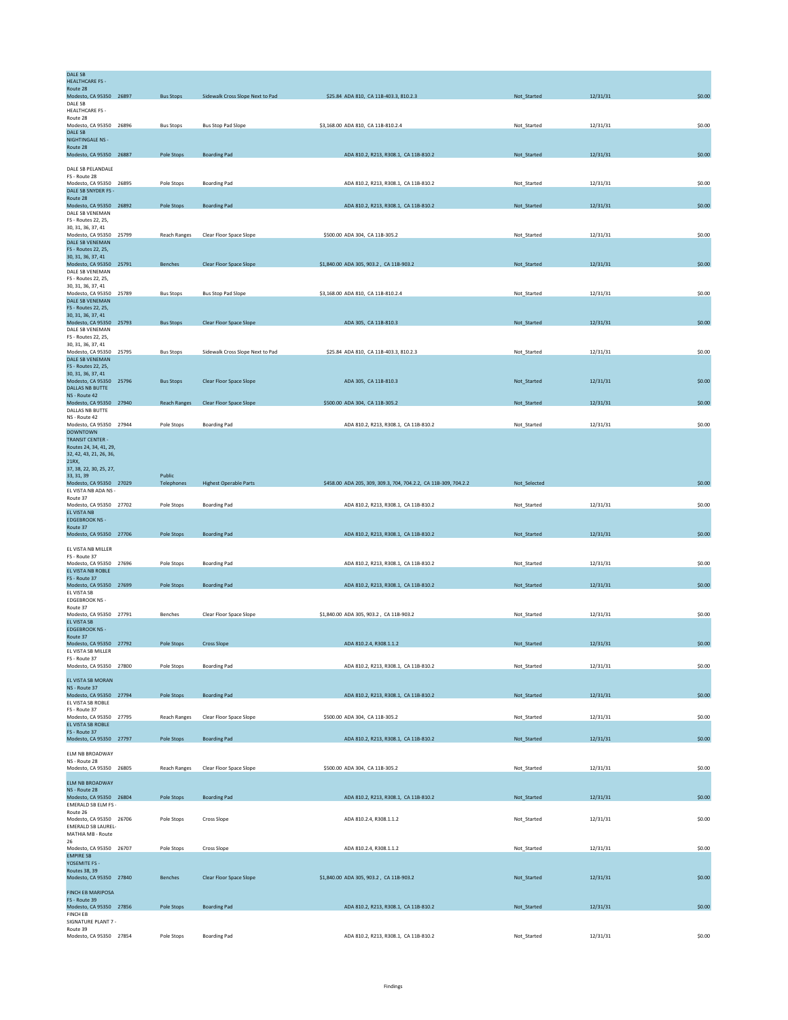| DALE SB                                           |                     |                                  |                                                                 |              |          |        |
|---------------------------------------------------|---------------------|----------------------------------|-----------------------------------------------------------------|--------------|----------|--------|
| <b>HEALTHCARE FS -</b><br>Route 28                |                     |                                  |                                                                 |              |          |        |
| Modesto, CA 95350 26897                           | <b>Bus Stops</b>    | Sidewalk Cross Slope Next to Pad | \$25.84 ADA 810, CA 11B-403.3, 810.2.3                          | Not_Started  | 12/31/31 | \$0.00 |
| DALE SB                                           |                     |                                  |                                                                 |              |          |        |
| <b>HEALTHCARE FS -</b><br>Route 28                |                     |                                  |                                                                 |              |          |        |
| Modesto, CA 95350 26896                           | <b>Bus Stops</b>    | <b>Bus Stop Pad Slope</b>        | \$3,168.00 ADA 810, CA 11B-810.2.4                              | Not_Started  | 12/31/31 | \$0.00 |
| DALE SB<br><b>NIGHTINGALE NS -</b>                |                     |                                  |                                                                 |              |          |        |
| Route 28                                          |                     |                                  |                                                                 |              |          |        |
| Modesto, CA 95350 26887                           | Pole Stops          | <b>Boarding Pad</b>              | ADA 810.2, R213, R308.1, CA 11B-810.2                           | Not_Started  | 12/31/31 | \$0.00 |
| DALE SB PELANDALE                                 |                     |                                  |                                                                 |              |          |        |
| FS - Route 28                                     |                     |                                  |                                                                 |              |          |        |
| Modesto, CA 95350 26895<br>DALE SB SNYDER FS -    | Pole Stops          | <b>Boarding Pad</b>              | ADA 810.2, R213, R308.1, CA 11B-810.2                           | Not_Started  | 12/31/31 | \$0.00 |
| Route 28                                          |                     |                                  |                                                                 |              |          |        |
| Modesto, CA 95350 26892                           | Pole Stops          | <b>Boarding Pad</b>              | ADA 810.2, R213, R308.1, CA 11B-810.2                           | Not_Started  | 12/31/31 | \$0.00 |
| DALE SB VENEMAN<br>FS - Routes 22, 25,            |                     |                                  |                                                                 |              |          |        |
| 30, 31, 36, 37, 41                                |                     |                                  |                                                                 |              |          |        |
| Modesto, CA 95350 25799                           | Reach Ranges        | Clear Floor Space Slope          | \$500.00 ADA 304, CA 11B-305.2                                  | Not_Started  | 12/31/31 | \$0.00 |
| DALE SB VENEMAN<br>FS - Routes 22, 25,            |                     |                                  |                                                                 |              |          |        |
| 30, 31, 36, 37, 41                                |                     |                                  |                                                                 |              |          |        |
| Modesto, CA 95350 25791                           | Benches             | Clear Floor Space Slope          | \$1,840.00 ADA 305, 903.2, CA 11B-903.2                         | Not_Started  | 12/31/31 | \$0.00 |
| DALE SB VENEMAN<br>FS - Routes 22, 25,            |                     |                                  |                                                                 |              |          |        |
| 30, 31, 36, 37, 41                                |                     |                                  |                                                                 |              |          |        |
| Modesto, CA 95350 25789                           | <b>Bus Stops</b>    | <b>Bus Stop Pad Slope</b>        | \$3,168.00 ADA 810, CA 11B-810.2.4                              | Not_Started  | 12/31/31 | \$0.00 |
| DALE SB VENEMAN<br>FS - Routes 22, 25,            |                     |                                  |                                                                 |              |          |        |
| 30, 31, 36, 37, 41                                |                     |                                  |                                                                 |              |          |        |
| Modesto, CA 95350 25793                           | <b>Bus Stops</b>    | Clear Floor Space Slope          | ADA 305, CA 11B-810.3                                           | Not_Started  | 12/31/31 | \$0.00 |
| DALE SB VENEMAN<br>FS - Routes 22, 25,            |                     |                                  |                                                                 |              |          |        |
| 30, 31, 36, 37, 41                                |                     |                                  |                                                                 |              |          |        |
| Modesto, CA 95350 25795<br>DALE SB VENEMAN        | <b>Bus Stops</b>    | Sidewalk Cross Slope Next to Pad | \$25.84 ADA 810, CA 11B-403.3, 810.2.3                          | Not_Started  | 12/31/31 | \$0.00 |
| FS - Routes 22, 25,                               |                     |                                  |                                                                 |              |          |        |
| 30, 31, 36, 37, 41                                |                     |                                  |                                                                 |              |          |        |
| Modesto, CA 95350 25796<br><b>DALLAS NB BUTTE</b> | <b>Bus Stops</b>    | Clear Floor Space Slope          | ADA 305, CA 11B-810.3                                           | Not_Started  | 12/31/31 | \$0.00 |
| NS - Route 42                                     |                     |                                  |                                                                 |              |          |        |
| Modesto, CA 95350 27940                           | <b>Reach Ranges</b> | Clear Floor Space Slope          | \$500.00 ADA 304, CA 11B-305.2                                  | Not_Started  | 12/31/31 | \$0.00 |
| DALLAS NB BUTTE<br>NS - Route 42                  |                     |                                  |                                                                 |              |          |        |
| Modesto, CA 95350 27944                           | Pole Stops          | <b>Boarding Pad</b>              | ADA 810.2, R213, R308.1, CA 11B-810.2                           | Not_Started  | 12/31/31 | \$0.00 |
| <b>DOWNTOWN</b>                                   |                     |                                  |                                                                 |              |          |        |
| <b>TRANSIT CENTER -</b><br>Routes 24, 34, 41, 29, |                     |                                  |                                                                 |              |          |        |
| 32, 42, 43, 21, 26, 36,                           |                     |                                  |                                                                 |              |          |        |
| 21RX,                                             |                     |                                  |                                                                 |              |          |        |
| 37, 38, 22, 30, 25, 27,<br>33, 31, 39             | Public              |                                  |                                                                 |              |          |        |
| Modesto, CA 95350 27029                           | Telephones          | <b>Highest Operable Parts</b>    | \$458.00 ADA 205, 309, 309.3, 704, 704.2.2, CA 11B-309, 704.2.2 | Not_Selected |          | \$0.00 |
| EL VISTA NB ADA NS -                              |                     |                                  |                                                                 |              |          |        |
| Route 37<br>Modesto, CA 95350 27702               | Pole Stops          | <b>Boarding Pad</b>              | ADA 810.2, R213, R308.1, CA 11B-810.2                           | Not_Started  | 12/31/31 | \$0.00 |
| EL VISTA NB                                       |                     |                                  |                                                                 |              |          |        |
| <b>EDGEBROOK NS -</b><br>Route 37                 |                     |                                  |                                                                 |              |          |        |
|                                                   |                     |                                  |                                                                 |              | 12/31/31 | \$0.00 |
|                                                   |                     |                                  |                                                                 |              |          |        |
| Modesto, CA 95350 27706                           | Pole Stops          | <b>Boarding Pad</b>              | ADA 810.2, R213, R308.1, CA 11B-810.2                           | Not_Started  |          |        |
| EL VISTA NB MILLER                                |                     |                                  |                                                                 |              |          |        |
| FS - Route 37<br>Modesto, CA 95350 27696          | Pole Stops          | <b>Boarding Pad</b>              | ADA 810.2, R213, R308.1, CA 11B-810.2                           | Not_Started  | 12/31/31 | \$0.00 |
| EL VISTA NB ROBLE                                 |                     |                                  |                                                                 |              |          |        |
| FS - Route 37                                     |                     |                                  |                                                                 |              |          |        |
| Modesto, CA 95350 27699<br>EL VISTA SB            | Pole Stops          | <b>Boarding Pad</b>              | ADA 810.2, R213, R308.1, CA 11B-810.2                           | Not_Started  | 12/31/31 | \$0.00 |
| <b>EDGEBROOK NS -</b>                             |                     |                                  |                                                                 |              |          |        |
| Route 37                                          |                     |                                  |                                                                 |              |          |        |
| Modesto, CA 95350 27791<br>EL VISTA SB            | <b>Benches</b>      | Clear Floor Space Slope          | \$1,840,00 ADA 305, 903.2 , CA 11B-903.2                        | Not Started  | 12/31/31 | \$0.00 |
| <b>EDGEBROOK NS -</b>                             |                     |                                  |                                                                 |              |          |        |
| Route 37                                          | Pole Stops          | <b>Cross Slope</b>               | ADA 810.2.4, R308.1.1.2                                         | Not_Started  | 12/31/31 | \$0.00 |
| Modesto, CA 95350 27792<br>EL VISTA SB MILLER     |                     |                                  |                                                                 |              |          |        |
| FS - Route 37                                     |                     |                                  |                                                                 |              |          |        |
| Modesto, CA 95350 27800                           | Pole Stops          | <b>Boarding Pad</b>              | ADA 810.2, R213, R308.1, CA 11B-810.2                           | Not_Started  | 12/31/31 | \$0.00 |
| EL VISTA SB MORAN                                 |                     |                                  |                                                                 |              |          |        |
| NS - Route 37                                     |                     |                                  |                                                                 |              |          |        |
| Modesto, CA 95350 27794<br>EL VISTA SB ROBLE      | Pole Stops          | <b>Boarding Pad</b>              | ADA 810.2, R213, R308.1, CA 11B-810.2                           | Not_Started  | 12/31/31 | \$0.00 |
| FS - Route 37                                     |                     |                                  |                                                                 |              |          |        |
| Modesto, CA 95350 27795                           | Reach Ranges        | Clear Floor Space Slope          | \$500.00 ADA 304, CA 11B-305.2                                  | Not_Started  | 12/31/31 | \$0.00 |
| EL VISTA SB ROBLE<br>FS - Route 37                |                     |                                  |                                                                 |              |          |        |
| Modesto, CA 95350 27797                           | Pole Stops          | <b>Boarding Pad</b>              | ADA 810.2, R213, R308.1, CA 11B-810.2                           | Not_Started  | 12/31/31 | \$0.00 |
|                                                   |                     |                                  |                                                                 |              |          |        |
| ELM NB BROADWAY<br>NS - Route 28                  |                     |                                  |                                                                 |              |          |        |
| Modesto, CA 95350 26805                           | Reach Ranges        | Clear Floor Space Slope          | \$500.00 ADA 304, CA 11B-305.2                                  | Not_Started  | 12/31/31 | \$0.00 |
| <b>ELM NB BROADWAY</b>                            |                     |                                  |                                                                 |              |          |        |
| NS - Route 28                                     |                     |                                  |                                                                 |              |          |        |
| Modesto, CA 95350 26804                           | Pole Stops          | <b>Boarding Pad</b>              | ADA 810.2, R213, R308.1, CA 11B-810.2                           | Not_Started  | 12/31/31 | \$0.00 |
| EMERALD SB ELM FS -                               |                     |                                  |                                                                 |              |          |        |
| Route 26<br>Modesto, CA 95350 26706               | Pole Stops          | Cross Slope                      | ADA 810.2.4, R308.1.1.2                                         | Not_Started  | 12/31/31 | \$0.00 |
| <b>EMERALD SB LAUREL-</b>                         |                     |                                  |                                                                 |              |          |        |
| MATHIA MB - Route<br>26                           |                     |                                  |                                                                 |              |          |        |
| Modesto, CA 95350 26707                           | Pole Stops          | Cross Slope                      | ADA 810.2.4, R308.1.1.2                                         | Not_Started  | 12/31/31 | \$0.00 |
| <b>EMPIRE SB</b>                                  |                     |                                  |                                                                 |              |          |        |
| YOSEMITE FS -<br>Routes 38, 39                    |                     |                                  |                                                                 |              |          |        |
| Modesto, CA 95350 27840                           | <b>Benches</b>      | Clear Floor Space Slope          | \$1,840.00 ADA 305, 903.2, CA 11B-903.2                         | Not_Started  | 12/31/31 | \$0.00 |
|                                                   |                     |                                  |                                                                 |              |          |        |
| <b>FINCH EB MARIPOSA</b><br>FS - Route 39         |                     |                                  |                                                                 |              |          |        |
| Modesto, CA 95350 27856                           | Pole Stops          | <b>Boarding Pad</b>              | ADA 810.2, R213, R308.1, CA 11B-810.2                           | Not_Started  | 12/31/31 | \$0.00 |
| <b>FINCH EB</b><br>SIGNATURE PLANT 7 -            |                     |                                  |                                                                 |              |          |        |
| Route 39<br>Modesto, CA 95350 27854               | Pole Stops          | <b>Boarding Pad</b>              | ADA 810.2, R213, R308.1, CA 11B-810.2                           | Not_Started  | 12/31/31 | \$0.00 |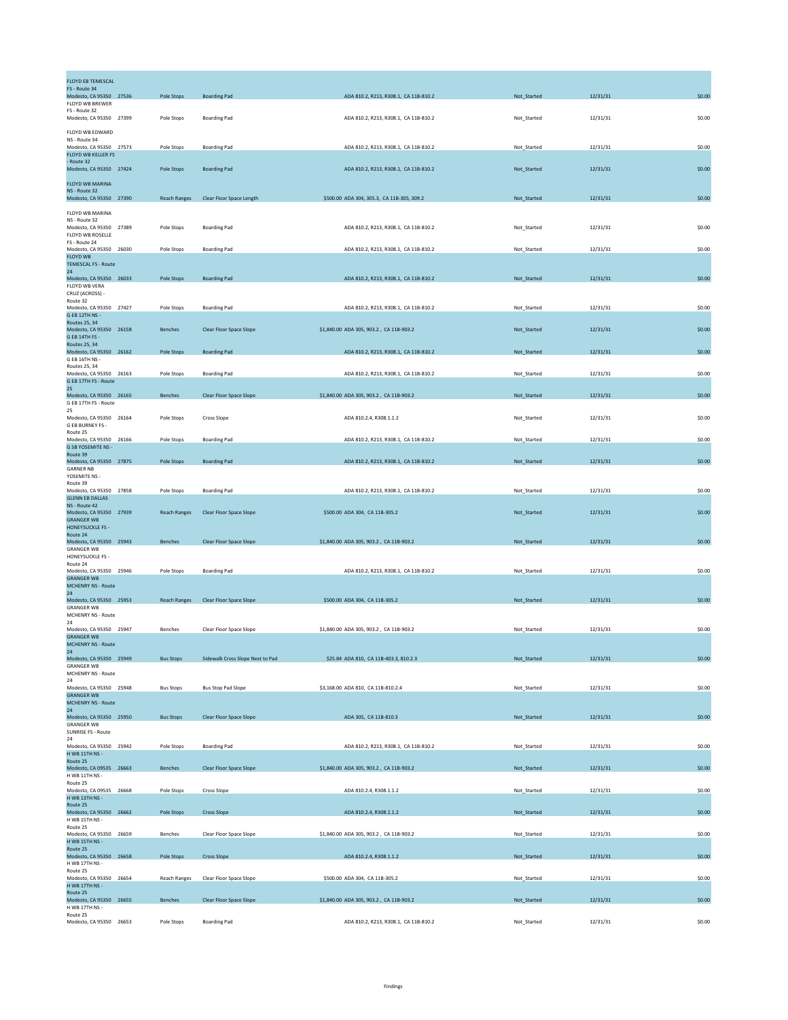| <b>FLOYD EB TEMESCAL</b>                        |                     |                                  |                                            |             |          |        |
|-------------------------------------------------|---------------------|----------------------------------|--------------------------------------------|-------------|----------|--------|
| FS - Route 34<br>Modesto, CA 95350 27536        | Pole Stops          | <b>Boarding Pad</b>              | ADA 810.2, R213, R308.1, CA 11B-810.2      | Not_Started | 12/31/31 | \$0.00 |
| FLOYD WB BREWER<br>FS - Route 32                |                     |                                  |                                            |             |          |        |
| Modesto, CA 95350 27399                         | Pole Stops          | <b>Boarding Pad</b>              | ADA 810.2, R213, R308.1, CA 11B-810.2      | Not_Started | 12/31/31 | \$0.00 |
| FLOYD WB EDWARD<br>NS - Route 34                |                     |                                  |                                            |             |          |        |
| Modesto, CA 95350 27573<br>FLOYD WB KELLER FS   | Pole Stops          | <b>Boarding Pad</b>              | ADA 810.2, R213, R308.1, CA 11B-810.2      | Not_Started | 12/31/31 | \$0.00 |
| - Route 32                                      |                     |                                  |                                            |             |          |        |
| Modesto, CA 95350 27424                         | Pole Stops          | <b>Boarding Pad</b>              | ADA 810.2, R213, R308.1, CA 11B-810.2      | Not_Started | 12/31/31 | \$0.00 |
| FLOYD WB MARINA<br>NS - Route 32                |                     |                                  |                                            |             |          |        |
| Modesto, CA 95350 27390                         | <b>Reach Ranges</b> | Clear Floor Space Length         | \$500.00 ADA 304, 305.3, CA 11B-305, 309.2 | Not_Started | 12/31/31 | \$0.00 |
| FLOYD WB MARINA<br>NS - Route 32                |                     |                                  |                                            |             |          |        |
| Modesto, CA 95350 27389<br>FLOYD WB ROSELLE     | Pole Stops          | <b>Boarding Pad</b>              | ADA 810.2, R213, R308.1, CA 11B-810.2      | Not Started | 12/31/31 | \$0.00 |
| FS - Route 24<br>Modesto, CA 95350 26030        | Pole Stops          | <b>Boarding Pad</b>              | ADA 810.2, R213, R308.1, CA 11B-810.2      | Not_Started | 12/31/31 | \$0.00 |
| <b>FLOYD WB</b><br><b>TEMESCAL FS - Route</b>   |                     |                                  |                                            |             |          |        |
| 24                                              |                     |                                  |                                            |             |          |        |
| Modesto, CA 95350 26033<br>FLOYD WB VERA        | Pole Stops          | <b>Boarding Pad</b>              | ADA 810.2, R213, R308.1, CA 11B-810.2      | Not_Started | 12/31/31 | \$0.00 |
| CRUZ (ACROSS) -<br>Route 32                     |                     |                                  |                                            |             |          |        |
| Modesto, CA 95350 27427<br>G EB 12TH NS -       | Pole Stops          | <b>Boarding Pad</b>              | ADA 810.2, R213, R308.1, CA 11B-810.2      | Not_Started | 12/31/31 | \$0.00 |
| <b>Routes 25, 34</b><br>Modesto, CA 95350 26158 | <b>Benches</b>      | Clear Floor Space Slope          | \$1,840.00 ADA 305, 903.2, CA 11B-903.2    | Not_Started | 12/31/31 | \$0.00 |
| G EB 14TH FS -<br><b>Routes 25, 34</b>          |                     |                                  |                                            |             |          |        |
| Modesto, CA 95350 26162                         | Pole Stops          | <b>Boarding Pad</b>              | ADA 810.2, R213, R308.1, CA 11B-810.2      | Not_Started | 12/31/31 | \$0.00 |
| G EB 16TH NS -<br>Routes 25, 34                 |                     |                                  |                                            |             |          |        |
| Modesto, CA 95350 26163<br>G EB 17TH FS - Route | Pole Stops          | <b>Boarding Pad</b>              | ADA 810.2, R213, R308.1, CA 11B-810.2      | Not_Started | 12/31/31 | \$0.00 |
| 25<br>Modesto, CA 95350 26165                   | <b>Benches</b>      | Clear Floor Space Slope          | \$1,840.00 ADA 305, 903.2, CA 11B-903.2    | Not Started | 12/31/31 | \$0.00 |
| G EB 17TH FS - Route<br>25                      |                     |                                  |                                            |             |          |        |
| Modesto, CA 95350 26164<br>G EB BURNEY FS -     | Pole Stops          | Cross Slope                      | ADA 810.2.4, R308.1.1.2                    | Not_Started | 12/31/31 | \$0.00 |
| Route 25<br>Modesto, CA 95350 26166             | Pole Stops          | <b>Boarding Pad</b>              | ADA 810.2, R213, R308.1, CA 11B-810.2      | Not_Started | 12/31/31 | \$0.00 |
| <b>G SB YOSEMITE NS -</b><br>Route 39           |                     |                                  |                                            |             |          |        |
| Modesto, CA 95350 27875<br><b>GARNER NB</b>     | Pole Stops          | <b>Boarding Pad</b>              | ADA 810.2, R213, R308.1, CA 11B-810.2      | Not_Started | 12/31/31 | \$0.00 |
| YOSEMITE NS -                                   |                     |                                  |                                            |             |          |        |
| Route 39<br>Modesto, CA 95350 27858             | Pole Stops          | <b>Boarding Pad</b>              | ADA 810.2, R213, R308.1, CA 11B-810.2      | Not_Started | 12/31/31 | \$0.00 |
| <b>GLENN EB DALLAS</b><br>NS - Route 42         |                     |                                  |                                            |             |          |        |
| Modesto, CA 95350 27939<br><b>GRANGER WB</b>    | <b>Reach Ranges</b> | Clear Floor Space Slope          | \$500.00 ADA 304, CA 11B-305.2             | Not_Started | 12/31/31 | \$0.00 |
| <b>HONEYSUCKLE FS -</b><br>Route 24             |                     |                                  |                                            |             |          |        |
| Modesto, CA 95350 25943<br><b>GRANGER WB</b>    | Benches             | Clear Floor Space Slope          | \$1,840.00 ADA 305, 903.2, CA 11B-903.2    | Not_Started | 12/31/31 | \$0.00 |
| HONEYSUCKLE FS -<br>Route 24                    |                     |                                  |                                            |             |          |        |
| Modesto, CA 95350 25946<br><b>GRANGER WB</b>    | Pole Stops          | <b>Boarding Pad</b>              | ADA 810.2, R213, R308.1, CA 11B-810.2      | Not Started | 12/31/31 | \$0.00 |
| <b>MCHENRY NS - Route</b><br>24                 |                     |                                  |                                            |             |          |        |
| Modesto, CA 95350 25953                         | <b>Reach Ranges</b> | <b>Clear Floor Space Slope</b>   | \$500.00 ADA 304, CA 11B-305.2             | Not_Started | 12/31/31 | \$0.00 |
| <b>GRANGER WB</b><br>MCHENRY NS - Route         |                     |                                  |                                            |             |          |        |
| 24<br>Modesto, CA 95350 25947                   | Benches             | Clear Floor Space Slope          | \$1,840.00 ADA 305, 903.2, CA 11B-903.2    | Not_Started | 12/31/31 | \$0.00 |
| <b>GRANGER WB</b><br><b>MCHENRY NS - Route</b>  |                     |                                  |                                            |             |          |        |
| 24<br>Modesto, CA 95350 25949                   | <b>Bus Stops</b>    | Sidewalk Cross Slope Next to Pad | \$25.84 ADA 810, CA 11B-403.3, 810.2.3     | Not_Started | 12/31/31 | \$0.00 |
| <b>GRANGER WB</b><br>MCHENRY NS - Route         |                     |                                  |                                            |             |          |        |
| 24<br>Modesto, CA 95350 25948                   | <b>Bus Stops</b>    | <b>Bus Stop Pad Slope</b>        | \$3,168.00 ADA 810, CA 11B-810.2.4         | Not_Started | 12/31/31 | \$0.00 |
| <b>GRANGER WB</b><br><b>MCHENRY NS - Route</b>  |                     |                                  |                                            |             |          |        |
| 24                                              |                     | Clear Floor Space Slope          |                                            |             |          |        |
| Modesto, CA 95350 25950<br><b>GRANGER WB</b>    | <b>Bus Stops</b>    |                                  | ADA 305, CA 11B-810.3                      | Not_Started | 12/31/31 | \$0.00 |
| SUNRISE FS - Route<br>24                        |                     |                                  |                                            |             |          |        |
| Modesto, CA 95350 25942<br>H WB 11TH NS -       | Pole Stops          | <b>Boarding Pad</b>              | ADA 810.2, R213, R308.1, CA 11B-810.2      | Not_Started | 12/31/31 | \$0.00 |
| Route 25<br>Modesto, CA 09535 26663             | Benches             | Clear Floor Space Slope          | \$1,840.00 ADA 305, 903.2, CA 11B-903.2    | Not_Started | 12/31/31 | \$0.00 |
| H WB 11TH NS -<br>Route 25                      |                     |                                  |                                            |             |          |        |
| Modesto, CA 09535 26668<br>H WB 13TH NS -       | Pole Stops          | <b>Cross Slope</b>               | ADA 810.2.4, R308.1.1.2                    | Not_Started | 12/31/31 | \$0.00 |
| Route 25<br>Modesto, CA 95350 26662             | Pole Stops          | <b>Cross Slope</b>               | ADA 810.2.4, R308.1.1.2                    | Not_Started | 12/31/31 | \$0.00 |
| H WB 15TH NS -                                  |                     |                                  |                                            |             |          |        |
| Route 25<br>Modesto, CA 95350 26659             | Benches             | Clear Floor Space Slope          | \$1,840.00 ADA 305, 903.2, CA 11B-903.2    | Not_Started | 12/31/31 | \$0.00 |
| H WB 15TH NS -<br>Route 25                      |                     |                                  |                                            |             |          |        |
| Modesto, CA 95350 26658<br>H WB 17TH NS -       | Pole Stops          | <b>Cross Slope</b>               | ADA 810.2.4, R308.1.1.2                    | Not_Started | 12/31/31 | \$0.00 |
| Route 25<br>Modesto, CA 95350 26654             | <b>Reach Ranges</b> | Clear Floor Space Slope          | \$500.00 ADA 304, CA 11B-305.2             | Not_Started | 12/31/31 | \$0.00 |
| H WB 17TH NS -<br>Route 25                      |                     |                                  |                                            |             |          |        |
| Modesto, CA 95350 26655<br>H WB 17TH NS -       | Benches             | Clear Floor Space Slope          | \$1,840.00 ADA 305, 903.2, CA 11B-903.2    | Not_Started | 12/31/31 | \$0.00 |
| Route 25                                        | Pole Stops          | <b>Boarding Pad</b>              | ADA 810.2, R213, R308.1, CA 11B-810.2      | Not_Started | 12/31/31 | \$0.00 |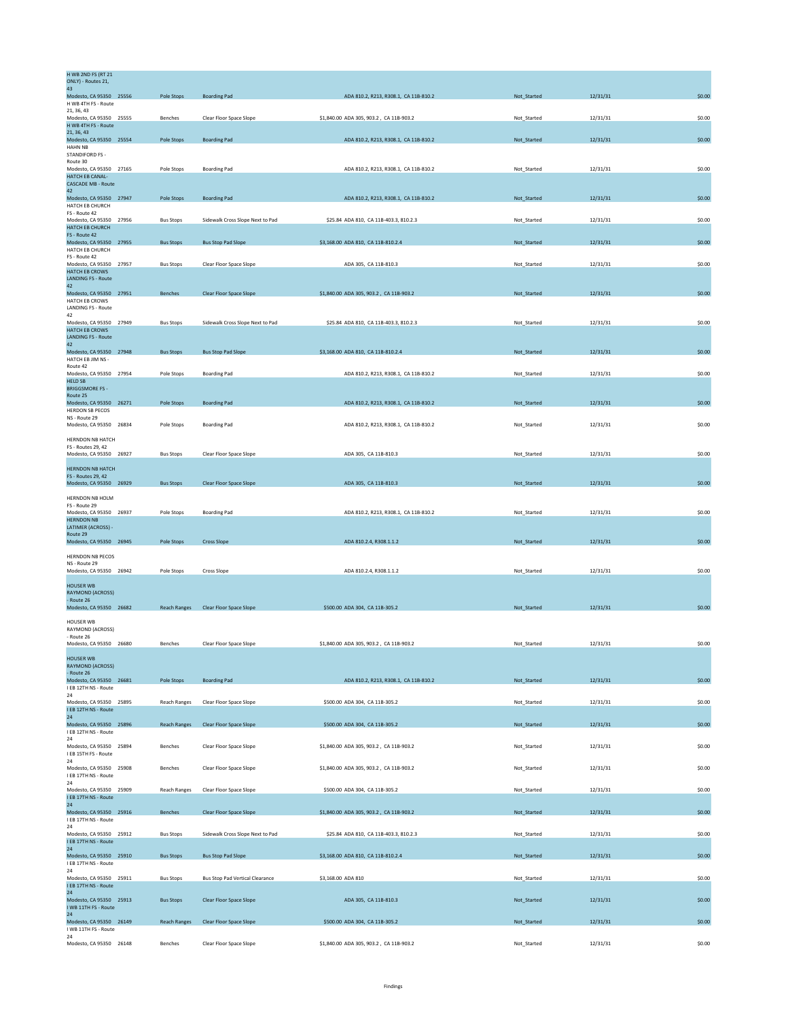| <b>H WB 2ND FS (RT 21</b><br>ONLY) - Routes 21,      |                     |                                        |                                         |             |          |        |
|------------------------------------------------------|---------------------|----------------------------------------|-----------------------------------------|-------------|----------|--------|
| 43<br>Modesto, CA 95350 25556                        | Pole Stops          | <b>Boarding Pad</b>                    | ADA 810.2, R213, R308.1, CA 11B-810.2   | Not_Started | 12/31/31 | \$0.00 |
| H WB 4TH FS - Route<br>21, 36, 43                    |                     |                                        |                                         |             |          |        |
| Modesto, CA 95350 25555                              | Benches             | Clear Floor Space Slope                | \$1,840.00 ADA 305, 903.2, CA 11B-903.2 | Not_Started | 12/31/31 | \$0.00 |
| H WB 4TH FS - Route<br>21, 36, 43                    |                     |                                        |                                         |             |          |        |
| Modesto, CA 95350 25554<br><b>HAHN NB</b>            | Pole Stops          | <b>Boarding Pad</b>                    | ADA 810.2, R213, R308.1, CA 11B-810.2   | Not_Started | 12/31/31 | \$0.00 |
| STANDIFORD FS -<br>Route 30                          |                     |                                        |                                         |             |          |        |
| Modesto, CA 95350 27165<br><b>HATCH EB CANAL-</b>    | Pole Stops          | <b>Boarding Pad</b>                    | ADA 810.2, R213, R308.1, CA 11B-810.2   | Not_Started | 12/31/31 | \$0.00 |
| <b>CASCADE MB - Route</b>                            |                     |                                        |                                         |             |          |        |
| 42<br>Modesto, CA 95350 27947                        | Pole Stops          | <b>Boarding Pad</b>                    | ADA 810.2, R213, R308.1, CA 11B-810.2   | Not_Started | 12/31/31 | \$0.00 |
| HATCH EB CHURCH<br>FS - Route 42                     |                     |                                        |                                         |             |          |        |
| Modesto, CA 95350 27956<br>HATCH EB CHURCH           | <b>Bus Stops</b>    | Sidewalk Cross Slope Next to Pad       | \$25.84 ADA 810, CA 11B-403.3, 810.2.3  | Not_Started | 12/31/31 | \$0.00 |
| FS - Route 42                                        |                     |                                        |                                         |             |          |        |
| Modesto, CA 95350 27955<br>HATCH EB CHURCH           | <b>Bus Stops</b>    | <b>Bus Stop Pad Slope</b>              | \$3,168.00 ADA 810, CA 11B-810.2.4      | Not_Started | 12/31/31 | \$0.00 |
| FS - Route 42<br>Modesto, CA 95350 27957             | <b>Bus Stops</b>    | Clear Floor Space Slope                | ADA 305, CA 11B-810.3                   | Not_Started | 12/31/31 | \$0.00 |
| <b>HATCH EB CROWS</b><br><b>LANDING FS - Route</b>   |                     |                                        |                                         |             |          |        |
| 42<br>Modesto, CA 95350 27951                        | Benches             | Clear Floor Space Slope                | \$1,840.00 ADA 305, 903.2, CA 11B-903.2 | Not_Started | 12/31/31 | \$0.00 |
| HATCH EB CROWS                                       |                     |                                        |                                         |             |          |        |
| <b>LANDING FS - Route</b><br>42                      |                     |                                        |                                         |             |          |        |
| Modesto, CA 95350 27949<br><b>HATCH EB CROWS</b>     | <b>Bus Stops</b>    | Sidewalk Cross Slope Next to Pad       | \$25.84 ADA 810, CA 11B-403.3, 810.2.3  | Not Started | 12/31/31 | \$0.00 |
| <b>LANDING FS - Route</b><br>42                      |                     |                                        |                                         |             |          |        |
| Modesto, CA 95350 27948<br>HATCH EB JIM NS -         | <b>Bus Stops</b>    | <b>Bus Stop Pad Slope</b>              | \$3,168.00 ADA 810, CA 11B-810.2.4      | Not Started | 12/31/31 | \$0.00 |
| Route 42                                             |                     |                                        |                                         |             |          |        |
| Modesto, CA 95350 27954<br><b>HELD SB</b>            | Pole Stops          | <b>Boarding Pad</b>                    | ADA 810.2, R213, R308.1, CA 11B-810.2   | Not_Started | 12/31/31 | \$0.00 |
| <b>BRIGGSMORE FS-</b><br>Route 25                    |                     |                                        |                                         |             |          |        |
| Modesto, CA 95350 26271<br><b>HERDON SB PECOS</b>    | Pole Stops          | <b>Boarding Pad</b>                    | ADA 810.2, R213, R308.1, CA 11B-810.2   | Not_Started | 12/31/31 | \$0.00 |
| NS - Route 29                                        |                     |                                        |                                         |             |          |        |
| Modesto, CA 95350 26834                              | Pole Stops          | <b>Boarding Pad</b>                    | ADA 810.2, R213, R308.1, CA 11B-810.2   | Not_Started | 12/31/31 | \$0.00 |
| HERNDON NB HATCH<br><b>FS - Routes 29, 42</b>        |                     |                                        |                                         |             |          |        |
| Modesto, CA 95350 26927                              | <b>Bus Stops</b>    | Clear Floor Space Slope                | ADA 305, CA 11B-810.3                   | Not_Started | 12/31/31 | \$0.00 |
| <b>HERNDON NB HATCH</b><br><b>FS - Routes 29, 42</b> |                     |                                        |                                         |             |          |        |
| Modesto, CA 95350 26929                              | <b>Bus Stops</b>    | <b>Clear Floor Space Slope</b>         | ADA 305, CA 11B-810.3                   | Not Started | 12/31/31 | \$0.00 |
| HERNDON NB HOLM                                      |                     |                                        |                                         |             |          |        |
| FS - Route 29<br>Modesto, CA 95350 26937             | Pole Stops          | <b>Boarding Pad</b>                    | ADA 810.2, R213, R308.1, CA 11B-810.2   | Not Started | 12/31/31 | \$0.00 |
| <b>HERNDON NB</b><br><b>LATIMER (ACROSS) -</b>       |                     |                                        |                                         |             |          |        |
| Route 29                                             |                     |                                        |                                         |             |          |        |
| Modesto, CA 95350 26945                              | Pole Stops          | <b>Cross Slope</b>                     | ADA 810.2.4, R308.1.1.2                 | Not_Started | 12/31/31 | \$0.00 |
| HERNDON NB PECOS<br>NS - Route 29                    |                     |                                        |                                         |             |          |        |
| Modesto, CA 95350 26942                              | Pole Stops          | Cross Slope                            | ADA 810.2.4, R308.1.1.2                 | Not_Started | 12/31/31 | \$0.00 |
| <b>HOUSER WB</b><br><b>RAYMOND (ACROSS)</b>          |                     |                                        |                                         |             |          |        |
| - Route 26                                           |                     |                                        |                                         |             |          |        |
| Modesto, CA 95350 26682                              | <b>Reach Ranges</b> | Clear Floor Space Slope                | \$500.00 ADA 304, CA 11B-305.2          | Not_Started | 12/31/31 | \$0.00 |
| HOUSER WB<br>RAYMOND (ACROSS)                        |                     |                                        |                                         |             |          |        |
| - Route 26<br>Modesto, CA 95350 26680                | Benches             | Clear Floor Space Slope                | \$1,840.00 ADA 305, 903.2, CA 11B-903.2 | Not Started | 12/31/31 | \$0.00 |
| <b>HOUSER WB</b>                                     |                     |                                        |                                         |             |          |        |
| RAYMOND (ACROSS)                                     |                     |                                        |                                         |             |          |        |
| - Route 26<br>Modesto, CA 95350 26681                | Pole Stops          | <b>Boarding Pad</b>                    | ADA 810.2, R213, R308.1, CA 11B-810.2   | Not_Started | 12/31/31 | \$0.00 |
| I EB 12TH NS - Route<br>24                           |                     |                                        |                                         |             |          |        |
| Modesto, CA 95350 25895<br>I EB 12TH NS - Route      | <b>Reach Ranges</b> | Clear Floor Space Slope                | \$500.00 ADA 304, CA 11B-305.2          | Not_Started | 12/31/31 | \$0.00 |
| 24<br>Modesto, CA 95350 25896                        | <b>Reach Ranges</b> | Clear Floor Space Slope                | \$500.00 ADA 304, CA 11B-305.2          | Not_Started | 12/31/31 | \$0.00 |
| I EB 12TH NS - Route                                 |                     |                                        |                                         |             |          |        |
| 24<br>Modesto, CA 95350 25894                        | Benches             | Clear Floor Space Slope                | \$1,840.00 ADA 305, 903.2, CA 11B-903.2 | Not_Started | 12/31/31 | \$0.00 |
| I EB 15TH FS - Route<br>24                           |                     |                                        |                                         |             |          |        |
| Modesto, CA 95350 25908<br>I EB 17TH NS - Route      | Benches             | Clear Floor Space Slope                | \$1,840.00 ADA 305, 903.2, CA 11B-903.2 | Not_Started | 12/31/31 | \$0.00 |
| 24                                                   |                     | Clear Floor Space Slope                |                                         |             |          |        |
| Modesto, CA 95350 25909<br>I EB 17TH NS - Route      | <b>Reach Ranges</b> |                                        | \$500.00 ADA 304, CA 11B-305.2          | Not_Started | 12/31/31 | \$0.00 |
| 24<br>Modesto, CA 95350 25916                        | <b>Benches</b>      | Clear Floor Space Slope                | \$1,840.00 ADA 305, 903.2, CA 11B-903.2 | Not_Started | 12/31/31 | \$0.00 |
| I EB 17TH NS - Route<br>24                           |                     |                                        |                                         |             |          |        |
| Modesto, CA 95350 25912                              | <b>Bus Stops</b>    | Sidewalk Cross Slope Next to Pad       | \$25.84 ADA 810, CA 11B-403.3, 810.2.3  | Not_Started | 12/31/31 | \$0.00 |
| I EB 17TH NS - Route<br>24                           |                     |                                        |                                         |             |          |        |
| Modesto, CA 95350 25910<br>I EB 17TH NS - Route      | <b>Bus Stops</b>    | <b>Bus Stop Pad Slope</b>              | \$3,168.00 ADA 810, CA 11B-810.2.4      | Not_Started | 12/31/31 | \$0.00 |
| 24<br>Modesto, CA 95350 25911                        | <b>Bus Stops</b>    | <b>Bus Stop Pad Vertical Clearance</b> | \$3,168,00 ADA 810                      | Not_Started | 12/31/31 | \$0.00 |
| I EB 17TH NS - Route<br>24                           |                     |                                        |                                         |             |          |        |
| Modesto, CA 95350 25913                              | <b>Bus Stops</b>    | Clear Floor Space Slope                | ADA 305, CA 11B-810.3                   | Not_Started | 12/31/31 | \$0.00 |
| I WB 11TH FS - Route<br>24                           |                     |                                        |                                         |             |          |        |
| Modesto, CA 95350 26149<br>I WB 11TH FS - Route      | <b>Reach Ranges</b> | Clear Floor Space Slope                | \$500.00 ADA 304, CA 11B-305.2          | Not_Started | 12/31/31 | \$0.00 |
| 24<br>Modesto, CA 95350 26148                        | Benches             | Clear Floor Space Slope                | \$1,840.00 ADA 305, 903.2, CA 11B-903.2 | Not_Started | 12/31/31 | \$0.00 |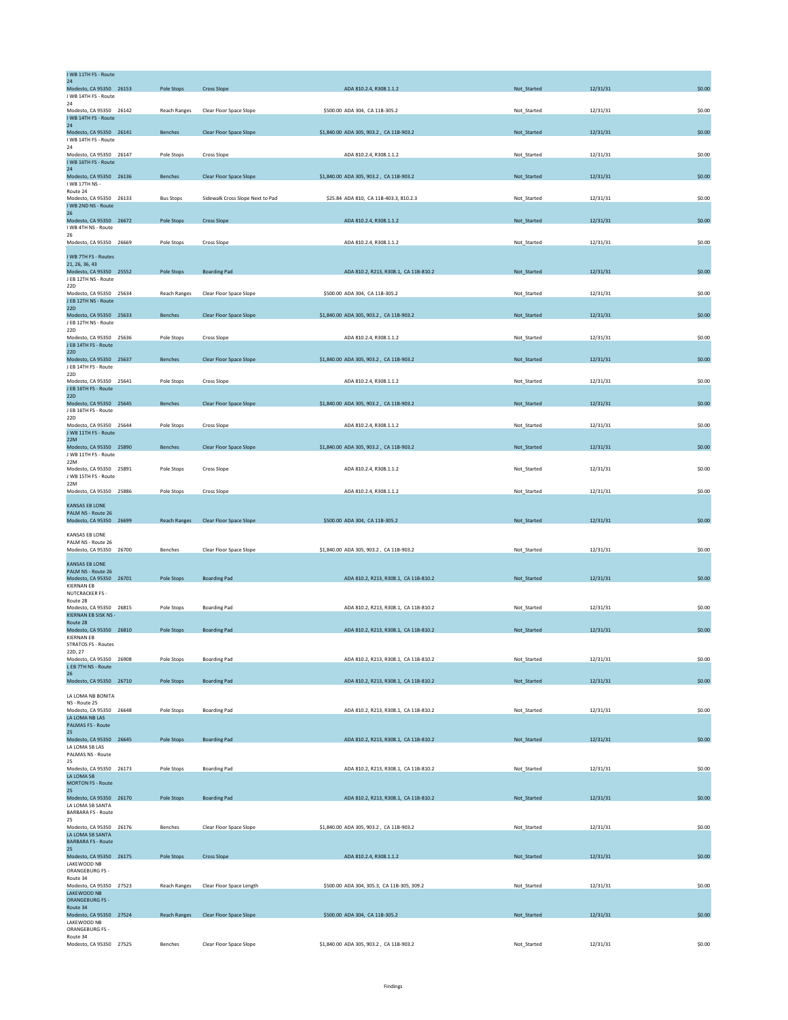| I WB 11TH FS - Route<br>24                                            |                     |                                  |                                            |             |          |        |
|-----------------------------------------------------------------------|---------------------|----------------------------------|--------------------------------------------|-------------|----------|--------|
| Modesto, CA 95350 26153<br>I WB 14TH FS - Route                       | Pole Stops          | <b>Cross Slope</b>               | ADA 810.2.4, R308.1.1.2                    | Not_Started | 12/31/31 | \$0.00 |
| 24<br>Modesto, CA 95350 26142<br>I WB 14TH FS - Route                 | Reach Ranges        | Clear Floor Space Slope          | \$500.00 ADA 304, CA 11B-305.2             | Not_Started | 12/31/31 | \$0.00 |
| 24<br>Modesto, CA 95350 26141                                         | <b>Benches</b>      | Clear Floor Space Slope          | \$1,840.00 ADA 305, 903.2, CA 11B-903.2    | Not_Started | 12/31/31 | \$0.00 |
| I WB 14TH FS - Route<br>24                                            |                     |                                  |                                            |             |          |        |
| Modesto, CA 95350 26147<br>I WB 16TH FS - Route<br>24                 | Pole Stops          | Cross Slope                      | ADA 810.2.4, R308.1.1.2                    | Not_Started | 12/31/31 | \$0.00 |
| Modesto, CA 95350 26136<br>I WB 17TH NS -                             | <b>Benches</b>      | Clear Floor Space Slope          | \$1,840.00 ADA 305, 903.2, CA 11B-903.2    | Not_Started | 12/31/31 | \$0.00 |
| Route 24<br>Modesto, CA 95350 26133<br>I WB 2ND NS - Route            | <b>Bus Stops</b>    | Sidewalk Cross Slope Next to Pad | \$25.84 ADA 810, CA 11B-403.3, 810.2.3     | Not_Started | 12/31/31 | \$0.00 |
| 26<br>Modesto, CA 95350 26672                                         | Pole Stops          | <b>Cross Slope</b>               | ADA 810.2.4, R308.1.1.2                    | Not_Started | 12/31/31 | \$0.00 |
| I WB 4TH NS - Route<br>26                                             |                     |                                  |                                            |             |          |        |
| Modesto, CA 95350 26669                                               | Pole Stops          | Cross Slope                      | ADA 810.2.4, R308.1.1.2                    | Not_Started | 12/31/31 | \$0.00 |
| I WB 7TH FS - Routes<br>21, 26, 36, 43<br>Modesto, CA 95350 25552     | <b>Pole Stops</b>   | <b>Boarding Pad</b>              | ADA 810.2, R213, R308.1, CA 11B-810.2      | Not Started | 12/31/31 | \$0.00 |
| J EB 12TH NS - Route<br>22D                                           |                     |                                  |                                            |             |          |        |
| Modesto, CA 95350 25634<br>J EB 12TH NS - Route                       | <b>Reach Ranges</b> | Clear Floor Space Slope          | \$500.00 ADA 304, CA 11B-305.2             | Not_Started | 12/31/31 | \$0.00 |
| 22D<br>Modesto, CA 95350 25633                                        | Benches             | Clear Floor Space Slope          | \$1,840.00 ADA 305, 903.2, CA 11B-903.2    | Not_Started | 12/31/31 | \$0.00 |
| J EB 12TH NS - Route<br>22D                                           |                     |                                  |                                            |             |          |        |
| Modesto, CA 95350 25636<br>J EB 14TH FS - Route<br>22D                | Pole Stops          | Cross Slope                      | ADA 810.2.4, R308.1.1.2                    | Not_Started | 12/31/31 | \$0.00 |
| Modesto, CA 95350 25637<br>J EB 14TH FS - Route                       | Benches             | Clear Floor Space Slope          | \$1,840.00 ADA 305, 903.2, CA 11B-903.2    | Not_Started | 12/31/31 | \$0.00 |
| 22D<br>Modesto, CA 95350 25641                                        | Pole Stops          | Cross Slope                      | ADA 810.2.4, R308.1.1.2                    | Not_Started | 12/31/31 | \$0.00 |
| J EB 16TH FS - Route<br>22D                                           |                     |                                  |                                            |             |          |        |
| Modesto, CA 95350 25645<br>J EB 16TH FS - Route                       | <b>Benches</b>      | Clear Floor Space Slope          | \$1,840.00 ADA 305, 903.2, CA 11B-903.2    | Not_Started | 12/31/31 | \$0.00 |
| 22D<br>Modesto, CA 95350 25644<br>J WB 11TH FS - Route                | Pole Stops          | Cross Slope                      | ADA 810.2.4, R308.1.1.2                    | Not_Started | 12/31/31 | \$0.00 |
| 22M<br>Modesto, CA 95350 25890                                        | <b>Benches</b>      | Clear Floor Space Slope          | \$1,840.00 ADA 305, 903.2, CA 11B-903.2    | Not Started | 12/31/31 | \$0.00 |
| J WB 11TH FS - Route<br>22M                                           |                     |                                  |                                            |             |          |        |
| Modesto, CA 95350 25891<br>J WB 15TH FS - Route<br>22M                | Pole Stops          | Cross Slope                      | ADA 810.2.4, R308.1.1.2                    | Not_Started | 12/31/31 | \$0.00 |
| Modesto, CA 95350 25886                                               | Pole Stops          | Cross Slope                      | ADA 810.2.4, R308.1.1.2                    | Not_Started | 12/31/31 | \$0.00 |
| <b>KANSAS EB LONE</b><br>PALM NS - Route 26                           |                     |                                  |                                            |             |          |        |
| Modesto, CA 95350 26699                                               | <b>Reach Ranges</b> | Clear Floor Space Slope          | \$500.00 ADA 304, CA 11B-305.2             | Not_Started | 12/31/31 | \$0.00 |
| KANSAS EB LONE<br>PALM NS - Route 26                                  |                     |                                  |                                            |             |          |        |
| Modesto, CA 95350 26700                                               | <b>Benches</b>      | Clear Floor Space Slope          | \$1,840.00 ADA 305, 903.2, CA 11B-903.2    | Not Started | 12/31/31 | \$0.00 |
| KANSAS EB LONE<br>PALM NS - Route 26<br>Modesto, CA 95350 26701       | Pole Stops          | <b>Boarding Pad</b>              | ADA 810.2, R213, R308.1, CA 11B-810.2      | Not_Started | 12/31/31 | \$0.00 |
| <b>KIERNAN EB</b><br><b>NUTCRACKER FS -</b>                           |                     |                                  |                                            |             |          |        |
| Route 28<br>Modesto, CA 95350 26815                                   | Pole Stops          | <b>Boarding Pad</b>              | ADA 810.2, R213, R308.1, CA 11B-810.2      | Not_Started | 12/31/31 | \$0.00 |
| KIERNAN EB SISK NS -<br>Route 28                                      |                     |                                  |                                            |             |          |        |
| Modesto, CA 95350 26810<br><b>KIERNAN EB</b><br>STRATOS FS - Routes   | Pole Stops          | <b>Boarding Pad</b>              | ADA 810.2, R213, R308.1, CA 11B-810.2      | Not_Started | 12/31/31 | \$0.00 |
| 22D, 27<br>Modesto, CA 95350 26908                                    | Pole Stops          | <b>Boarding Pad</b>              | ADA 810.2, R213, R308.1, CA 11B-810.2      | Not_Started | 12/31/31 | \$0.00 |
| L EB 7TH NS - Route<br>26                                             |                     |                                  |                                            |             |          |        |
| Modesto, CA 95350 26710                                               | Pole Stops          | <b>Boarding Pad</b>              | ADA 810.2, R213, R308.1, CA 11B-810.2      | Not_Started | 12/31/31 | \$0.00 |
| LA LOMA NB BONITA<br>NS - Route 25                                    |                     |                                  |                                            |             |          |        |
| Modesto, CA 95350 26648<br>LA LOMA NB LAS<br><b>PALMAS FS - Route</b> | Pole Stops          | <b>Boarding Pad</b>              | ADA 810.2, R213, R308.1, CA 11B-810.2      | Not_Started | 12/31/31 | \$0.00 |
| 25<br>Modesto, CA 95350 26645                                         | Pole Stops          | <b>Boarding Pad</b>              | ADA 810.2, R213, R308.1, CA 11B-810.2      | Not_Started | 12/31/31 | \$0.00 |
| LA LOMA SB LAS<br>PALMAS NS - Route                                   |                     |                                  |                                            |             |          |        |
| 25<br>Modesto, CA 95350 26173                                         | Pole Stops          | <b>Boarding Pad</b>              | ADA 810.2, R213, R308.1, CA 11B-810.2      | Not_Started | 12/31/31 | \$0.00 |
| LA LOMA SB<br><b>MORTON FS - Route</b>                                |                     |                                  |                                            |             |          |        |
| 25<br>Modesto, CA 95350 26170<br>LA LOMA SB SANTA                     | Pole Stops          | <b>Boarding Pad</b>              | ADA 810.2, R213, R308.1, CA 11B-810.2      | Not_Started | 12/31/31 | \$0.00 |
| <b>BARBARA FS - Route</b><br>25                                       |                     |                                  |                                            |             |          |        |
| Modesto, CA 95350 26176<br>LA LOMA SB SANTA                           | Benches             | Clear Floor Space Slope          | \$1,840.00 ADA 305, 903.2, CA 11B-903.2    | Not_Started | 12/31/31 | \$0.00 |
| <b>BARBARA FS - Route</b><br>25 <sub>2</sub>                          |                     |                                  |                                            |             |          |        |
| Modesto, CA 95350 26175<br>LAKEWOOD NB                                | Pole Stops          | <b>Cross Slope</b>               | ADA 810.2.4, R308.1.1.2                    | Not_Started | 12/31/31 | \$0.00 |
| ORANGEBURG FS -<br>Route 34                                           |                     |                                  | \$500.00 ADA 304, 305.3, CA 11B-305, 309.2 |             |          | \$0.00 |
| Modesto, CA 95350 27523<br>LAKEWOOD NB<br>ORANGEBURG FS -             | <b>Reach Ranges</b> | Clear Floor Space Length         |                                            | Not Started | 12/31/31 |        |
| Route 34<br>Modesto, CA 95350 27524                                   | <b>Reach Ranges</b> | <b>Clear Floor Space Slope</b>   | \$500.00 ADA 304, CA 11B-305.2             | Not_Started | 12/31/31 | \$0.00 |
| LAKEWOOD NB<br>ORANGEBURG FS -                                        |                     |                                  |                                            |             |          |        |
| Route 34<br>Modesto, CA 95350 27525                                   | Benches             | Clear Floor Space Slope          | \$1,840.00 ADA 305, 903.2, CA 11B-903.2    | Not_Started | 12/31/31 | \$0.00 |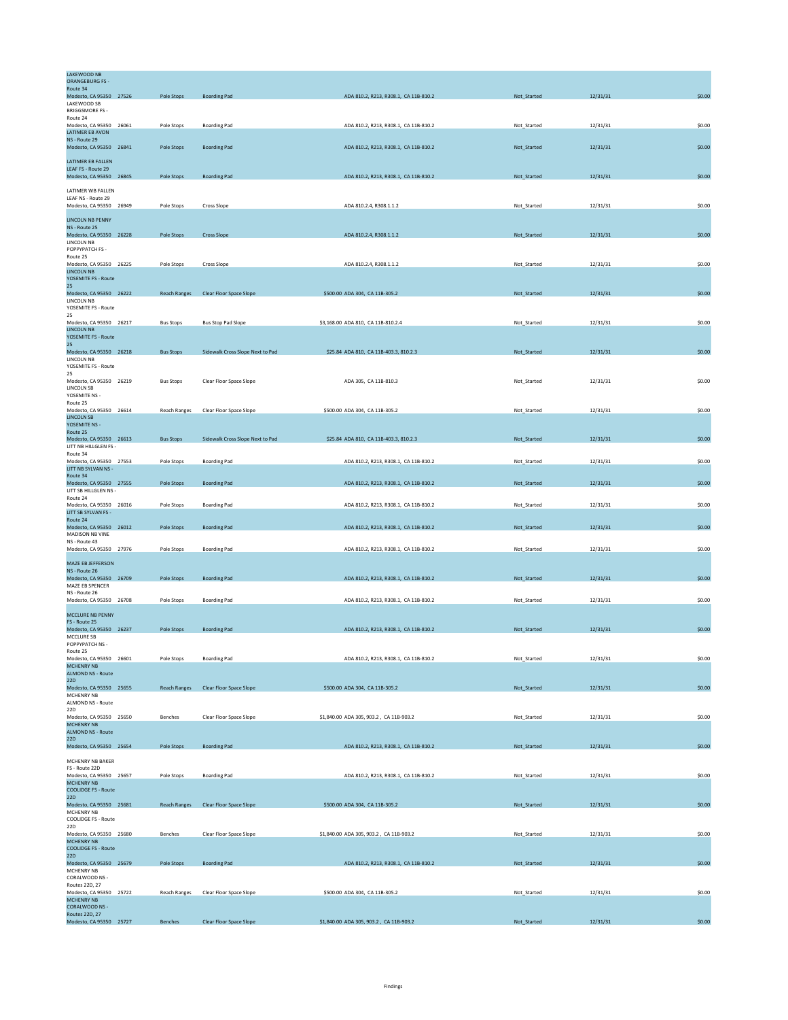| <b>LAKEWOOD NB</b><br><b>ORANGEBURG FS-</b><br>Route 34      |                     |                                  |                                         |             |          |        |
|--------------------------------------------------------------|---------------------|----------------------------------|-----------------------------------------|-------------|----------|--------|
| Modesto, CA 95350 27526                                      | Pole Stops          | <b>Boarding Pad</b>              | ADA 810.2, R213, R308.1, CA 11B-810.2   | Not_Started | 12/31/31 | \$0.00 |
| LAKEWOOD SB<br><b>BRIGGSMORE FS-</b><br>Route 24             |                     |                                  |                                         |             |          |        |
| Modesto, CA 95350 26061                                      | Pole Stops          | <b>Boarding Pad</b>              | ADA 810.2, R213, R308.1, CA 11B-810.2   | Not_Started | 12/31/31 | \$0.00 |
| LATIMER EB AVON<br>NS - Route 29<br>Modesto, CA 95350 26841  | Pole Stops          | <b>Boarding Pad</b>              | ADA 810.2, R213, R308.1, CA 11B-810.2   | Not_Started | 12/31/31 | \$0.00 |
| LATIMER EB FALLEN<br>LEAF FS - Route 29                      |                     |                                  |                                         |             |          |        |
| Modesto, CA 95350 26845                                      | Pole Stops          | <b>Boarding Pad</b>              | ADA 810.2, R213, R308.1, CA 11B-810.2   | Not_Started | 12/31/31 | \$0.00 |
| LATIMER WB FALLEN                                            |                     |                                  |                                         |             |          |        |
| LEAF NS - Route 29<br>Modesto, CA 95350 26949                | Pole Stops          | Cross Slope                      | ADA 810.2.4, R308.1.1.2                 | Not_Started | 12/31/31 | \$0.00 |
| <b>LINCOLN NB PENNY</b>                                      |                     |                                  |                                         |             |          |        |
| NS - Route 25<br>Modesto, CA 95350 26228<br>LINCOLN NB       | Pole Stops          | <b>Cross Slope</b>               | ADA 810.2.4, R308.1.1.2                 | Not_Started | 12/31/31 | \$0.00 |
| POPPYPATCH FS -<br>Route 25<br>Modesto, CA 95350 26225       | Pole Stops          | Cross Slope                      | ADA 810.2.4, R308.1.1.2                 | Not_Started | 12/31/31 | \$0.00 |
| <b>LINCOLN NB</b><br>YOSEMITE FS - Route                     |                     |                                  |                                         |             |          |        |
| 25                                                           |                     |                                  |                                         |             |          |        |
| Modesto, CA 95350 26222<br>LINCOLN NB<br>YOSEMITE FS - Route | <b>Reach Ranges</b> | <b>Clear Floor Space Slope</b>   | \$500.00 ADA 304, CA 11B-305.2          | Not_Started | 12/31/31 | \$0.00 |
| 25<br>Modesto, CA 95350 26217                                | <b>Bus Stops</b>    | <b>Bus Stop Pad Slope</b>        | \$3,168.00 ADA 810, CA 11B-810.2.4      | Not_Started | 12/31/31 | \$0.00 |
| <b>LINCOLN NB</b><br>YOSEMITE FS - Route<br>25               |                     |                                  |                                         |             |          |        |
| Modesto, CA 95350 26218                                      | <b>Bus Stops</b>    | Sidewalk Cross Slope Next to Pad | \$25.84 ADA 810, CA 11B-403.3, 810.2.3  | Not_Started | 12/31/31 | \$0.00 |
| LINCOLN NB<br>YOSEMITE FS - Route                            |                     |                                  |                                         |             |          |        |
| 25<br>Modesto, CA 95350 26219                                | <b>Bus Stops</b>    | Clear Floor Space Slope          | ADA 305, CA 11B-810.3                   | Not_Started | 12/31/31 | \$0.00 |
| LINCOLN SB<br>YOSEMITE NS -<br>Route 25                      |                     |                                  |                                         |             |          |        |
| Modesto, CA 95350 26614                                      | <b>Reach Ranges</b> | Clear Floor Space Slope          | \$500.00 ADA 304, CA 11B-305.2          | Not_Started | 12/31/31 | \$0.00 |
| LINCOLN SB<br>YOSEMITE NS -<br>Route 25                      |                     |                                  |                                         |             |          |        |
| Modesto, CA 95350 26613<br>LITT NB HILLGLEN FS -             | <b>Bus Stops</b>    | Sidewalk Cross Slope Next to Pad | \$25.84 ADA 810, CA 11B-403.3, 810.2.3  | Not_Started | 12/31/31 | \$0.00 |
| Route 34<br>Modesto, CA 95350 27553                          | Pole Stops          | <b>Boarding Pad</b>              | ADA 810.2, R213, R308.1, CA 11B-810.2   | Not_Started | 12/31/31 | \$0.00 |
| LITT NB SYLVAN NS -<br>Route 34                              |                     |                                  |                                         |             |          |        |
| Modesto, CA 95350 27555<br>LITT SB HILLGLEN NS -             | Pole Stops          | <b>Boarding Pad</b>              | ADA 810.2, R213, R308.1, CA 11B-810.2   | Not_Started | 12/31/31 | \$0.00 |
| Route 24<br>Modesto, CA 95350 26016                          | Pole Stops          | <b>Boarding Pad</b>              | ADA 810.2, R213, R308.1, CA 11B-810.2   | Not_Started | 12/31/31 | \$0.00 |
| LITT SB SYLVAN FS -<br>Route 24                              |                     |                                  |                                         |             |          |        |
| Modesto, CA 95350 26012<br>MADISON NB VINE                   | Pole Stops          | <b>Boarding Pad</b>              | ADA 810.2, R213, R308.1, CA 11B-810.2   | Not_Started | 12/31/31 | \$0.00 |
| NS - Route 43<br>Modesto, CA 95350 27976                     | Pole Stops          | <b>Boarding Pad</b>              | ADA 810.2, R213, R308.1, CA 11B-810.2   | Not_Started | 12/31/31 | \$0.00 |
| MAZE EB JEFFERSON                                            |                     |                                  |                                         |             |          |        |
| NS - Route 26<br>Modesto, CA 95350 26709                     | Pole Stops          | <b>Boarding Pad</b>              | ADA 810.2, R213, R308.1, CA 11B-810.2   | Not_Started | 12/31/31 | \$0.00 |
| MAZE EB SPENCER<br>NS - Route 26                             |                     |                                  |                                         |             |          |        |
| Modesto, CA 95350 26708                                      | Pole Stops          | <b>Boarding Pad</b>              | ADA 810.2, R213, R308.1, CA 11B-810.2   | Not_Started | 12/31/31 | \$0.00 |
| MCCLURE NB PENNY<br>FS - Route 25                            |                     | <b>Boarding Pad</b>              |                                         |             |          | \$0.00 |
| Modesto, CA 95350 26237<br>MCCLURE SB<br>POPPYPATCH NS -     | Pole Stops          |                                  | ADA 810.2, R213, R308.1, CA 11B-810.2   | Not_Started | 12/31/31 |        |
| Route 25<br>Modesto, CA 95350 26601                          | Pole Stops          | <b>Boarding Pad</b>              | ADA 810.2, R213, R308.1, CA 11B-810.2   | Not_Started | 12/31/31 | \$0.00 |
| MCHENRY NB<br><b>ALMOND NS - Route</b>                       |                     |                                  |                                         |             |          |        |
| 22D<br>Modesto, CA 95350 25655                               | <b>Reach Ranges</b> | <b>Clear Floor Space Slope</b>   | \$500.00 ADA 304, CA 11B-305.2          | Not_Started | 12/31/31 | \$0.00 |
| MCHENRY NB<br>ALMOND NS - Route                              |                     |                                  |                                         |             |          |        |
| 22D<br>Modesto, CA 95350 25650                               | <b>Benches</b>      | Clear Floor Space Slope          | \$1,840.00 ADA 305, 903.2, CA 11B-903.2 | Not_Started | 12/31/31 | \$0.00 |
| <b>MCHENRY NB</b><br><b>ALMOND NS - Route</b><br>22D         |                     |                                  |                                         |             |          |        |
| Modesto, CA 95350 25654                                      | Pole Stops          | <b>Boarding Pad</b>              | ADA 810.2, R213, R308.1, CA 11B-810.2   | Not_Started | 12/31/31 | \$0.00 |
| MCHENRY NB BAKER<br>FS - Route 22D                           |                     |                                  |                                         |             |          |        |
| Modesto, CA 95350 25657<br><b>MCHENRY NB</b>                 | Pole Stops          | <b>Boarding Pad</b>              | ADA 810.2, R213, R308.1, CA 11B-810.2   | Not_Started | 12/31/31 | \$0.00 |
| <b>COOLIDGE FS - Route</b>                                   |                     |                                  |                                         |             |          |        |
| 22D<br>Modesto, CA 95350 25681<br>MCHENRY NB                 | <b>Reach Ranges</b> | Clear Floor Space Slope          | \$500.00 ADA 304, CA 11B-305.2          | Not_Started | 12/31/31 | \$0.00 |
| COOLIDGE FS - Route<br>22D                                   |                     |                                  |                                         |             |          |        |
| Modesto, CA 95350 25680<br><b>MCHENRY NB</b>                 | Benches             | Clear Floor Space Slope          | \$1,840.00 ADA 305, 903.2, CA 11B-903.2 | Not_Started | 12/31/31 | \$0.00 |
| <b>COOLIDGE FS - Route</b><br><b>22D</b>                     |                     |                                  |                                         |             |          |        |
| Modesto, CA 95350 25679                                      | Pole Stops          | <b>Boarding Pad</b>              | ADA 810.2, R213, R308.1, CA 11B-810.2   | Not_Started | 12/31/31 | \$0.00 |
| MCHENRY NB<br>CORALWOOD NS -<br>Routes 22D, 27               |                     |                                  |                                         |             |          |        |
| Modesto, CA 95350 25722<br>MCHENRY NB                        | <b>Reach Ranges</b> | Clear Floor Space Slope          | \$500.00 ADA 304, CA 11B-305.2          | Not Started | 12/31/31 | \$0.00 |
| CORALWOOD NS -<br>Routes 22D, 27                             |                     |                                  |                                         |             |          |        |
| Modesto, CA 95350 25727                                      | Benches             | Clear Floor Space Slope          | \$1,840.00 ADA 305, 903.2, CA 11B-903.2 | Not_Started | 12/31/31 | \$0.00 |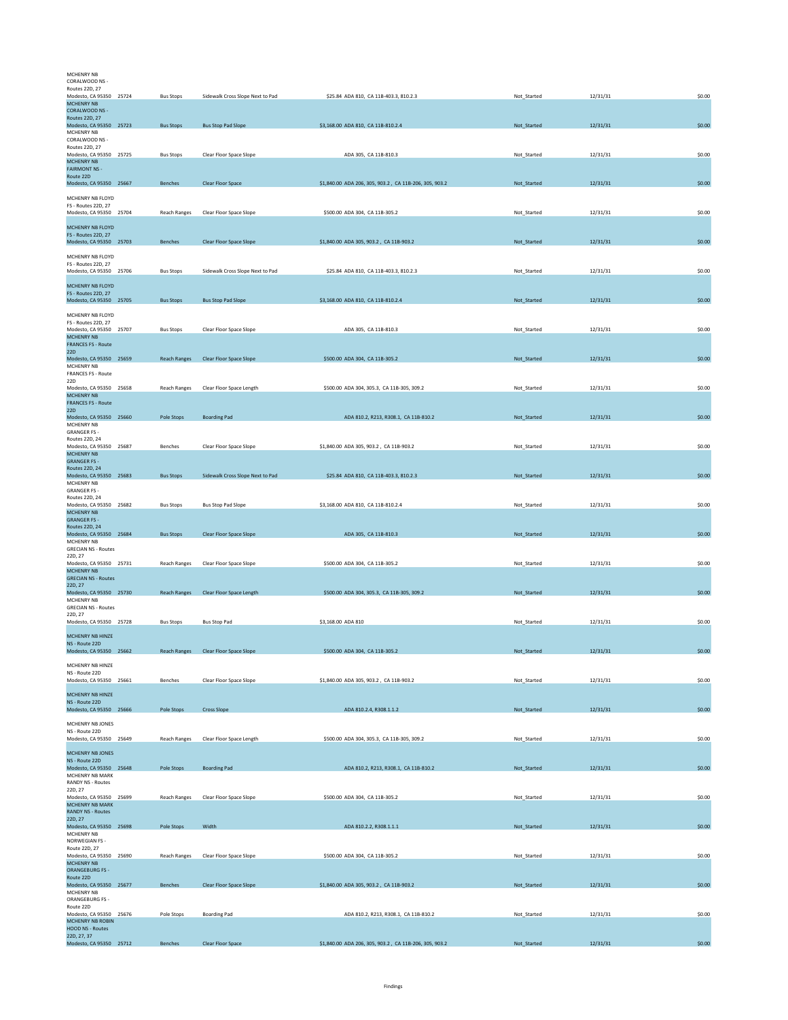| MCHENRY NB<br>CORALWOOD NS -                                                           |                     |                                  |                                                        |             |          |        |
|----------------------------------------------------------------------------------------|---------------------|----------------------------------|--------------------------------------------------------|-------------|----------|--------|
| Routes 22D, 27<br>Modesto, CA 95350 25724<br><b>MCHENRY NB</b>                         | <b>Bus Stops</b>    | Sidewalk Cross Slope Next to Pad | \$25.84 ADA 810, CA 11B-403.3, 810.2.3                 | Not_Started | 12/31/31 | \$0.00 |
| CORALWOOD NS -<br>Routes 22D, 27                                                       |                     |                                  |                                                        |             |          |        |
| Modesto, CA 95350 25723<br>MCHENRY NB<br>CORALWOOD NS -                                | <b>Bus Stops</b>    | <b>Bus Stop Pad Slope</b>        | \$3,168.00 ADA 810, CA 11B-810.2.4                     | Not_Started | 12/31/31 | \$0.00 |
| Routes 22D, 27<br>Modesto, CA 95350 25725<br><b>MCHENRY NB</b><br><b>FAIRMONT NS -</b> | <b>Bus Stops</b>    | Clear Floor Space Slope          | ADA 305, CA 11B-810.3                                  | Not_Started | 12/31/31 | \$0.00 |
| Route 22D<br>Modesto, CA 95350 25667                                                   | Benches             | Clear Floor Space                | \$1,840.00 ADA 206, 305, 903.2, CA 11B-206, 305, 903.2 | Not_Started | 12/31/31 | \$0.00 |
| MCHENRY NB FLOYD<br>FS - Routes 22D, 27                                                |                     |                                  |                                                        |             |          |        |
| Modesto, CA 95350 25704                                                                | Reach Ranges        | Clear Floor Space Slope          | \$500.00 ADA 304, CA 11B-305.2                         | Not_Started | 12/31/31 | \$0.00 |
| MCHENRY NB FLOYD<br>FS - Routes 22D, 27<br>Modesto, CA 95350 25703                     | <b>Benches</b>      | Clear Floor Space Slope          | \$1,840.00 ADA 305, 903.2, CA 11B-903.2                | Not_Started | 12/31/31 | \$0.00 |
| MCHENRY NB FLOYD                                                                       |                     |                                  |                                                        |             |          |        |
| FS - Routes 22D, 27<br>Modesto, CA 95350 25706                                         | <b>Bus Stops</b>    | Sidewalk Cross Slope Next to Pad | \$25.84 ADA 810, CA 11B-403.3, 810.2.3                 | Not_Started | 12/31/31 | \$0.00 |
| MCHENRY NB FLOYD<br>FS - Routes 22D, 27                                                |                     |                                  |                                                        |             |          |        |
| Modesto, CA 95350 25705<br>MCHENRY NB FLOYD                                            | <b>Bus Stops</b>    | <b>Bus Stop Pad Slope</b>        | \$3,168.00 ADA 810, CA 11B-810.2.4                     | Not_Started | 12/31/31 | \$0.00 |
| FS - Routes 22D, 27<br>Modesto, CA 95350 25707                                         | <b>Bus Stops</b>    | Clear Floor Space Slope          | ADA 305, CA 11B-810.3                                  | Not_Started | 12/31/31 | \$0.00 |
| <b>MCHENRY NB</b><br><b>FRANCES FS - Route</b><br><b>22D</b>                           |                     |                                  |                                                        |             |          |        |
| Modesto, CA 95350 25659<br>MCHENRY NB                                                  | Reach Ranges        | Clear Floor Space Slope          | \$500.00 ADA 304, CA 11B-305.2                         | Not_Started | 12/31/31 | \$0.00 |
| <b>FRANCES FS - Route</b><br>22D                                                       |                     |                                  |                                                        |             |          |        |
| Modesto, CA 95350 25658<br><b>MCHENRY NB</b>                                           | <b>Reach Ranges</b> | Clear Floor Space Length         | \$500.00 ADA 304, 305.3, CA 11B-305, 309.2             | Not_Started | 12/31/31 | \$0.00 |
| <b>FRANCES FS - Route</b><br>22D<br>Modesto, CA 95350 25660                            | Pole Stops          | <b>Boarding Pad</b>              | ADA 810.2, R213, R308.1, CA 11B-810.2                  | Not_Started | 12/31/31 | \$0.00 |
| MCHENRY NB<br><b>GRANGER FS -</b>                                                      |                     |                                  |                                                        |             |          |        |
| Routes 22D, 24<br>Modesto, CA 95350 25687                                              | <b>Benches</b>      | Clear Floor Space Slope          | \$1,840,00 ADA 305, 903.2 , CA 11B-903.2               | Not Started | 12/31/31 | \$0.00 |
| MCHENRY NB<br><b>GRANGER FS -</b>                                                      |                     |                                  |                                                        |             |          |        |
| Routes 22D, 24<br>Modesto, CA 95350 25683<br>MCHENRY NB                                | <b>Bus Stops</b>    | Sidewalk Cross Slope Next to Pad | \$25.84 ADA 810, CA 11B-403.3, 810.2.3                 | Not_Started | 12/31/31 | \$0.00 |
| <b>GRANGER FS -</b><br>Routes 22D, 24                                                  |                     |                                  |                                                        |             |          |        |
| Modesto, CA 95350 25682<br><b>MCHENRY NB</b>                                           | <b>Bus Stops</b>    | <b>Bus Stop Pad Slope</b>        | \$3,168.00 ADA 810, CA 11B-810.2.4                     | Not_Started | 12/31/31 | \$0.00 |
| <b>GRANGER FS -</b><br>Routes 22D, 24<br>Modesto, CA 95350 25684                       | <b>Bus Stops</b>    | Clear Floor Space Slope          | ADA 305, CA 11B-810.3                                  | Not_Started | 12/31/31 | \$0.00 |
| MCHENRY NB<br><b>GRECIAN NS - Routes</b>                                               |                     |                                  |                                                        |             |          |        |
| 22D, 27<br>Modesto, CA 95350 25731                                                     | Reach Ranges        | Clear Floor Space Slope          | \$500.00 ADA 304, CA 11B-305.2                         | Not_Started | 12/31/31 | \$0.00 |
| <b>MCHENRY NB</b><br><b>GRECIAN NS - Routes</b>                                        |                     |                                  |                                                        |             |          |        |
| 22D, 27<br>Modesto, CA 95350 25730<br>MCHENRY NB                                       | Reach Ranges        | Clear Floor Space Length         | \$500.00 ADA 304, 305.3, CA 11B-305, 309.2             | Not_Started | 12/31/31 | \$0.00 |
| <b>GRECIAN NS - Routes</b><br>22D.27                                                   |                     |                                  |                                                        |             |          |        |
| Modesto, CA 95350 25728                                                                | <b>Bus Stops</b>    | <b>Bus Stop Pad</b>              | \$3,168.00 ADA 810                                     | Not_Started | 12/31/31 | \$0.00 |
| MCHENRY NB HINZE<br>NS - Route 22D<br>Modesto, CA 95350 25662                          | Reach Ranges        | Clear Floor Space Slope          | \$500.00 ADA 304, CA 11B-305.2                         | Not_Started | 12/31/31 | \$0.00 |
| MCHENRY NB HINZE                                                                       |                     |                                  |                                                        |             |          |        |
| NS - Route 22D<br>Modesto, CA 95350 25661                                              | <b>Benches</b>      | Clear Floor Space Slope          | \$1,840.00 ADA 305, 903.2, CA 11B-903.2                | Not_Started | 12/31/31 | \$0.00 |
| MCHENRY NB HINZE<br>NS - Route 22D                                                     |                     |                                  |                                                        |             |          |        |
| Modesto, CA 95350 25666                                                                | Pole Stops          | <b>Cross Slope</b>               | ADA 810.2.4, R308.1.1.2                                | Not Started | 12/31/31 | \$0.00 |
| MCHENRY NB JONES<br>NS - Route 22D                                                     |                     |                                  |                                                        |             |          |        |
| Modesto, CA 95350 25649<br>MCHENRY NB JONES                                            | Reach Ranges        | Clear Floor Space Length         | \$500.00 ADA 304, 305.3, CA 11B-305, 309.2             | Not_Started | 12/31/31 | \$0.00 |
| NS - Route 22D<br>Modesto, CA 95350 25648                                              | Pole Stops          | <b>Boarding Pad</b>              | ADA 810.2, R213, R308.1, CA 11B-810.2                  | Not_Started | 12/31/31 | \$0.00 |
| MCHENRY NB MARK<br>RANDY NS - Routes                                                   |                     |                                  |                                                        |             |          |        |
| 22D, 27<br>Modesto, CA 95350 25699<br><b>MCHENRY NB MARK</b>                           | <b>Reach Ranges</b> | Clear Floor Space Slope          | \$500.00 ADA 304, CA 11B-305.2                         | Not_Started | 12/31/31 | \$0.00 |
| <b>RANDY NS - Routes</b><br>22D, 27<br>Modesto, CA 95350 25698                         | Pole Stops          | Width                            | ADA 810.2.2, R308.1.1.1                                | Not_Started | 12/31/31 | \$0.00 |
| MCHENRY NB<br>NORWEGIAN FS -                                                           |                     |                                  |                                                        |             |          |        |
| Route 22D, 27<br>Modesto, CA 95350 25690                                               | Reach Ranges        | Clear Floor Space Slope          | \$500.00 ADA 304, CA 11B-305.2                         | Not_Started | 12/31/31 | \$0.00 |
| <b>MCHENRY NB</b><br><b>ORANGEBURG FS-</b><br>Route 22D                                |                     |                                  |                                                        |             |          |        |
| Modesto, CA 95350 25677<br>MCHENRY NB                                                  | Benches             | <b>Clear Floor Space Slope</b>   | \$1,840.00 ADA 305, 903.2, CA 11B-903.2                | Not_Started | 12/31/31 | \$0.00 |
| ORANGEBURG FS -<br>Route 22D                                                           |                     |                                  |                                                        |             |          |        |
| Modesto, CA 95350 25676<br>MCHENRY NB ROBIN                                            | Pole Stops          | <b>Boarding Pad</b>              | ADA 810.2, R213, R308.1, CA 11B-810.2                  | Not_Started | 12/31/31 | \$0.00 |
| <b>HOOD NS - Routes</b><br>22D, 27, 37<br>Modesto, CA 95350 25712                      | Benches             | Clear Floor Space                | \$1,840.00 ADA 206, 305, 903.2, CA 11B-206, 305, 903.2 | Not_Started | 12/31/31 | \$0.00 |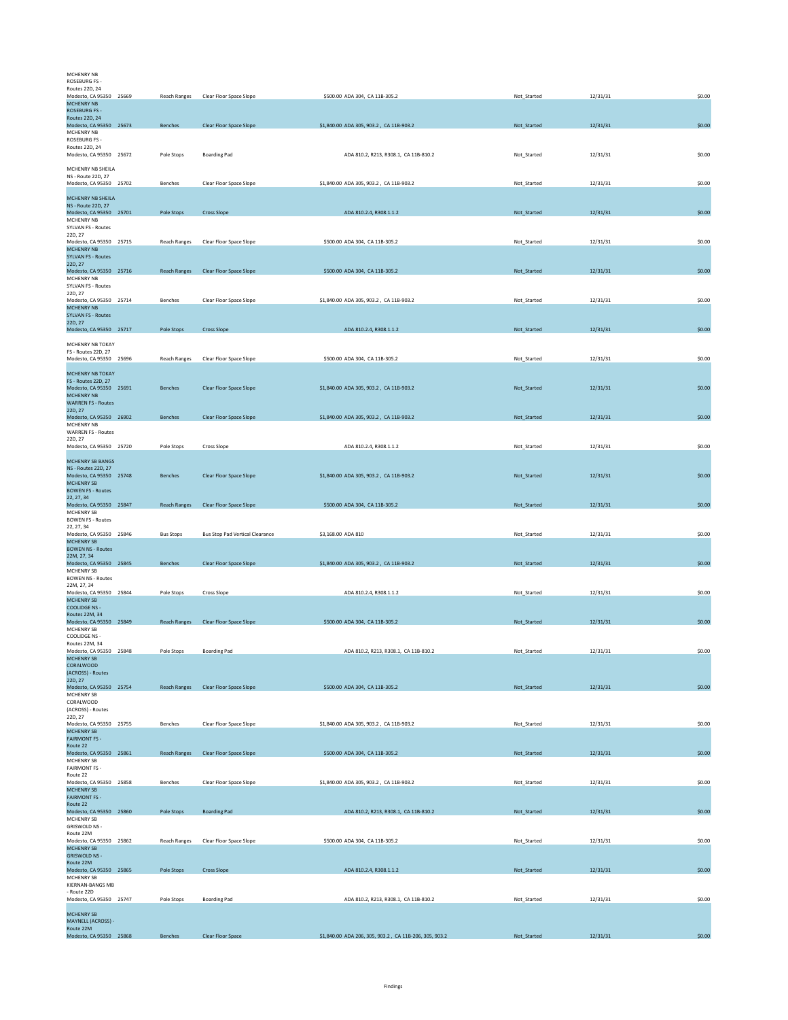| MCHENRY NR                                            |                     |                                      |                                                        |             |          |        |
|-------------------------------------------------------|---------------------|--------------------------------------|--------------------------------------------------------|-------------|----------|--------|
| ROSEBURG FS-                                          |                     |                                      |                                                        |             |          |        |
| Routes 22D, 24<br>Modesto, CA 95350 25669             | Reach Ranges        | Clear Floor Space Slope              | \$500.00 ADA 304, CA 11B-305.2                         | Not_Started | 12/31/31 | \$0.00 |
| <b>MCHENRY NB</b><br><b>ROSEBURG FS-</b>              |                     |                                      |                                                        |             |          |        |
| <b>Routes 22D, 24</b>                                 |                     |                                      |                                                        |             |          |        |
| Modesto, CA 95350 25673<br>MCHENRY NB                 | Benches             | Clear Floor Space Slope              | \$1,840.00 ADA 305, 903.2, CA 11B-903.2                | Not_Started | 12/31/31 | \$0.00 |
| ROSEBURG FS -                                         |                     |                                      |                                                        |             |          |        |
| Routes 22D, 24                                        |                     |                                      | ADA 810.2, R213, R308.1, CA 11B-810.2                  |             |          |        |
| Modesto, CA 95350 25672                               | Pole Stops          | <b>Boarding Pad</b>                  |                                                        | Not_Started | 12/31/31 | \$0.00 |
| MCHENRY NB SHEILA                                     |                     |                                      |                                                        |             |          |        |
| <b>NS - Route 22D, 27</b><br>Modesto, CA 95350 25702  | Benches             | Clear Floor Space Slope              | \$1,840.00 ADA 305, 903.2, CA 11B-903.2                | Not_Started | 12/31/31 | \$0.00 |
|                                                       |                     |                                      |                                                        |             |          |        |
| MCHENRY NB SHEILA<br>NS - Route 22D, 27               |                     |                                      |                                                        |             |          |        |
| Modesto, CA 95350 25701                               | Pole Stops          | <b>Cross Slope</b>                   | ADA 810.2.4, R308.1.1.2                                | Not_Started | 12/31/31 | \$0.00 |
| MCHENRY NB<br><b>SYLVAN FS - Routes</b>               |                     |                                      |                                                        |             |          |        |
| 22D, 27                                               |                     |                                      |                                                        |             |          |        |
| Modesto, CA 95350 25715<br><b>MCHENRY NB</b>          | Reach Ranges        | Clear Floor Space Slope              | \$500.00 ADA 304, CA 11B-305.2                         | Not Started | 12/31/31 | \$0.00 |
| <b>SYLVAN FS - Routes</b>                             |                     |                                      |                                                        |             |          |        |
| 22D, 27<br>Modesto, CA 95350 25716                    | <b>Reach Ranges</b> | Clear Floor Space Slope              | \$500.00 ADA 304, CA 11B-305.2                         | Not_Started | 12/31/31 | \$0.00 |
| <b>MCHENRY NB</b>                                     |                     |                                      |                                                        |             |          |        |
| <b>SYLVAN FS - Routes</b><br>22D, 27                  |                     |                                      |                                                        |             |          |        |
| Modesto, CA 95350 25714                               | Benches             | Clear Floor Space Slope              | \$1,840.00 ADA 305, 903.2, CA 11B-903.2                | Not_Started | 12/31/31 | \$0.00 |
| <b>MCHENRY NB</b><br><b>SYLVAN FS - Routes</b>        |                     |                                      |                                                        |             |          |        |
| 22D, 27                                               |                     |                                      |                                                        |             |          |        |
| Modesto, CA 95350 25717                               | Pole Stops          | <b>Cross Slope</b>                   | ADA 810.2.4, R308.1.1.2                                | Not_Started | 12/31/31 | \$0.00 |
| MCHENRY NB TOKAY                                      |                     |                                      |                                                        |             |          |        |
| FS - Routes 22D, 27                                   |                     |                                      |                                                        |             |          |        |
| Modesto, CA 95350 25696                               | Reach Ranges        | Clear Floor Space Slope              | \$500.00 ADA 304, CA 11B-305.2                         | Not_Started | 12/31/31 | \$0.00 |
| MCHENRY NB TOKAY                                      |                     |                                      |                                                        |             |          |        |
| FS - Routes 22D, 27<br>Modesto, CA 95350 25691        | Benches             | Clear Floor Space Slope              | \$1,840.00 ADA 305, 903.2, CA 11B-903.2                | Not_Started | 12/31/31 | \$0.00 |
| <b>MCHENRY NB</b>                                     |                     |                                      |                                                        |             |          |        |
| <b>WARREN FS - Routes</b><br>22D, 27                  |                     |                                      |                                                        |             |          |        |
| Modesto, CA 95350 26902                               | Benches             | <b>Clear Floor Space Slope</b>       | \$1,840.00 ADA 305, 903.2, CA 11B-903.2                | Not_Started | 12/31/31 | \$0.00 |
| MCHENRY NB<br><b>WARREN FS - Routes</b>               |                     |                                      |                                                        |             |          |        |
| 22D, 27                                               |                     |                                      |                                                        |             |          |        |
| Modesto, CA 95350 25720                               | Pole Stops          | Cross Slope                          | ADA 810.2.4, R308.1.1.2                                | Not Started | 12/31/31 | \$0.00 |
| MCHENRY SB BANGS                                      |                     |                                      |                                                        |             |          |        |
| <b>NS - Routes 22D, 27</b><br>Modesto, CA 95350 25748 | <b>Benches</b>      |                                      |                                                        |             |          | \$0.00 |
| <b>MCHENRY SB</b>                                     |                     | Clear Floor Space Slope              | \$1,840.00 ADA 305, 903.2, CA 11B-903.2                | Not_Started | 12/31/31 |        |
| <b>BOWEN FS - Routes</b>                              |                     |                                      |                                                        |             |          |        |
| 22, 27, 34<br>Modesto, CA 95350 25847                 | <b>Reach Ranges</b> | Clear Floor Space Slope              | \$500.00 ADA 304, CA 11B-305.2                         | Not_Started | 12/31/31 | \$0.00 |
| <b>MCHENRY SB</b>                                     |                     |                                      |                                                        |             |          |        |
| <b>BOWEN FS - Routes</b><br>22, 27, 34                |                     |                                      |                                                        |             |          |        |
| Modesto, CA 95350 25846                               | <b>Bus Stops</b>    | Bus Stop Pad Vertical Clearance      | \$3,168.00 ADA 810                                     | Not_Started | 12/31/31 | \$0.00 |
| <b>MCHENRY SB</b><br><b>BOWEN NS - Routes</b>         |                     |                                      |                                                        |             |          |        |
| 22M, 27, 34                                           |                     |                                      |                                                        |             |          |        |
| Modesto, CA 95350 25845<br><b>MCHENRY SB</b>          | Benches             | Clear Floor Space Slope              | \$1,840.00 ADA 305, 903.2, CA 11B-903.2                | Not_Started | 12/31/31 | \$0.00 |
| <b>BOWEN NS - Routes</b>                              |                     |                                      |                                                        |             |          |        |
| 22M, 27, 34<br>Modesto, CA 95350 25844                |                     |                                      |                                                        |             |          | \$0.00 |
| <b>MCHENRY SB</b>                                     | Pole Stops          | Cross Slope                          | ADA 810.2.4, R308.1.1.2                                | Not_Started | 12/31/31 |        |
| <b>COOLIDGE NS -</b><br>Routes 22M, 34                |                     |                                      |                                                        |             |          |        |
| Modesto, CA 95350 25849                               |                     | Reach Ranges Clear Floor Space Slope | \$500.00 ADA 304, CA 11B-305.2                         | Not Started | 12/31/31 | \$0.00 |
| MCHENRY SB<br>COOLIDGE NS -                           |                     |                                      |                                                        |             |          |        |
| Routes 22M, 34                                        |                     |                                      |                                                        |             |          |        |
| Modesto, CA 95350 25848                               | Pole Stops          | <b>Boarding Pad</b>                  | ADA 810.2, R213, R308.1, CA 11B-810.2                  | Not_Started | 12/31/31 | \$0.00 |
| <b>MCHENRY SB</b><br>CORALWOOD                        |                     |                                      |                                                        |             |          |        |
| (ACROSS) - Routes                                     |                     |                                      |                                                        |             |          |        |
| 22D, 27<br>Modesto, CA 95350 25754                    | Reach Ranges        | Clear Floor Space Slope              | \$500.00 ADA 304, CA 11B-305.2                         | Not_Started | 12/31/31 | \$0.00 |
| MCHENRY SB                                            |                     |                                      |                                                        |             |          |        |
| CORALWOOD<br>(ACROSS) - Routes                        |                     |                                      |                                                        |             |          |        |
| 22D, 27                                               |                     |                                      |                                                        |             |          |        |
| Modesto, CA 95350 25755<br><b>MCHENRY SB</b>          | Benches             | Clear Floor Space Slope              | \$1,840.00 ADA 305, 903.2, CA 11B-903.2                | Not_Started | 12/31/31 | \$0.00 |
| <b>FAIRMONT FS -</b>                                  |                     |                                      |                                                        |             |          |        |
| Route 22<br>Modesto, CA 95350 25861                   | <b>Reach Ranges</b> | <b>Clear Floor Space Slope</b>       | \$500.00 ADA 304, CA 11B-305.2                         | Not_Started | 12/31/31 | \$0.00 |
| MCHENRY SB                                            |                     |                                      |                                                        |             |          |        |
| <b>FAIRMONT FS -</b><br>Route 22                      |                     |                                      |                                                        |             |          |        |
| Modesto, CA 95350 25858                               | Benches             | Clear Floor Space Slope              | \$1,840.00 ADA 305, 903.2, CA 11B-903.2                | Not_Started | 12/31/31 | \$0.00 |
| <b>MCHENRY SB</b>                                     |                     |                                      |                                                        |             |          |        |
| <b>FAIRMONT FS -</b><br>Route 22                      |                     |                                      |                                                        |             |          |        |
| Modesto, CA 95350 25860                               | Pole Stops          | <b>Boarding Pad</b>                  | ADA 810.2, R213, R308.1, CA 11B-810.2                  | Not_Started | 12/31/31 | \$0.00 |
| MCHENRY SB<br><b>GRISWOLD NS -</b>                    |                     |                                      |                                                        |             |          |        |
| Route 22M                                             |                     |                                      |                                                        |             |          |        |
| Modesto, CA 95350 25862<br><b>MCHENRY SB</b>          | Reach Ranges        | Clear Floor Space Slope              | \$500.00 ADA 304, CA 11B-305.2                         | Not_Started | 12/31/31 | \$0.00 |
| <b>GRISWOLD NS -</b>                                  |                     |                                      |                                                        |             |          |        |
| Route 22M<br>Modesto, CA 95350 25865                  | Pole Stops          | <b>Cross Slope</b>                   | ADA 810.2.4, R308.1.1.2                                | Not_Started | 12/31/31 | \$0.00 |
| MCHENRY SB                                            |                     |                                      |                                                        |             |          |        |
| KIERNAN-BANGS MB<br>- Route 22D                       |                     |                                      |                                                        |             |          |        |
| Modesto, CA 95350 25747                               | Pole Stops          | <b>Boarding Pad</b>                  | ADA 810.2, R213, R308.1, CA 11B-810.2                  | Not_Started | 12/31/31 | \$0.00 |
| <b>MCHENRY SB</b>                                     |                     |                                      |                                                        |             |          |        |
| MAYNELL (ACROSS) -                                    |                     |                                      |                                                        |             |          |        |
| Route 22M<br>Modesto, CA 95350 25868                  | <b>Benches</b>      | Clear Floor Space                    | \$1,840.00 ADA 206, 305, 903.2, CA 11B-206, 305, 903.2 | Not_Started | 12/31/31 | \$0.00 |
|                                                       |                     |                                      |                                                        |             |          |        |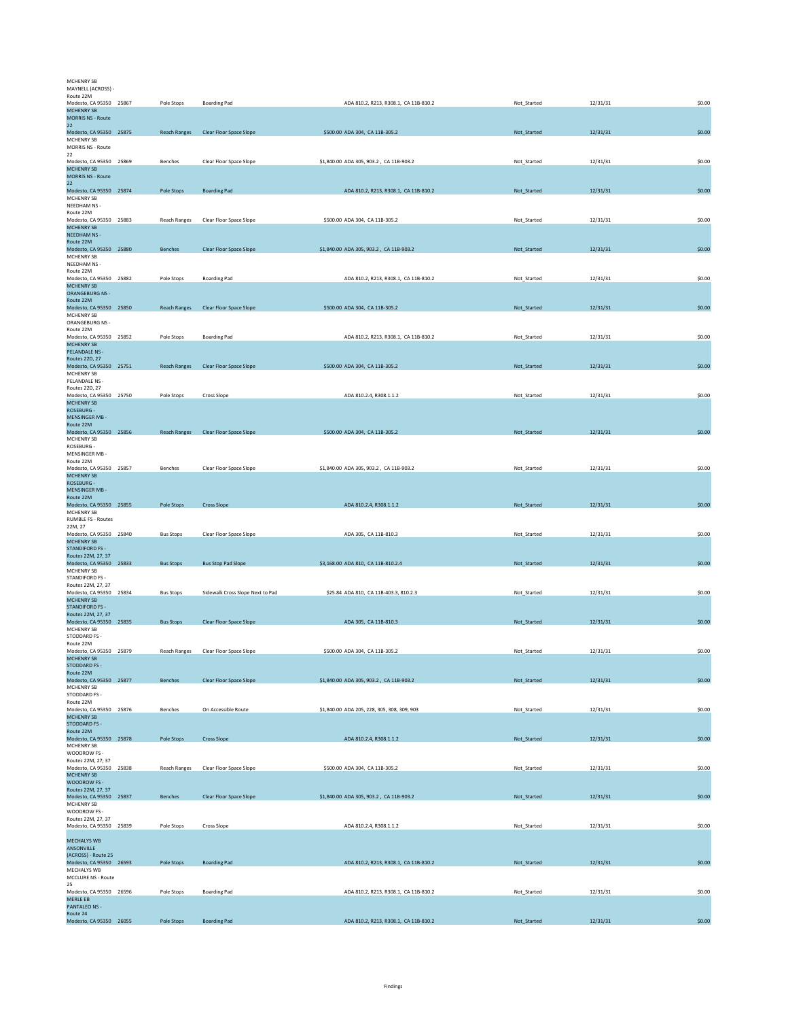| MCHENRY SB                                    |                     |                                      |                                             |             |          |        |
|-----------------------------------------------|---------------------|--------------------------------------|---------------------------------------------|-------------|----------|--------|
| MAYNELL (ACROSS) -<br>Route 22M               |                     |                                      |                                             |             |          |        |
| Modesto, CA 95350 25867<br><b>MCHENRY SB</b>  | Pole Stops          | <b>Boarding Pad</b>                  | ADA 810.2, R213, R308.1, CA 11B-810.2       | Not_Started | 12/31/31 | \$0.00 |
| <b>MORRIS NS - Route</b><br>22                |                     |                                      |                                             |             |          |        |
| Modesto, CA 95350 25875<br>MCHENRY SB         | <b>Reach Ranges</b> | Clear Floor Space Slope              | \$500.00 ADA 304, CA 11B-305.2              | Not_Started | 12/31/31 | \$0.00 |
| MORRIS NS - Route                             |                     |                                      |                                             |             |          |        |
| 22<br>Modesto, CA 95350 25869                 | Benches             | Clear Floor Space Slope              | \$1,840.00 ADA 305, 903.2, CA 11B-903.2     | Not Started | 12/31/31 | \$0.00 |
| <b>MCHENRY SB</b><br><b>MORRIS NS - Route</b> |                     |                                      |                                             |             |          |        |
| 22                                            |                     |                                      |                                             |             |          |        |
| Modesto, CA 95350 25874<br>MCHENRY SB         | Pole Stops          | <b>Boarding Pad</b>                  | ADA 810.2, R213, R308.1, CA 11B-810.2       | Not Started | 12/31/31 | \$0.00 |
| NEEDHAM NS -<br>Route 22M                     |                     |                                      |                                             |             |          |        |
| Modesto, CA 95350 25883<br><b>MCHENRY SB</b>  | <b>Reach Ranges</b> | Clear Floor Space Slope              | \$500.00 ADA 304, CA 11B-305.2              | Not_Started | 12/31/31 | \$0.00 |
| <b>NEEDHAM NS-</b>                            |                     |                                      |                                             |             |          |        |
| Route 22M<br>Modesto, CA 95350 25880          | Benches             | Clear Floor Space Slope              | \$1,840.00 ADA 305, 903.2, CA 11B-903.2     | Not_Started | 12/31/31 | \$0.00 |
| <b>MCHENRY SB</b><br>NEEDHAM NS -             |                     |                                      |                                             |             |          |        |
| Route 22M                                     |                     |                                      |                                             |             |          |        |
| Modesto, CA 95350 25882<br><b>MCHENRY SB</b>  | Pole Stops          | <b>Boarding Pad</b>                  | ADA 810.2, R213, R308.1, CA 11B-810.2       | Not_Started | 12/31/31 | \$0.00 |
| <b>ORANGEBURG NS -</b><br>Route 22M           |                     |                                      |                                             |             |          |        |
| Modesto, CA 95350 25850                       | Reach Ranges        | Clear Floor Space Slope              | \$500.00 ADA 304, CA 11B-305.2              | Not_Started | 12/31/31 | \$0.00 |
| MCHENRY SB<br>ORANGEBURG NS -                 |                     |                                      |                                             |             |          |        |
| Route 22M<br>Modesto, CA 95350 25852          | Pole Stops          | <b>Boarding Pad</b>                  | ADA 810.2, R213, R308.1, CA 11B-810.2       | Not_Started | 12/31/31 | \$0.00 |
| <b>MCHENRY SB</b><br>PELANDALE NS -           |                     |                                      |                                             |             |          |        |
| Routes 22D, 27                                |                     |                                      |                                             |             |          |        |
| Modesto, CA 95350 25751<br>MCHENRY SB         | <b>Reach Ranges</b> | <b>Clear Floor Space Slope</b>       | \$500.00 ADA 304, CA 11B-305.2              | Not_Started | 12/31/31 | \$0.00 |
| PELANDALE NS -<br>Routes 22D, 27              |                     |                                      |                                             |             |          |        |
| Modesto, CA 95350 25750                       | Pole Stops          | Cross Slope                          | ADA 810.2.4, R308.1.1.2                     | Not Started | 12/31/31 | \$0.00 |
| <b>MCHENRY SB</b><br>ROSEBURG -               |                     |                                      |                                             |             |          |        |
| <b>MENSINGER MB-</b><br>Route 22M             |                     |                                      |                                             |             |          |        |
| Modesto, CA 95350 25856                       |                     | Reach Ranges Clear Floor Space Slope | \$500.00 ADA 304, CA 11B-305.2              | Not_Started | 12/31/31 | \$0.00 |
| MCHENRY SB<br>ROSEBURG -                      |                     |                                      |                                             |             |          |        |
| MENSINGER MB -<br>Route 22M                   |                     |                                      |                                             |             |          |        |
| Modesto, CA 95350 25857                       | Benches             | Clear Floor Space Slope              | \$1,840.00 ADA 305, 903.2, CA 11B-903.2     | Not_Started | 12/31/31 | \$0.00 |
| <b>MCHENRY SB</b><br>ROSEBURG -               |                     |                                      |                                             |             |          |        |
| <b>MENSINGER MB -</b><br>Route 22M            |                     |                                      |                                             |             |          |        |
| Modesto, CA 95350 25855                       | Pole Stops          | <b>Cross Slope</b>                   | ADA 810.2.4, R308.1.1.2                     | Not_Started | 12/31/31 | \$0.00 |
| MCHENRY SB<br><b>RUMBLE FS - Routes</b>       |                     |                                      |                                             |             |          |        |
| 22M.27<br>Modesto, CA 95350 25840             | <b>Bus Stops</b>    | Clear Floor Space Slope              | ADA 305, CA 11B-810.3                       | Not_Started | 12/31/31 | \$0.00 |
| <b>MCHENRY SB</b>                             |                     |                                      |                                             |             |          |        |
| <b>STANDIFORD FS -</b><br>Routes 22M, 27, 37  |                     |                                      |                                             |             |          |        |
| Modesto, CA 95350 25833<br>MCHENRY SB         | <b>Bus Stops</b>    | <b>Bus Stop Pad Slope</b>            | \$3,168.00 ADA 810, CA 11B-810.2.4          | Not_Started | 12/31/31 | \$0.00 |
| STANDIFORD FS -                               |                     |                                      |                                             |             |          |        |
| Routes 22M, 27, 37<br>Modesto, CA 95350 25834 | <b>Bus Stops</b>    | Sidewalk Cross Slope Next to Pad     | \$25.84 ADA 810, CA 11B-403.3, 810.2.3      | Not Started | 12/31/31 | \$0.00 |
| MCHENRY SB<br><b>STANDIFORD FS -</b>          |                     |                                      |                                             |             |          |        |
| Routes 22M, 27, 37<br>Modesto, CA 95350 25835 | <b>Bus Stops</b>    | <b>Clear Floor Space Slope</b>       | ADA 305, CA 11B-810.3                       | Not_Started | 12/31/31 | \$0.00 |
| MCHENRY SB                                    |                     |                                      |                                             |             |          |        |
| STODDARD FS -<br>Route 22M                    |                     |                                      |                                             |             |          |        |
| Modesto, CA 95350 25879<br><b>MCHENRY SB</b>  | Reach Ranges        | Clear Floor Space Slope              | \$500.00 ADA 304, CA 11B-305.2              | Not_Started | 12/31/31 | \$0.00 |
| <b>STODDARD FS -</b>                          |                     |                                      |                                             |             |          |        |
| Route 22M<br>Modesto, CA 95350 25877          | <b>Benches</b>      | Clear Floor Space Slope              | \$1,840.00 ADA 305, 903.2, CA 11B-903.2     | Not_Started | 12/31/31 | \$0.00 |
| MCHENRY SB<br>STODDARD FS -                   |                     |                                      |                                             |             |          |        |
| Route 22M                                     | Benches             | On Accessible Route                  | \$1,840.00 ADA 205, 228, 305, 308, 309, 903 |             | 12/31/31 | \$0.00 |
| Modesto, CA 95350 25876<br><b>MCHENRY SB</b>  |                     |                                      |                                             | Not_Started |          |        |
| <b>STODDARD FS -</b><br>Route 22M             |                     |                                      |                                             |             |          |        |
| Modesto, CA 95350 25878<br>MCHENRY SB         | Pole Stops          | <b>Cross Slope</b>                   | ADA 810.2.4, R308.1.1.2                     | Not_Started | 12/31/31 | \$0.00 |
| WOODROW FS -                                  |                     |                                      |                                             |             |          |        |
| Routes 22M, 27, 37<br>Modesto, CA 95350 25838 | <b>Reach Ranges</b> | Clear Floor Space Slope              | \$500.00 ADA 304, CA 11B-305.2              | Not_Started | 12/31/31 | \$0.00 |
| <b>MCHENRY SB</b><br>WOODROW FS -             |                     |                                      |                                             |             |          |        |
| Routes 22M, 27, 37<br>Modesto, CA 95350 25837 | Benches             | <b>Clear Floor Space Slope</b>       | \$1,840.00 ADA 305, 903.2, CA 11B-903.2     | Not_Started | 12/31/31 | \$0.00 |
| MCHENRY SB                                    |                     |                                      |                                             |             |          |        |
| WOODROW FS -<br>Routes 22M, 27, 37            |                     |                                      |                                             |             |          |        |
| Modesto, CA 95350 25839                       | Pole Stops          | Cross Slope                          | ADA 810.2.4, R308.1.1.2                     | Not_Started | 12/31/31 | \$0.00 |
| <b>MECHALYS WB</b>                            |                     |                                      |                                             |             |          |        |
| ANSONVILLE<br>(ACROSS) - Route 25             |                     |                                      |                                             |             |          |        |
| Modesto, CA 95350 26593                       | Pole Stops          | <b>Boarding Pad</b>                  | ADA 810.2, R213, R308.1, CA 11B-810.2       | Not_Started | 12/31/31 | \$0.00 |
| MECHALYS WB<br>MCCLURE NS - Route             |                     |                                      |                                             |             |          |        |
| 25<br>Modesto, CA 95350 26596                 | Pole Stops          | <b>Boarding Pad</b>                  | ADA 810.2, R213, R308.1, CA 11B-810.2       | Not_Started | 12/31/31 | \$0.00 |
| MERLE EB<br><b>PANTALEO NS -</b>              |                     |                                      |                                             |             |          |        |
| Route 24                                      |                     |                                      |                                             |             |          |        |
| Modesto, CA 95350 26055                       | Pole Stops          | <b>Boarding Pad</b>                  | ADA 810.2, R213, R308.1, CA 11B-810.2       | Not_Started | 12/31/31 | \$0.00 |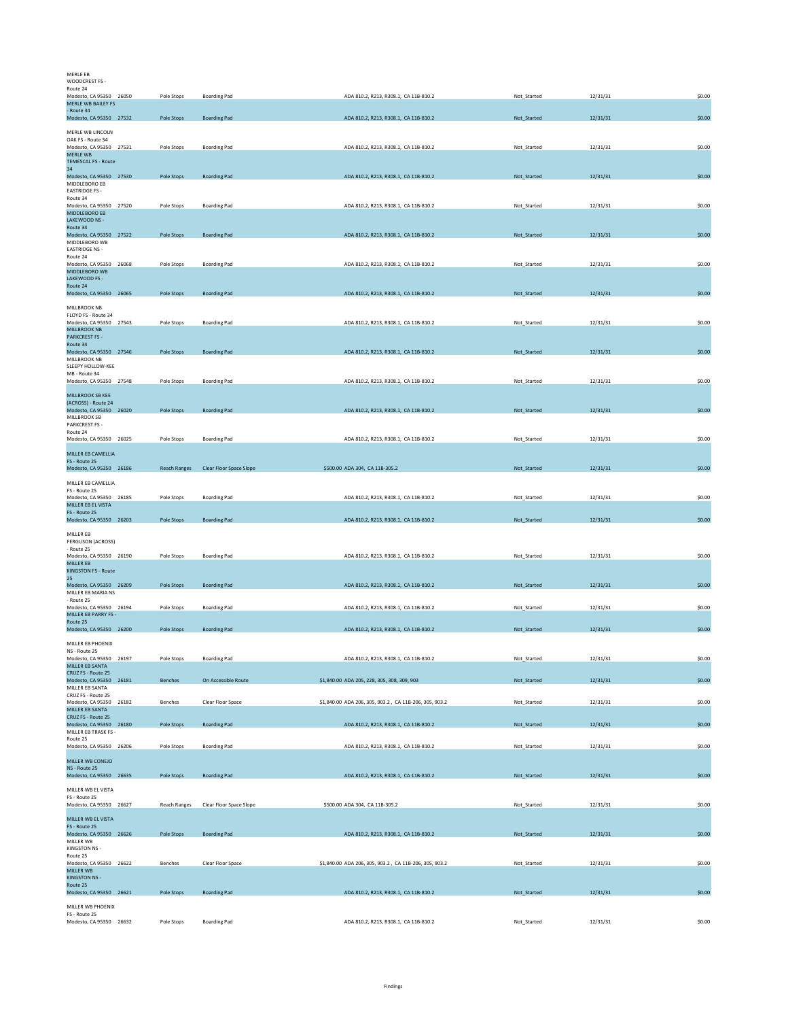| <b>MERLE EB</b><br>WOODCREST FS -                                     |                     |                         |                                                        |             |          |        |
|-----------------------------------------------------------------------|---------------------|-------------------------|--------------------------------------------------------|-------------|----------|--------|
| Route 24<br>Modesto, CA 95350 26050<br><b>MERLE WB BAILEY FS</b>      | Pole Stops          | <b>Boarding Pad</b>     | ADA 810.2, R213, R308.1, CA 11B-810.2                  | Not_Started | 12/31/31 | \$0.00 |
| - Route 34<br>Modesto, CA 95350 27532                                 | Pole Stops          | <b>Boarding Pad</b>     | ADA 810.2, R213, R308.1, CA 11B-810.2                  | Not_Started | 12/31/31 | \$0.00 |
| MERLE WB LINCOLN                                                      |                     |                         |                                                        |             |          |        |
| OAK FS - Route 34<br>Modesto, CA 95350 27531<br>MERLE WB              | Pole Stops          | <b>Boarding Pad</b>     | ADA 810.2, R213, R308.1, CA 11B-810.2                  | Not Started | 12/31/31 | \$0.00 |
| <b>TEMESCAL FS - Route</b><br>34                                      |                     |                         |                                                        |             |          |        |
| Modesto, CA 95350 27530<br>MIDDLEBORO EB                              | Pole Stops          | <b>Boarding Pad</b>     | ADA 810.2, R213, R308.1, CA 11B-810.2                  | Not_Started | 12/31/31 | \$0.00 |
| <b>EASTRIDGE FS -</b><br>Route 34<br>Modesto, CA 95350 27520          | Pole Stops          | <b>Boarding Pad</b>     | ADA 810.2, R213, R308.1, CA 11B-810.2                  | Not Started | 12/31/31 | \$0.00 |
| MIDDLEBORO EB<br>LAKEWOOD NS -                                        |                     |                         |                                                        |             |          |        |
| Route 34<br>Modesto, CA 95350 27522                                   | Pole Stops          | <b>Boarding Pad</b>     | ADA 810.2, R213, R308.1, CA 11B-810.2                  | Not Started | 12/31/31 | \$0.00 |
| MIDDLEBORO WB<br><b>EASTRIDGE NS -</b>                                |                     |                         |                                                        |             |          |        |
| Route 24<br>Modesto, CA 95350 26068<br>MIDDLEBORO WB<br>LAKEWOOD FS - | Pole Stops          | <b>Boarding Pad</b>     | ADA 810.2, R213, R308.1, CA 11B-810.2                  | Not_Started | 12/31/31 | \$0.00 |
| Route 24<br>Modesto, CA 95350 26065                                   | Pole Stops          | <b>Boarding Pad</b>     | ADA 810.2, R213, R308.1, CA 11B-810.2                  | Not_Started | 12/31/31 | \$0.00 |
| MILLBROOK NB                                                          |                     |                         |                                                        |             |          |        |
| FLOYD FS - Route 34<br>Modesto, CA 95350 27543<br><b>MILLBROOK NB</b> | Pole Stops          | <b>Boarding Pad</b>     | ADA 810.2, R213, R308.1, CA 11B-810.2                  | Not_Started | 12/31/31 | \$0.00 |
| <b>PARKCREST FS -</b><br>Route 34                                     |                     |                         |                                                        |             |          |        |
| Modesto, CA 95350 27546<br>MILLBROOK NB                               | Pole Stops          | <b>Boarding Pad</b>     | ADA 810.2, R213, R308.1, CA 11B-810.2                  | Not_Started | 12/31/31 | \$0.00 |
| SLEEPY HOLLOW-KEE<br>MB - Route 34<br>Modesto, CA 95350 27548         |                     |                         |                                                        |             |          |        |
| MILLBROOK SB KEE                                                      | Pole Stops          | <b>Boarding Pad</b>     | ADA 810.2, R213, R308.1, CA 11B-810.2                  | Not_Started | 12/31/31 | \$0.00 |
| (ACROSS) - Route 24<br>Modesto, CA 95350 26020                        | Pole Stops          | <b>Boarding Pad</b>     | ADA 810.2, R213, R308.1, CA 11B-810.2                  | Not Started | 12/31/31 | \$0.00 |
| MILLBROOK SB<br>PARKCREST FS -                                        |                     |                         |                                                        |             |          |        |
| Route 24<br>Modesto, CA 95350 26025                                   | Pole Stops          | <b>Boarding Pad</b>     | ADA 810.2, R213, R308.1, CA 11B-810.2                  | Not Started | 12/31/31 | \$0.00 |
| MILLER EB CAMELLIA<br>FS - Route 25                                   |                     |                         |                                                        |             |          |        |
| Modesto, CA 95350 26186                                               | <b>Reach Ranges</b> | Clear Floor Space Slope | \$500.00 ADA 304, CA 11B-305.2                         | Not_Started | 12/31/31 | \$0.00 |
| MILLER EB CAMELLIA<br>FS - Route 25<br>Modesto, CA 95350 26185        | Pole Stops          | <b>Boarding Pad</b>     | ADA 810.2, R213, R308.1, CA 11B-810.2                  | Not_Started | 12/31/31 | \$0.00 |
| MILLER EB EL VISTA<br>FS - Route 25                                   |                     |                         |                                                        |             |          |        |
| Modesto, CA 95350 26203                                               | Pole Stops          | <b>Boarding Pad</b>     | ADA 810.2, R213, R308.1, CA 11B-810.2                  | Not_Started | 12/31/31 | \$0.00 |
| MILLER EB<br><b>FERGUSON (ACROSS)</b><br>- Route 25                   |                     |                         |                                                        |             |          |        |
| Modesto, CA 95350 26190<br>MILLER EB                                  | Pole Stops          | <b>Boarding Pad</b>     | ADA 810.2, R213, R308.1, CA 11B-810.2                  | Not_Started | 12/31/31 | \$0.00 |
| <b>KINGSTON FS - Route</b><br>25 <sub>2</sub>                         |                     |                         |                                                        |             |          |        |
| Modesto, CA 95350 26209<br>MILLER EB MARIA NS<br>- Route 25           | Pole Stops          | <b>Boarding Pad</b>     | ADA 810.2, R213, R308.1, CA 11B-810.2                  | Not_Started | 12/31/31 | \$0.00 |
| Modesto, CA 95350 26194<br>MILLER EB PARRY FS -                       | Pole Stops          | <b>Boarding Pad</b>     | ADA 810.2, R213, R308.1, CA 11B-810.2                  | Not Started | 12/31/31 | \$0.00 |
| Route 25<br>Modesto, CA 95350 26200                                   | Pole Stops          | <b>Boarding Pad</b>     | ADA 810.2, R213, R308.1, CA 11B-810.2                  | Not_Started | 12/31/31 | \$0.00 |
| MILLER EB PHOENIX<br>NS - Route 25                                    |                     |                         |                                                        |             |          |        |
| Modesto, CA 95350 26197<br>MILLER EB SANTA                            | Pole Stops          | <b>Boarding Pad</b>     | ADA 810.2, R213, R308.1, CA 11B-810.2                  | Not_Started | 12/31/31 | \$0.00 |
| CRUZ FS - Route 25<br>Modesto, CA 95350 26181                         | Benches             | On Accessible Route     | \$1,840.00 ADA 205, 228, 305, 308, 309, 903            | Not Started | 12/31/31 | \$0.00 |
| MILLER EB SANTA<br>CRUZ FS - Route 25<br>Modesto, CA 95350 26182      | Benches             | Clear Floor Space       | \$1,840.00 ADA 206, 305, 903.2, CA 11B-206, 305, 903.2 | Not_Started | 12/31/31 | \$0.00 |
| MILLER EB SANTA<br>CRUZ FS - Route 25                                 |                     |                         |                                                        |             |          |        |
| Modesto, CA 95350 26180<br>MILLER EB TRASK FS -                       | Pole Stops          | <b>Boarding Pad</b>     | ADA 810.2, R213, R308.1, CA 11B-810.2                  | Not_Started | 12/31/31 | \$0.00 |
| Route 25<br>Modesto, CA 95350 26206                                   | Pole Stops          | <b>Boarding Pad</b>     | ADA 810.2, R213, R308.1, CA 11B-810.2                  | Not_Started | 12/31/31 | \$0.00 |
| MILLER WB CONEJO<br>NS - Route 25                                     |                     |                         |                                                        |             |          |        |
| Modesto, CA 95350 26635                                               | Pole Stops          | <b>Boarding Pad</b>     | ADA 810.2, R213, R308.1, CA 11B-810.2                  | Not_Started | 12/31/31 | \$0.00 |
| MILLER WB EL VISTA<br>FS - Route 25<br>Modesto, CA 95350 26627        | <b>Reach Ranges</b> | Clear Floor Space Slope | \$500.00 ADA 304, CA 11B-305.2                         | Not_Started | 12/31/31 | \$0.00 |
| MILLER WB EL VISTA                                                    |                     |                         |                                                        |             |          |        |
| FS - Route 25<br>Modesto, CA 95350 26626                              | Pole Stops          | <b>Boarding Pad</b>     | ADA 810.2, R213, R308.1, CA 11B-810.2                  | Not_Started | 12/31/31 | \$0.00 |
| MILLER WB<br>KINGSTON NS -<br>Route 25                                |                     |                         |                                                        |             |          |        |
| Modesto, CA 95350 26622<br>MILLER WB                                  | Benches             | Clear Floor Space       | \$1,840.00 ADA 206, 305, 903.2, CA 11B-206, 305, 903.2 | Not_Started | 12/31/31 | \$0.00 |
| <b>KINGSTON NS -</b><br>Route 25                                      |                     |                         |                                                        |             |          |        |
| Modesto, CA 95350 26621                                               | Pole Stops          | <b>Boarding Pad</b>     | ADA 810.2, R213, R308.1, CA 11B-810.2                  | Not_Started | 12/31/31 | \$0.00 |
| MILLER WB PHOENIX<br>FS - Route 25<br>Modesto, CA 95350 26632         | Pole Stops          | <b>Boarding Pad</b>     | ADA 810.2, R213, R308.1, CA 11B-810.2                  | Not_Started | 12/31/31 | \$0.00 |
|                                                                       |                     |                         |                                                        |             |          |        |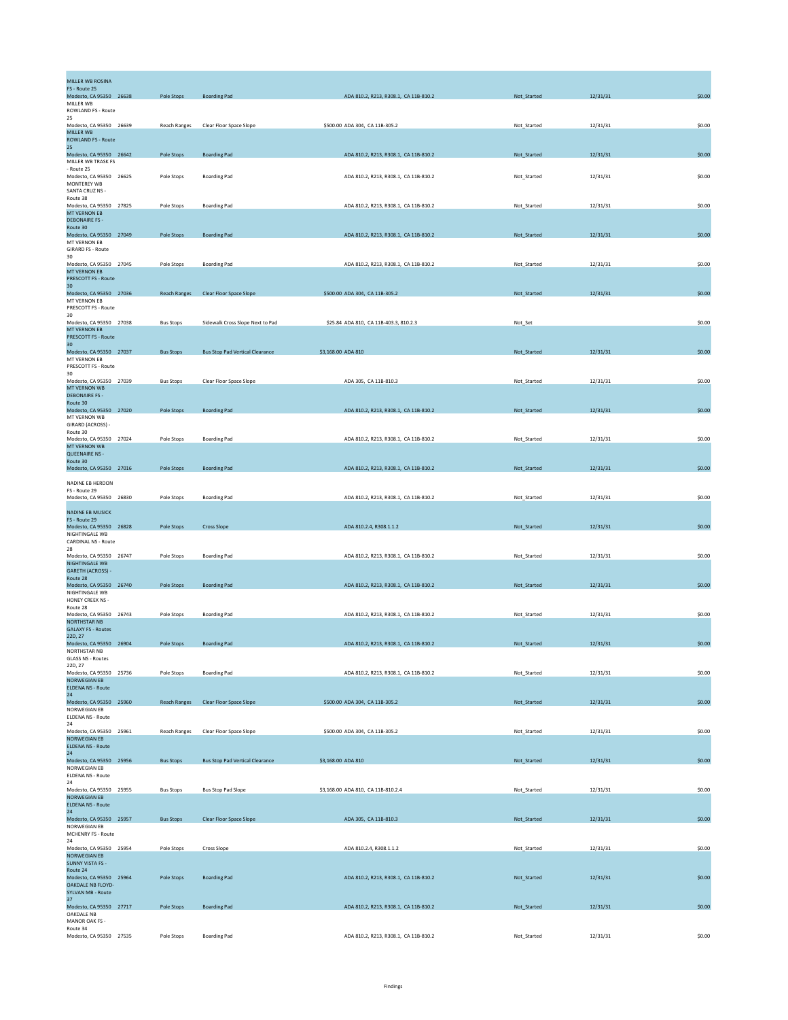| MILLER WB ROSINA<br>FS - Route 25                |                     |                                        |                                        |             |          |        |
|--------------------------------------------------|---------------------|----------------------------------------|----------------------------------------|-------------|----------|--------|
| Modesto, CA 95350 26638<br>MILLER WB             | Pole Stops          | <b>Boarding Pad</b>                    | ADA 810.2, R213, R308.1, CA 11B-810.2  | Not_Started | 12/31/31 | \$0.00 |
| ROWLAND FS - Route                               |                     |                                        |                                        |             |          |        |
| 25<br>Modesto, CA 95350 26639                    | Reach Ranges        | Clear Floor Space Slope                | \$500.00 ADA 304, CA 11B-305.2         | Not_Started | 12/31/31 | \$0.00 |
| MILLER WB<br><b>ROWLAND FS - Route</b>           |                     |                                        |                                        |             |          |        |
| 25<br>Modesto, CA 95350 26642                    | Pole Stops          | <b>Boarding Pad</b>                    | ADA 810.2, R213, R308.1, CA 11B-810.2  | Not_Started | 12/31/31 | \$0.00 |
| MILLER WB TRASK FS<br>- Route 25                 |                     |                                        |                                        |             |          |        |
| Modesto, CA 95350 26625<br>MONTEREY WB           | Pole Stops          | <b>Boarding Pad</b>                    | ADA 810.2, R213, R308.1, CA 11B-810.2  | Not Started | 12/31/31 | \$0.00 |
| SANTA CRUZ NS -<br>Route 38                      |                     |                                        |                                        |             |          |        |
| Modesto, CA 95350 27825                          | Pole Stops          | <b>Boarding Pad</b>                    | ADA 810.2, R213, R308.1, CA 11B-810.2  | Not_Started | 12/31/31 | \$0.00 |
| <b>MT VERNON EB</b><br><b>DEBONAIRE FS -</b>     |                     |                                        |                                        |             |          |        |
| Route 30<br>Modesto, CA 95350 27049              | Pole Stops          | <b>Boarding Pad</b>                    | ADA 810.2, R213, R308.1, CA 11B-810.2  | Not_Started | 12/31/31 | \$0.00 |
| MT VERNON EB<br><b>GIRARD FS - Route</b>         |                     |                                        |                                        |             |          |        |
| 30<br>Modesto, CA 95350 27045                    | Pole Stops          | <b>Boarding Pad</b>                    | ADA 810.2, R213, R308.1, CA 11B-810.2  | Not_Started | 12/31/31 | \$0.00 |
| <b>MT VERNON EB</b><br>PRESCOTT FS - Route       |                     |                                        |                                        |             |          |        |
| 30                                               |                     |                                        |                                        |             |          |        |
| Modesto, CA 95350 27036<br>MT VERNON EB          | <b>Reach Ranges</b> | Clear Floor Space Slope                | \$500.00 ADA 304, CA 11B-305.2         | Not_Started | 12/31/31 | \$0.00 |
| PRESCOTT FS - Route<br>30                        |                     |                                        |                                        |             |          |        |
| Modesto, CA 95350 27038<br><b>MT VERNON EB</b>   | <b>Bus Stops</b>    | Sidewalk Cross Slope Next to Pad       | \$25.84 ADA 810, CA 11B-403.3, 810.2.3 | Not_Set     |          | \$0.00 |
| <b>PRESCOTT FS - Route</b><br>30                 |                     |                                        |                                        |             |          |        |
| Modesto, CA 95350 27037<br>MT VERNON EB          | <b>Bus Stops</b>    | <b>Bus Stop Pad Vertical Clearance</b> | \$3,168.00 ADA 810                     | Not_Started | 12/31/31 | \$0.00 |
| PRESCOTT FS - Route                              |                     |                                        |                                        |             |          |        |
| 30<br>Modesto, CA 95350 27039                    | <b>Bus Stons</b>    | Clear Floor Space Slope                | ADA 305, CA 11B-810.3                  | Not Started | 12/31/31 | \$0.00 |
| MT VERNON WB<br><b>DEBONAIRE FS -</b>            |                     |                                        |                                        |             |          |        |
| Route 30<br>Modesto, CA 95350 27020              | Pole Stops          | <b>Boarding Pad</b>                    | ADA 810.2, R213, R308.1, CA 11B-810.2  | Not_Started | 12/31/31 | \$0.00 |
| MT VERNON WB<br>GIRARD (ACROSS) -                |                     |                                        |                                        |             |          |        |
| Route 30<br>Modesto, CA 95350 27024              | Pole Stops          | <b>Boarding Pad</b>                    | ADA 810.2, R213, R308.1, CA 11B-810.2  | Not_Started | 12/31/31 | \$0.00 |
| MT VERNON WB                                     |                     |                                        |                                        |             |          |        |
| <b>QUEENAIRE NS -</b><br>Route 30                |                     |                                        |                                        |             |          |        |
| Modesto, CA 95350 27016                          | Pole Stops          | <b>Boarding Pad</b>                    | ADA 810.2, R213, R308.1, CA 11B-810.2  | Not_Started | 12/31/31 | \$0.00 |
| NADINE EB HERDON<br>FS - Route 29                |                     |                                        |                                        |             |          |        |
| Modesto, CA 95350 26830                          | Pole Stops          | <b>Boarding Pad</b>                    | ADA 810.2, R213, R308.1, CA 11B-810.2  | Not_Started | 12/31/31 | \$0.00 |
| <b>NADINE EB MUSICK</b><br>FS - Route 29         |                     |                                        |                                        |             |          |        |
| Modesto, CA 95350 26828                          | Pole Stops          | <b>Cross Slope</b>                     | ADA 810.2.4, R308.1.1.2                | Not_Started | 12/31/31 | \$0.00 |
| NIGHTINGALE WB<br>CARDINAL NS - Route            |                     |                                        |                                        |             |          |        |
| 28<br>Modesto, CA 95350 26747                    | Pole Stops          | <b>Boarding Pad</b>                    | ADA 810.2, R213, R308.1, CA 11B-810.2  | Not_Started | 12/31/31 | \$0.00 |
| NIGHTINGALE WB<br>GARETH (ACROSS) -              |                     |                                        |                                        |             |          |        |
| Route 28<br>Modesto, CA 95350 26740              | Pole Stops          | <b>Boarding Pad</b>                    | ADA 810.2, R213, R308.1, CA 11B-810.2  | Not_Started | 12/31/31 | \$0.00 |
| NIGHTINGALE WB<br>HONEY CREEK NS -               |                     |                                        |                                        |             |          |        |
| Route 28<br>Modesto, CA 95350 26743              | Pole Stops          | <b>Boarding Pad</b>                    | ADA 810.2, R213, R308.1, CA 11B-810.2  | Not Started | 12/31/31 | \$0.00 |
| <b>NORTHSTAR NB</b><br><b>GALAXY FS - Routes</b> |                     |                                        |                                        |             |          |        |
| 22D, 27                                          |                     |                                        |                                        |             |          | \$0.00 |
| Modesto, CA 95350 26904<br><b>NORTHSTAR NB</b>   | Pole Stops          | <b>Boarding Pad</b>                    | ADA 810.2, R213, R308.1, CA 11B-810.2  | Not_Started | 12/31/31 |        |
| <b>GLASS NS - Routes</b><br>22D, 27              |                     |                                        |                                        |             |          |        |
| Modesto, CA 95350 25736<br><b>NORWEGIAN EB</b>   | Pole Stops          | <b>Boarding Pad</b>                    | ADA 810.2, R213, R308.1, CA 11B-810.2  | Not_Started | 12/31/31 | \$0.00 |
| <b>ELDENA NS - Route</b><br>24                   |                     |                                        |                                        |             |          |        |
| Modesto, CA 95350 25960<br>NORWEGIAN EB          | Reach Ranges        | Clear Floor Space Slope                | \$500.00 ADA 304, CA 11B-305.2         | Not_Started | 12/31/31 | \$0.00 |
| <b>ELDENA NS - Route</b><br>24                   |                     |                                        |                                        |             |          |        |
| Modesto, CA 95350 25961                          | <b>Reach Ranges</b> | Clear Floor Space Slope                | \$500.00 ADA 304, CA 11B-305.2         | Not_Started | 12/31/31 | \$0.00 |
| <b>NORWEGIAN EB</b><br><b>ELDENA NS - Route</b>  |                     |                                        |                                        |             |          |        |
| 24<br>Modesto, CA 95350 25956                    | <b>Bus Stops</b>    | <b>Bus Stop Pad Vertical Clearance</b> | \$3,168.00 ADA 810                     | Not_Started | 12/31/31 | \$0.00 |
| NORWEGIAN EB<br>ELDENA NS - Route                |                     |                                        |                                        |             |          |        |
| 24<br>Modesto, CA 95350 25955                    | <b>Bus Stops</b>    | <b>Bus Stop Pad Slope</b>              | \$3,168.00 ADA 810, CA 11B-810.2.4     | Not_Started | 12/31/31 | \$0.00 |
| NORWEGIAN EB<br><b>ELDENA NS - Route</b>         |                     |                                        |                                        |             |          |        |
| 24<br>Modesto, CA 95350 25957                    | <b>Bus Stops</b>    | Clear Floor Space Slope                | ADA 305, CA 11B-810.3                  | Not_Started | 12/31/31 | \$0.00 |
| NORWEGIAN EB                                     |                     |                                        |                                        |             |          |        |
| MCHENRY FS - Route<br>24                         |                     |                                        |                                        |             |          |        |
| Modesto, CA 95350 25954<br>NORWEGIAN EB          | Pole Stops          | Cross Slope                            | ADA 810.2.4, R308.1.1.2                | Not_Started | 12/31/31 | \$0.00 |
| <b>SUNNY VISTA FS -</b><br>Route 24              |                     |                                        |                                        |             |          |        |
| Modesto, CA 95350 25964<br>OAKDALE NB FLOYD-     | <b>Pole Stops</b>   | <b>Boarding Pad</b>                    | ADA 810.2, R213, R308.1, CA 11B-810.2  | Not_Started | 12/31/31 | \$0.00 |
| <b>SYLVAN MB - Route</b><br>37                   |                     |                                        |                                        |             |          |        |
| Modesto, CA 95350 27717<br>OAKDALE NB            | Pole Stops          | <b>Boarding Pad</b>                    | ADA 810.2, R213, R308.1, CA 11B-810.2  | Not_Started | 12/31/31 | \$0.00 |
| MANOR OAK FS -<br>Route 34                       |                     |                                        |                                        |             |          |        |
| Modesto, CA 95350 27535                          | Pole Stops          | <b>Boarding Pad</b>                    | ADA 810.2, R213, R308.1, CA 11B-810.2  | Not_Started | 12/31/31 | \$0.00 |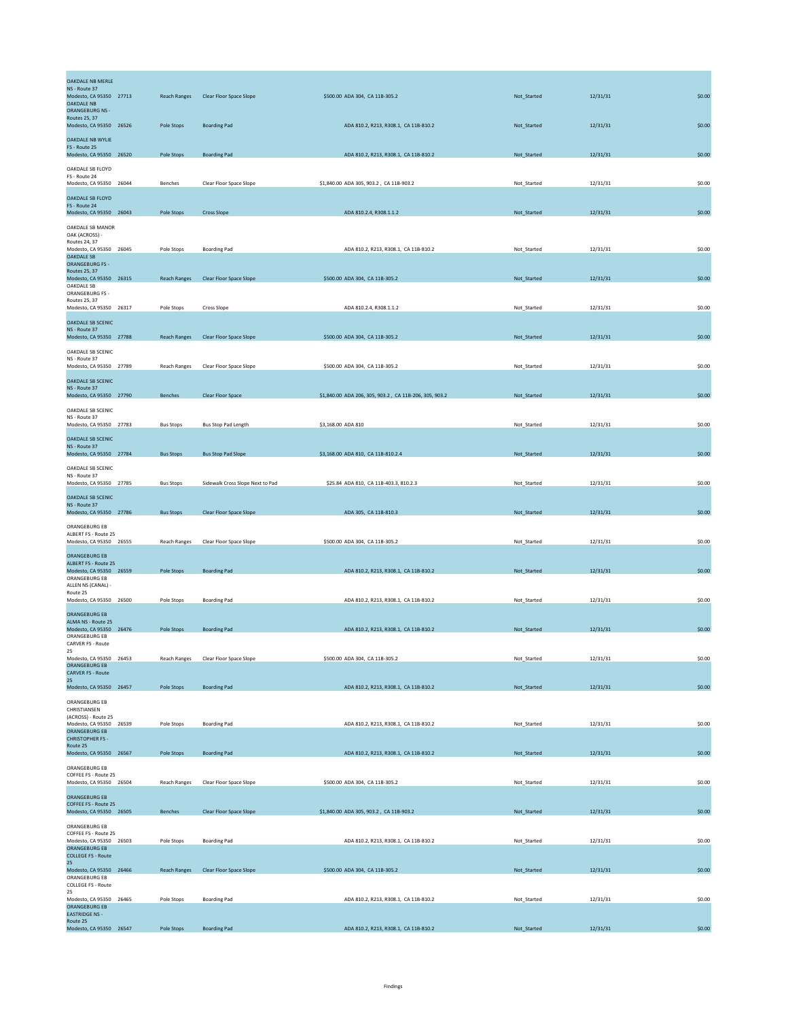| <b>OAKDALE NB MERLE</b><br>NS - Route 37<br>Modesto, CA 95350 27713<br><b>OAKDALE NB</b><br>ORANGEBURG NS - |                         | <b>Reach Ranges</b> | Clear Floor Space Slope          | \$500.00 ADA 304, CA 11B-305.2                         | Not_Started | 12/31/31 | \$0.00 |
|-------------------------------------------------------------------------------------------------------------|-------------------------|---------------------|----------------------------------|--------------------------------------------------------|-------------|----------|--------|
| <b>Routes 25, 37</b><br>Modesto, CA 95350 26526                                                             |                         | Pole Stops          | <b>Boarding Pad</b>              | ADA 810.2, R213, R308.1, CA 11B-810.2                  | Not_Started | 12/31/31 | \$0.00 |
| <b>OAKDALE NB WYLIE</b><br>FS - Route 25<br>Modesto, CA 95350 26520                                         |                         | Pole Stops          | <b>Boarding Pad</b>              | ADA 810.2, R213, R308.1, CA 11B-810.2                  | Not_Started | 12/31/31 | \$0.00 |
| OAKDALE SB FLOYD<br>FS - Route 24                                                                           |                         |                     |                                  |                                                        |             |          |        |
| Modesto, CA 95350 26044<br><b>OAKDALE SB FLOYD</b>                                                          |                         | Benches             | Clear Floor Space Slope          | \$1,840.00 ADA 305, 903.2, CA 11B-903.2                | Not Started | 12/31/31 | \$0.00 |
| FS - Route 24<br>Modesto, CA 95350 26043                                                                    |                         | Pole Stops          | <b>Cross Slope</b>               | ADA 810.2.4, R308.1.1.2                                | Not_Started | 12/31/31 | \$0.00 |
| OAKDALE SB MANOR<br>OAK (ACROSS) -<br><b>Routes 24, 37</b><br>Modesto, CA 95350 26045                       |                         | Pole Stops          | <b>Boarding Pad</b>              | ADA 810.2, R213, R308.1, CA 11B-810.2                  | Not Started | 12/31/31 | \$0.00 |
| <b>OAKDALE SB</b><br>ORANGEBURG FS -<br>Routes 25, 37                                                       |                         |                     |                                  |                                                        |             |          |        |
| Modesto, CA 95350 26315<br>OAKDALE SB<br>ORANGEBURG FS -                                                    |                         | <b>Reach Ranges</b> | Clear Floor Space Slope          | \$500.00 ADA 304, CA 11B-305.2                         | Not_Started | 12/31/31 | \$0.00 |
| Routes 25, 37<br>Modesto, CA 95350 26317                                                                    |                         | Pole Stops          | <b>Cross Slope</b>               | ADA 810.2.4, R308.1.1.2                                | Not_Started | 12/31/31 | \$0.00 |
| <b>OAKDALE SB SCENIC</b><br>NS - Route 37<br>Modesto, CA 95350 27788                                        |                         | <b>Reach Ranges</b> | Clear Floor Space Slope          | \$500.00 ADA 304, CA 11B-305.2                         | Not_Started | 12/31/31 | \$0.00 |
| OAKDALE SB SCENIC<br>NS - Route 37<br>Modesto, CA 95350 27789                                               |                         | Reach Ranges        | Clear Floor Space Slope          | \$500.00 ADA 304, CA 11B-305.2                         | Not_Started | 12/31/31 | \$0.00 |
| <b>OAKDALE SB SCENIC</b><br>NS - Route 37                                                                   |                         |                     |                                  |                                                        |             |          |        |
| Modesto, CA 95350 27790<br>OAKDALE SB SCENIC                                                                |                         | Benches             | Clear Floor Space                | \$1,840.00 ADA 206, 305, 903.2, CA 11B-206, 305, 903.2 | Not_Started | 12/31/31 | \$0.00 |
| NS - Route 37<br>Modesto, CA 95350 27783                                                                    |                         | <b>Bus Stops</b>    | Bus Stop Pad Length              | \$3,168.00 ADA 810                                     | Not_Started | 12/31/31 | \$0.00 |
| <b>OAKDALE SB SCENIC</b><br>NS - Route 37<br>Modesto, CA 95350 27784                                        |                         | <b>Bus Stops</b>    | <b>Bus Stop Pad Slope</b>        | \$3,168.00 ADA 810, CA 11B-810.2.4                     | Not Started | 12/31/31 | \$0.00 |
| OAKDALE SB SCENIC<br>NS - Route 37                                                                          |                         |                     |                                  |                                                        |             |          |        |
| Modesto, CA 95350 27785                                                                                     |                         | <b>Bus Stops</b>    | Sidewalk Cross Slope Next to Pad | \$25.84 ADA 810, CA 11B-403.3, 810.2.3                 | Not Started | 12/31/31 | \$0.00 |
| <b>OAKDALE SB SCENIC</b><br>NS - Route 37<br>Modesto, CA 95350 27786                                        |                         | <b>Bus Stops</b>    | Clear Floor Space Slope          | ADA 305, CA 11B-810.3                                  | Not_Started | 12/31/31 | \$0.00 |
| ORANGEBURG EB<br>ALBERT FS - Route 25<br>Modesto, CA 95350 26555                                            |                         | <b>Reach Ranges</b> | Clear Floor Space Slope          | \$500.00 ADA 304, CA 11B-305.2                         | Not_Started | 12/31/31 | \$0.00 |
| <b>ORANGEBURG EB</b><br>ALBERT FS - Route 25                                                                |                         |                     |                                  |                                                        |             |          |        |
| Modesto, CA 95350 26559<br>ORANGEBURG EB<br>ALLEN NS (CANAL) -                                              |                         | Pole Stops          | <b>Boarding Pad</b>              | ADA 810.2, R213, R308.1, CA 11B-810.2                  | Not_Started | 12/31/31 | \$0.00 |
| Route 25<br>Modesto, CA 95350 26500                                                                         |                         | Pole Stops          | <b>Boarding Pad</b>              | ADA 810.2, R213, R308.1, CA 11B-810.2                  | Not_Started | 12/31/31 | \$0.00 |
| ORANGEBURG EB<br>ALMA NS - Route 25                                                                         |                         |                     | <b>Boarding Pad</b>              | ADA 810.2, R213, R308.1, CA 11B-810.2                  |             |          |        |
| Modesto, CA 95350 26476<br>ORANGEBURG EB<br>CARVER FS - Route                                               |                         | Pole Stops          |                                  |                                                        | Not_Started | 12/31/31 | \$0.00 |
| 25<br>Modesto, CA 95350 26453<br><b>ORANGEBURG EB</b><br><b>CARVER FS - Route</b>                           |                         | Reach Ranges        | Clear Floor Space Slope          | \$500.00 ADA 304, CA 11B-305.2                         | Not Started | 12/31/31 | \$0.00 |
| 25<br>Modesto, CA 95350 26457                                                                               |                         | Pole Stops          | <b>Boarding Pad</b>              | ADA 810.2, R213, R308.1, CA 11B-810.2                  | Not_Started | 12/31/31 | \$0.00 |
| ORANGEBURG EB<br>CHRISTIANSEN<br>(ACROSS) - Route 25                                                        |                         |                     |                                  |                                                        |             |          |        |
| Modesto, CA 95350 26539<br>ORANGEBURG EB                                                                    |                         | Pole Stops          | <b>Boarding Pad</b>              | ADA 810.2, R213, R308.1, CA 11B-810.2                  | Not Started | 12/31/31 | \$0.00 |
| <b>CHRISTOPHER FS-</b><br>Route 25<br>Modesto, CA 95350 26567                                               |                         | Pole Stops          | <b>Boarding Pad</b>              | ADA 810.2, R213, R308.1, CA 11B-810.2                  | Not Started | 12/31/31 | \$0.00 |
| ORANGEBURG EB<br>COFFEE FS - Route 25                                                                       |                         |                     |                                  |                                                        |             |          |        |
| Modesto, CA 95350 26504<br><b>ORANGEBURG EB</b>                                                             |                         | <b>Reach Ranges</b> | Clear Floor Space Slope          | \$500.00 ADA 304, CA 11B-305.2                         | Not Started | 12/31/31 | \$0.00 |
| COFFEE FS - Route 25<br>Modesto, CA 95350 26505                                                             |                         | Benches             | Clear Floor Space Slope          | \$1,840.00 ADA 305, 903.2, CA 11B-903.2                | Not_Started | 12/31/31 | \$0.00 |
| ORANGEBURG EB<br>COFFEE FS - Route 25<br>Modesto, CA 95350 26503                                            |                         | Pole Stops          | <b>Boarding Pad</b>              | ADA 810.2, R213, R308.1, CA 11B-810.2                  | Not_Started | 12/31/31 | \$0.00 |
| ORANGEBURG EB<br><b>COLLEGE FS - Route</b><br>25                                                            |                         |                     |                                  |                                                        |             |          |        |
| Modesto, CA 95350 26466<br>ORANGEBURG EB<br><b>COLLEGE FS - Route</b>                                       |                         | <b>Reach Ranges</b> | Clear Floor Space Slope          | \$500.00 ADA 304, CA 11B-305.2                         | Not_Started | 12/31/31 | \$0.00 |
| 25<br>Modesto, CA 95350 26465<br>ORANGEBURG EB                                                              |                         | Pole Stops          | <b>Boarding Pad</b>              | ADA 810.2, R213, R308.1, CA 11B-810.2                  | Not_Started | 12/31/31 | \$0.00 |
| <b>EASTRIDGE NS -</b><br>Route 25                                                                           | Modesto, CA 95350 26547 | Pole Stops          | <b>Boarding Pad</b>              | ADA 810.2, R213, R308.1, CA 11B-810.2                  | Not_Started | 12/31/31 | \$0.00 |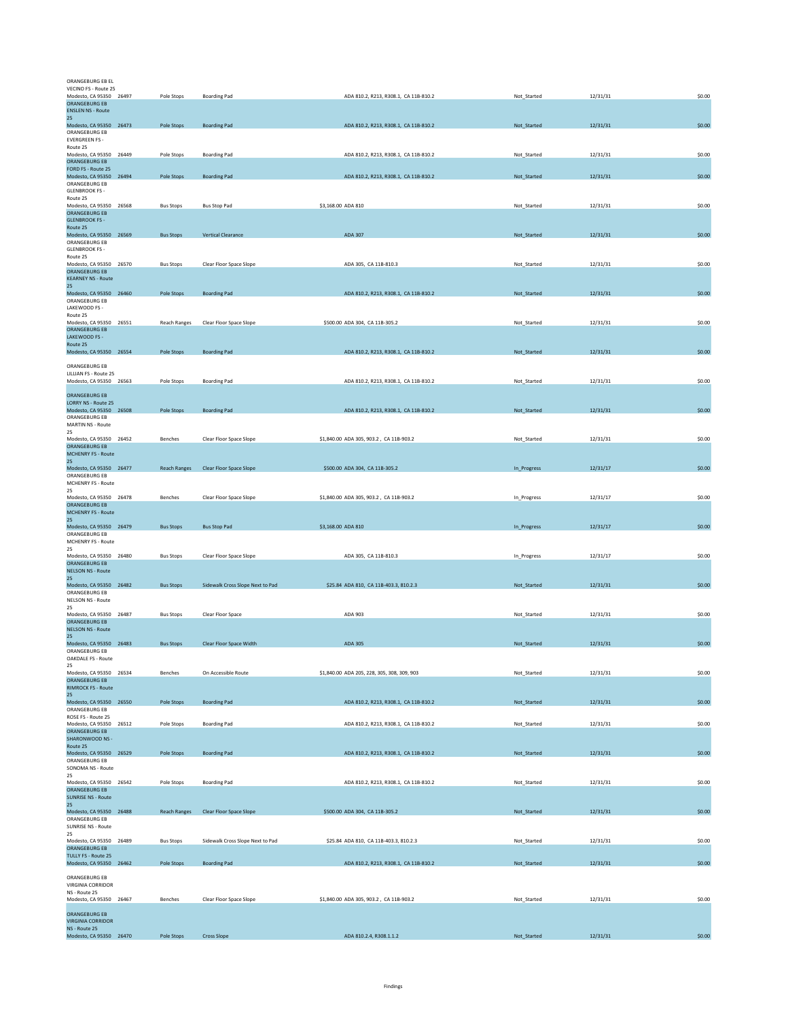| ORANGEBURG EB EL<br>VECINO FS - Route 25                                      |                     |                                  |                    |                                             |             |          |        |
|-------------------------------------------------------------------------------|---------------------|----------------------------------|--------------------|---------------------------------------------|-------------|----------|--------|
| Modesto, CA 95350 26497<br>ORANGEBURG EB<br><b>ENSLEN NS - Route</b>          | Pole Stops          | <b>Boarding Pad</b>              |                    | ADA 810.2, R213, R308.1, CA 11B-810.2       | Not Started | 12/31/31 | \$0.00 |
| 25<br>Modesto, CA 95350 26473                                                 | Pole Stops          | <b>Boarding Pad</b>              |                    | ADA 810.2, R213, R308.1, CA 11B-810.2       | Not_Started | 12/31/31 | \$0.00 |
| ORANGEBURG EB<br><b>EVERGREEN FS -</b><br>Route 25                            |                     |                                  |                    |                                             |             |          |        |
| Modesto, CA 95350 26449<br>ORANGEBURG EB                                      | Pole Stops          | <b>Boarding Pad</b>              |                    | ADA 810.2, R213, R308.1, CA 11B-810.2       | Not_Started | 12/31/31 | \$0.00 |
| FORD FS - Route 25                                                            |                     |                                  |                    | ADA 810.2, R213, R308.1, CA 11B-810.2       |             |          | \$0.00 |
| Modesto, CA 95350 26494<br>ORANGEBURG EB                                      | Pole Stops          | <b>Boarding Pad</b>              |                    |                                             | Not_Started | 12/31/31 |        |
| <b>GLENBROOK FS -</b><br>Route 25                                             |                     |                                  |                    |                                             |             |          |        |
| Modesto, CA 95350 26568<br>ORANGEBURG EB<br><b>GLENBROOK FS -</b>             | <b>Bus Stops</b>    | <b>Bus Stop Pad</b>              | \$3,168.00 ADA 810 |                                             | Not_Started | 12/31/31 | \$0.00 |
| Route 25<br>Modesto, CA 95350 26569<br>ORANGEBURG EB<br><b>GLENBROOK FS -</b> | <b>Bus Stops</b>    | <b>Vertical Clearance</b>        |                    | ADA 307                                     | Not_Started | 12/31/31 | \$0.00 |
| Route 25<br>Modesto, CA 95350 26570<br>ORANGEBURG EB                          | <b>Bus Stops</b>    | Clear Floor Space Slope          |                    | ADA 305, CA 11B-810.3                       | Not Started | 12/31/31 | \$0.00 |
| <b>KEARNEY NS - Route</b><br>25                                               |                     |                                  |                    |                                             |             |          | \$0.00 |
| Modesto, CA 95350 26460<br>ORANGEBURG EB                                      | Pole Stops          | <b>Boarding Pad</b>              |                    | ADA 810.2, R213, R308.1, CA 11B-810.2       | Not Started | 12/31/31 |        |
| LAKEWOOD FS -<br>Route 25                                                     |                     |                                  |                    |                                             |             |          |        |
| Modesto, CA 95350 26551<br><b>ORANGEBURG EB</b>                               | <b>Reach Ranges</b> | Clear Floor Space Slope          |                    | \$500.00 ADA 304, CA 11B-305.2              | Not_Started | 12/31/31 | \$0.00 |
| LAKEWOOD FS -<br>Route 25                                                     |                     |                                  |                    |                                             |             |          |        |
| Modesto, CA 95350 26554                                                       | Pole Stops          | <b>Boarding Pad</b>              |                    | ADA 810.2, R213, R308.1, CA 11B-810.2       | Not_Started | 12/31/31 | \$0.00 |
| ORANGEBURG EB<br>LILLIAN FS - Route 25                                        |                     |                                  |                    |                                             |             |          |        |
| Modesto, CA 95350 26563                                                       | Pole Stops          | <b>Boarding Pad</b>              |                    | ADA 810.2, R213, R308.1, CA 11B-810.2       | Not_Started | 12/31/31 | \$0.00 |
| <b>ORANGEBURG EB</b><br>LORRY NS - Route 25                                   |                     |                                  |                    |                                             |             |          |        |
| Modesto, CA 95350 26508<br>ORANGEBURG EB                                      | Pole Stops          | <b>Boarding Pad</b>              |                    | ADA 810.2, R213, R308.1, CA 11B-810.2       | Not_Started | 12/31/31 | \$0.00 |
| MARTIN NS - Route<br>25                                                       |                     |                                  |                    |                                             |             |          |        |
| Modesto, CA 95350 26452<br>ORANGEBURG EB                                      | Benches             | Clear Floor Space Slope          |                    | \$1,840.00 ADA 305, 903.2, CA 11B-903.2     | Not_Started | 12/31/31 | \$0.00 |
| <b>MCHENRY FS - Route</b><br>25                                               |                     |                                  |                    |                                             |             |          |        |
| Modesto, CA 95350 26477<br>ORANGEBURG EB<br>MCHENRY FS - Route<br>25          | <b>Reach Ranges</b> | Clear Floor Space Slope          |                    | \$500.00 ADA 304, CA 11B-305.2              | In_Progress | 12/31/17 | \$0.00 |
| Modesto, CA 95350 26478<br>ORANGEBURG EB                                      | Benches             | Clear Floor Space Slope          |                    | \$1,840.00 ADA 305, 903.2, CA 11B-903.2     | In_Progress | 12/31/17 | \$0.00 |
| <b>MCHENRY FS - Route</b><br>25                                               |                     |                                  |                    |                                             |             |          |        |
| Modesto, CA 95350 26479                                                       | <b>Bus Stops</b>    | <b>Bus Stop Pad</b>              | \$3,168.00 ADA 810 |                                             | In_Progress | 12/31/17 | \$0.00 |
| ORANGEBURG EB<br>MCHENRY FS - Route                                           |                     |                                  |                    |                                             |             |          |        |
| 25<br>Modesto, CA 95350 26480                                                 | <b>Bus Stops</b>    | Clear Floor Space Slope          |                    | ADA 305, CA 11B-810.3                       | In_Progress | 12/31/17 | \$0.00 |
| ORANGEBURG EB<br><b>NELSON NS - Route</b>                                     |                     |                                  |                    |                                             |             |          |        |
| 25<br>Modesto, CA 95350 26482                                                 | <b>Bus Stops</b>    | Sidewalk Cross Slope Next to Pad |                    | \$25.84 ADA 810, CA 11B-403.3, 810.2.3      | Not_Started | 12/31/31 | \$0.00 |
| ORANGEBURG EB<br><b>NELSON NS - Route</b>                                     |                     |                                  |                    |                                             |             |          |        |
| 25<br>Modesto, CA 95350 26487                                                 | <b>Bus Stops</b>    | Clear Floor Space                |                    | ADA 903                                     | Not_Started | 12/31/31 | \$0.00 |
| <b>ORANGEBURG EB</b><br><b>NELSON NS - Route</b>                              |                     |                                  |                    |                                             |             |          |        |
| 25<br>Modesto, CA 95350 26483                                                 | <b>Bus Stops</b>    | Clear Floor Space Width          |                    | ADA 305                                     | Not_Started | 12/31/31 | \$0.00 |
| ORANGEBURG EB<br>OAKDALE FS - Route                                           |                     |                                  |                    |                                             |             |          |        |
| 25<br>Modesto, CA 95350 26534                                                 | Benches             | On Accessible Route              |                    | \$1,840.00 ADA 205, 228, 305, 308, 309, 903 | Not_Started | 12/31/31 | \$0.00 |
| ORANGEBURG EB<br><b>RIMROCK FS - Route</b>                                    |                     |                                  |                    |                                             |             |          |        |
| 25<br>Modesto, CA 95350 26550                                                 | Pole Stops          | <b>Boarding Pad</b>              |                    | ADA 810.2, R213, R308.1, CA 11B-810.2       | Not_Started | 12/31/31 | \$0.00 |
| ORANGEBURG EB<br>ROSE FS - Route 25                                           |                     |                                  |                    |                                             |             |          |        |
| Modesto, CA 95350 26512<br>ORANGEBURG FB                                      | Pole Stops          | <b>Boarding Pad</b>              |                    | ADA 810.2, R213, R308.1, CA 11B-810.2       | Not_Started | 12/31/31 | \$0.00 |
| SHARONWOOD NS -                                                               |                     |                                  |                    |                                             |             |          |        |
| Route 25<br>Modesto, CA 95350 26529                                           | Pole Stops          | <b>Boarding Pad</b>              |                    | ADA 810.2, R213, R308.1, CA 11B-810.2       | Not_Started | 12/31/31 | \$0.00 |
| ORANGEBURG EB<br>SONOMA NS - Route                                            |                     |                                  |                    |                                             |             |          |        |
| 25<br>Modesto, CA 95350 26542                                                 | Pole Stops          | <b>Boarding Pad</b>              |                    | ADA 810.2, R213, R308.1, CA 11B-810.2       | Not_Started | 12/31/31 | \$0.00 |
| ORANGEBURG EB<br><b>SUNRISE NS - Route</b>                                    |                     |                                  |                    |                                             |             |          |        |
| 25<br>Modesto, CA 95350 26488                                                 | <b>Reach Ranges</b> | Clear Floor Space Slope          |                    | \$500.00 ADA 304, CA 11B-305.2              | Not_Started | 12/31/31 | \$0.00 |
| ORANGEBURG EB<br><b>SUNRISE NS - Route</b>                                    |                     |                                  |                    |                                             |             |          |        |
| 25<br>Modesto, CA 95350 26489                                                 | <b>Bus Stops</b>    | Sidewalk Cross Slope Next to Pad |                    | \$25.84 ADA 810, CA 11B-403.3, 810.2.3      | Not_Started | 12/31/31 | \$0.00 |
| ORANGEBURG EB                                                                 |                     |                                  |                    |                                             |             |          |        |
| TULLY FS - Route 25<br>Modesto, CA 95350 26462                                | Pole Stops          | <b>Boarding Pad</b>              |                    | ADA 810.2, R213, R308.1, CA 11B-810.2       | Not_Started | 12/31/31 | \$0.00 |
| ORANGEBURG EB                                                                 |                     |                                  |                    |                                             |             |          |        |
| VIRGINIA CORRIDOR<br>NS - Route 25                                            |                     |                                  |                    |                                             |             |          |        |
| Modesto, CA 95350 26467                                                       | Benches             | Clear Floor Space Slope          |                    | \$1,840.00 ADA 305, 903.2, CA 11B-903.2     | Not_Started | 12/31/31 | \$0.00 |
| ORANGEBURG EB<br><b>VIRGINIA CORRIDOR</b>                                     |                     |                                  |                    |                                             |             |          |        |
| NS - Route 25<br>Modesto, CA 95350 26470                                      | Pole Stops          | <b>Cross Slope</b>               |                    | ADA 810.2.4, R308.1.1.2                     | Not_Started | 12/31/31 | \$0.00 |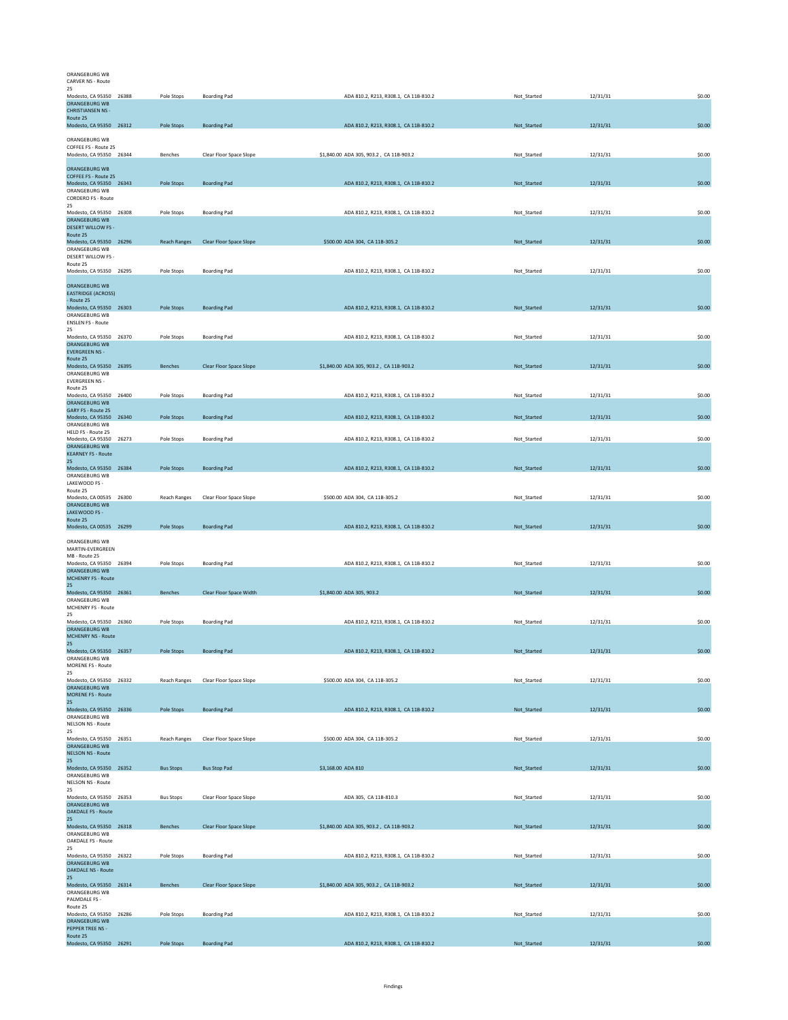## ORANGEBURG WB CARVER NS - Route

| 25<br>Modesto, CA 95350 26388                   | Pole Stops          | <b>Boarding Pad</b>            | ADA 810.2, R213, R308.1, CA 11B-810.2   | Not_Started | 12/31/31 | \$0.00 |
|-------------------------------------------------|---------------------|--------------------------------|-----------------------------------------|-------------|----------|--------|
| ORANGEBURG WB<br><b>CHRISTIANSEN NS -</b>       |                     |                                |                                         |             |          |        |
| Route 25<br>Modesto, CA 95350 26312             | Pole Stops          | <b>Boarding Pad</b>            | ADA 810.2, R213, R308.1, CA 11B-810.2   | Not_Started | 12/31/31 | \$0.00 |
| ORANGEBURG WB                                   |                     |                                |                                         |             |          |        |
| COFFEE FS - Route 25<br>Modesto, CA 95350 26344 | Benches             |                                | \$1,840.00 ADA 305, 903.2, CA 11B-903.2 | Not_Started | 12/31/31 | \$0.00 |
|                                                 |                     | Clear Floor Space Slope        |                                         |             |          |        |
| ORANGEBURG WB<br>COFFEE FS - Route 25           |                     |                                |                                         |             |          |        |
| Modesto, CA 95350 26343<br>ORANGEBURG WB        | Pole Stops          | <b>Boarding Pad</b>            | ADA 810.2, R213, R308.1, CA 11B-810.2   | Not_Started | 12/31/31 | \$0.00 |
| <b>CORDERO FS - Route</b><br>25                 |                     |                                |                                         |             |          |        |
| Modesto, CA 95350 26308<br>ORANGEBURG WB        | Pole Stops          | <b>Boarding Pad</b>            | ADA 810.2, R213, R308.1, CA 11B-810.2   | Not_Started | 12/31/31 | \$0.00 |
| <b>DESERT WILLOW FS -</b><br>Route 25           |                     |                                |                                         |             |          |        |
| Modesto, CA 95350 26296                         | <b>Reach Ranges</b> | Clear Floor Space Slope        | \$500.00 ADA 304, CA 11B-305.2          | Not_Started | 12/31/31 | \$0.00 |
| ORANGEBURG WB<br>DESERT WILLOW FS -             |                     |                                |                                         |             |          |        |
| Route 25<br>Modesto, CA 95350 26295             | Pole Stops          | <b>Boarding Pad</b>            | ADA 810.2, R213, R308.1, CA 11B-810.2   | Not_Started | 12/31/31 | \$0.00 |
| <b>ORANGEBURG WB</b>                            |                     |                                |                                         |             |          |        |
| <b>EASTRIDGE (ACROSS)</b><br>- Route 25         |                     |                                |                                         |             |          |        |
| Modesto, CA 95350 26303<br>ORANGEBURG WB        | Pole Stops          | <b>Boarding Pad</b>            | ADA 810.2, R213, R308.1, CA 11B-810.2   | Not_Started | 12/31/31 | \$0.00 |
| <b>ENSLEN FS - Route</b><br>25                  |                     |                                |                                         |             |          |        |
| Modesto, CA 95350 26370                         | Pole Stops          | <b>Boarding Pad</b>            | ADA 810.2, R213, R308.1, CA 11B-810.2   | Not_Started | 12/31/31 | \$0.00 |
| <b>ORANGEBURG WB</b><br><b>EVERGREEN NS -</b>   |                     |                                |                                         |             |          |        |
| Route 25<br>Modesto, CA 95350 26395             | Benches             | Clear Floor Space Slope        | \$1,840.00 ADA 305, 903.2, CA 11B-903.2 | Not_Started | 12/31/31 | \$0.00 |
| ORANGEBURG WB<br><b>EVERGREEN NS -</b>          |                     |                                |                                         |             |          |        |
| Route 25<br>Modesto, CA 95350 26400             | Pole Stops          | <b>Boarding Pad</b>            | ADA 810.2, R213, R308.1, CA 11B-810.2   | Not_Started | 12/31/31 | \$0.00 |
| ORANGEBURG WB<br><b>GARY FS - Route 25</b>      |                     |                                |                                         |             |          |        |
| Modesto, CA 95350 26340<br>ORANGEBURG WB        | Pole Stops          | <b>Boarding Pad</b>            | ADA 810.2, R213, R308.1, CA 11B-810.2   | Not_Started | 12/31/31 | \$0.00 |
| HELD FS - Route 25                              |                     |                                |                                         |             |          |        |
| Modesto, CA 95350 26273<br>ORANGEBURG WB        | Pole Stops          | <b>Boarding Pad</b>            | ADA 810.2, R213, R308.1, CA 11B-810.2   | Not_Started | 12/31/31 | \$0.00 |
| <b>KEARNEY FS - Route</b><br>25 <sub>2</sub>    |                     |                                |                                         |             |          |        |
| Modesto, CA 95350 26384<br>ORANGEBURG WB        | Pole Stops          | <b>Boarding Pad</b>            | ADA 810.2, R213, R308.1, CA 11B-810.2   | Not_Started | 12/31/31 | \$0.00 |
| LAKEWOOD FS -<br>Route 25                       |                     |                                |                                         |             |          |        |
| Modesto, CA 00535 26300                         | <b>Reach Ranges</b> | Clear Floor Space Slope        | \$500.00 ADA 304, CA 11B-305.2          | Not_Started | 12/31/31 | \$0.00 |
|                                                 |                     |                                |                                         |             |          |        |
| ORANGEBURG WB<br>LAKEWOOD FS -                  |                     |                                |                                         |             |          |        |
| Route 25<br>Modesto, CA 00535 26299             | Pole Stops          | <b>Boarding Pad</b>            | ADA 810.2, R213, R308.1, CA 11B-810.2   | Not_Started | 12/31/31 | \$0.00 |
| ORANGEBURG WB                                   |                     |                                |                                         |             |          |        |
| MARTIN-EVERGREEN<br>MB - Route 25               |                     |                                |                                         |             |          |        |
| Modesto, CA 95350 26394<br>ORANGEBURG WB        | Pole Stops          | <b>Boarding Pad</b>            | ADA 810.2, R213, R308.1, CA 11B-810.2   | Not_Started | 12/31/31 | \$0.00 |
| <b>MCHENRY FS - Route</b><br>25                 |                     |                                |                                         |             |          |        |
| Modesto, CA 95350 26361<br>ORANGEBURG WB        | Benches             | Clear Floor Space Width        | \$1,840.00 ADA 305, 903.2               | Not_Started | 12/31/31 | \$0.00 |
| MCHENRY FS - Route<br>25                        |                     |                                |                                         |             |          |        |
| Modesto, CA 95350 26360                         | Pole Stops          | <b>Boarding Pad</b>            | ADA 810.2, R213, R308.1, CA 11B-810.2   | Not Started | 12/31/31 | \$0.00 |
| ORANGEBURG WB<br><b>MCHENRY NS - Route</b>      |                     |                                |                                         |             |          |        |
| 25<br>Modesto, CA 95350 26357                   | Pole Stops          | <b>Boarding Pad</b>            | ADA 810.2, R213, R308.1, CA 11B-810.2   | Not_Started | 12/31/31 | \$0.00 |
| ORANGEBURG WB<br>MORENE FS - Route              |                     |                                |                                         |             |          |        |
| 25<br>Modesto, CA 95350 26332                   | <b>Reach Ranges</b> | Clear Floor Space Slope        | \$500.00 ADA 304, CA 11B-305.2          | Not_Started | 12/31/31 | \$0.00 |
| ORANGEBURG WB<br><b>MORENE FS - Route</b>       |                     |                                |                                         |             |          |        |
| 25<br>Modesto, CA 95350 26336                   | Pole Stops          | <b>Boarding Pad</b>            | ADA 810.2, R213, R308.1, CA 11B-810.2   | Not_Started | 12/31/31 | \$0.00 |
| ORANGEBURG WB                                   |                     |                                |                                         |             |          |        |
| NELSON NS - Route<br>25                         |                     |                                |                                         |             |          |        |
| Modesto, CA 95350 26351<br><b>ORANGEBURG WB</b> | <b>Reach Ranges</b> | Clear Floor Space Slope        | \$500.00 ADA 304, CA 11B-305.2          | Not_Started | 12/31/31 | \$0.00 |
| <b>NELSON NS - Route</b><br>25                  |                     |                                |                                         |             |          |        |
| Modesto, CA 95350 26352<br>ORANGEBURG WB        | <b>Bus Stops</b>    | <b>Bus Stop Pad</b>            | \$3,168.00 ADA 810                      | Not_Started | 12/31/31 | \$0.00 |
| NELSON NS - Route<br>25                         |                     |                                |                                         |             |          |        |
| Modesto, CA 95350 26353<br>ORANGEBURG WB        | <b>Bus Stops</b>    | Clear Floor Space Slope        | ADA 305, CA 11B-810.3                   | Not_Started | 12/31/31 | \$0.00 |
| <b>OAKDALE FS - Route</b><br>25                 |                     |                                |                                         |             |          |        |
| Modesto, CA 95350 26318                         | Benches             | Clear Floor Space Slope        | \$1,840.00 ADA 305, 903.2, CA 11B-903.2 | Not_Started | 12/31/31 | \$0.00 |
| ORANGEBURG WB<br>OAKDALE FS - Route             |                     |                                |                                         |             |          |        |
| 25<br>Modesto, CA 95350 26322                   | Pole Stops          | <b>Boarding Pad</b>            | ADA 810.2, R213, R308.1, CA 11B-810.2   | Not_Started | 12/31/31 | \$0.00 |
| ORANGEBURG WB<br><b>OAKDALE NS - Route</b>      |                     |                                |                                         |             |          |        |
| 25<br>Modesto, CA 95350 26314                   | <b>Benches</b>      | <b>Clear Floor Space Slope</b> | \$1,840.00 ADA 305, 903.2, CA 11B-903.2 | Not_Started | 12/31/31 | \$0.00 |
| ORANGEBURG WB<br>PALMDALE FS -                  |                     |                                |                                         |             |          |        |
| Route 25<br>Modesto, CA 95350 26286             | Pole Stops          | <b>Boarding Pad</b>            | ADA 810.2, R213, R308.1, CA 11B-810.2   | Not_Started | 12/31/31 | \$0.00 |
| ORANGEBURG WB<br>PEPPER TREE NS -               |                     |                                |                                         |             |          |        |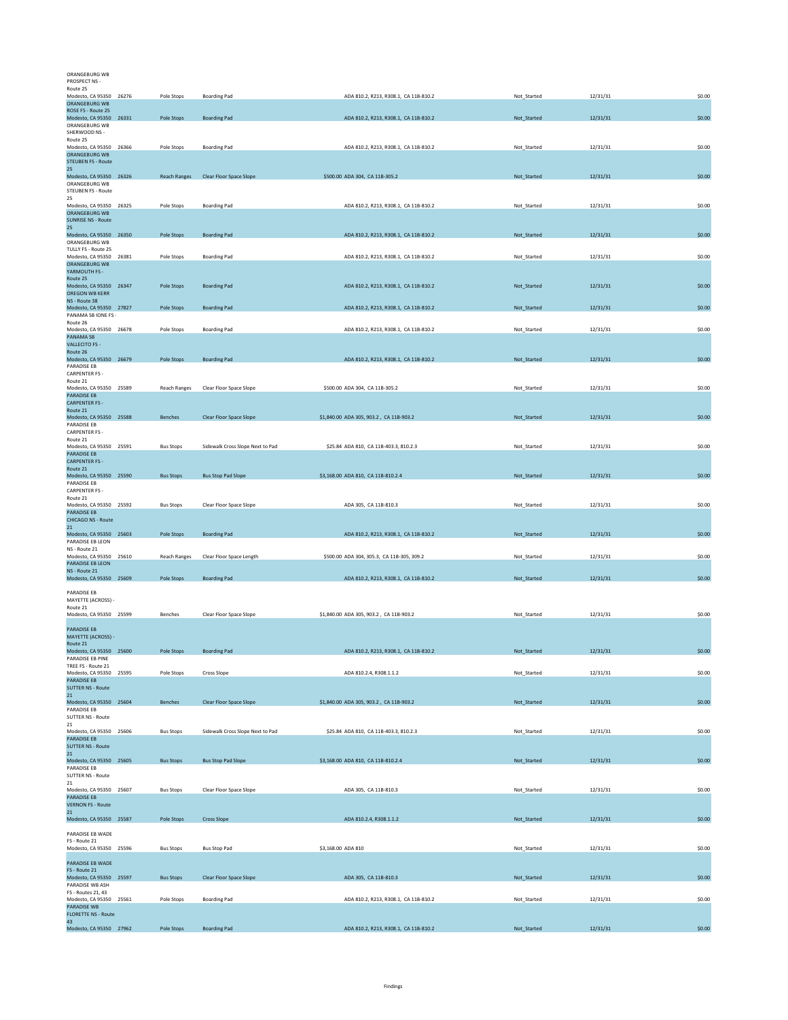| ORANGEBURG WB                                 |                     |                                  |                                            |             |          |        |
|-----------------------------------------------|---------------------|----------------------------------|--------------------------------------------|-------------|----------|--------|
| PROSPECT NS -                                 |                     |                                  |                                            |             |          |        |
| Route 25<br>Modesto, CA 95350 26276           | Pole Stops          | <b>Boarding Pad</b>              | ADA 810.2, R213, R308.1, CA 11B-810.2      | Not_Started | 12/31/31 | \$0.00 |
| ORANGEBURG WB<br>ROSE FS - Route 25           |                     |                                  |                                            |             |          |        |
| Modesto, CA 95350 26331                       | Pole Stops          | <b>Boarding Pad</b>              | ADA 810.2, R213, R308.1, CA 11B-810.2      | Not_Started | 12/31/31 | \$0.00 |
| ORANGEBURG WB<br>SHERWOOD NS -                |                     |                                  |                                            |             |          |        |
| Route 25                                      |                     |                                  |                                            |             |          |        |
| Modesto, CA 95350 26366<br>ORANGEBURG WB      | Pole Stops          | <b>Boarding Pad</b>              | ADA 810.2, R213, R308.1, CA 11B-810.2      | Not_Started | 12/31/31 | \$0.00 |
| <b>STEUBEN FS - Route</b>                     |                     |                                  |                                            |             |          |        |
| 25<br>Modesto, CA 95350 26326                 | <b>Reach Ranges</b> | Clear Floor Space Slope          | \$500.00 ADA 304, CA 11B-305.2             | Not_Started | 12/31/31 | \$0.00 |
| ORANGEBURG WB                                 |                     |                                  |                                            |             |          |        |
| <b>STEUBEN FS - Route</b><br>25               |                     |                                  |                                            |             |          |        |
| Modesto, CA 95350 26325                       | Pole Stops          | <b>Boarding Pad</b>              | ADA 810.2, R213, R308.1, CA 11B-810.2      | Not_Started | 12/31/31 | \$0.00 |
| ORANGEBURG WB<br><b>SUNRISE NS - Route</b>    |                     |                                  |                                            |             |          |        |
| 25                                            |                     |                                  |                                            |             |          |        |
| Modesto, CA 95350 26350<br>ORANGEBURG WB      | Pole Stops          | <b>Boarding Pad</b>              | ADA 810.2, R213, R308.1, CA 11B-810.2      | Not_Started | 12/31/31 | \$0.00 |
| TULLY FS - Route 25                           |                     |                                  |                                            |             |          |        |
| Modesto, CA 95350 26381<br>ORANGEBURG WB      | Pole Stops          | <b>Boarding Pad</b>              | ADA 810.2, R213, R308.1, CA 11B-810.2      | Not_Started | 12/31/31 | \$0.00 |
| YARMOUTH FS -                                 |                     |                                  |                                            |             |          |        |
| Route 25<br>Modesto, CA 95350 26347           | Pole Stops          | <b>Boarding Pad</b>              | ADA 810.2, R213, R308.1, CA 11B-810.2      | Not_Started | 12/31/31 | \$0.00 |
| OREGON WB KERR                                |                     |                                  |                                            |             |          |        |
| NS - Route 38<br>Modesto, CA 95350 27827      | Pole Stops          | <b>Boarding Pad</b>              | ADA 810.2, R213, R308.1, CA 11B-810.2      | Not_Started | 12/31/31 | \$0.00 |
| PANAMA SB IONE FS -                           |                     |                                  |                                            |             |          |        |
| Route 26<br>Modesto, CA 95350 26678           | Pole Stops          | <b>Boarding Pad</b>              | ADA 810.2, R213, R308.1, CA 11B-810.2      | Not_Started | 12/31/31 | \$0.00 |
| PANAMA SB                                     |                     |                                  |                                            |             |          |        |
| <b>VALLECITO FS -</b><br>Route 26             |                     |                                  |                                            |             |          |        |
| Modesto, CA 95350 26679                       | Pole Stops          | <b>Boarding Pad</b>              | ADA 810.2, R213, R308.1, CA 11B-810.2      | Not_Started | 12/31/31 | \$0.00 |
| PARADISE EB<br><b>CARPENTER FS -</b>          |                     |                                  |                                            |             |          |        |
| Route 21<br>Modesto, CA 95350 25589           |                     |                                  | \$500.00 ADA 304, CA 11B-305.2             |             |          |        |
| <b>PARADISE EB</b>                            | Reach Ranges        | Clear Floor Space Slope          |                                            | Not_Started | 12/31/31 | \$0.00 |
| <b>CARPENTER FS -</b>                         |                     |                                  |                                            |             |          |        |
| Route 21<br>Modesto, CA 95350 25588           | <b>Benches</b>      | Clear Floor Space Slope          | \$1,840.00 ADA 305, 903.2, CA 11B-903.2    | Not_Started | 12/31/31 | \$0.00 |
| PARADISE EB                                   |                     |                                  |                                            |             |          |        |
| <b>CARPENTER FS -</b><br>Route 21             |                     |                                  |                                            |             |          |        |
| Modesto, CA 95350 25591<br>PARADISE EB        | <b>Bus Stops</b>    | Sidewalk Cross Slope Next to Pad | \$25.84 ADA 810, CA 11B-403.3, 810.2.3     | Not Started | 12/31/31 | \$0.00 |
| <b>CARPENTER FS -</b>                         |                     |                                  |                                            |             |          |        |
| Route 21                                      |                     | <b>Bus Stop Pad Slope</b>        |                                            |             |          | \$0.00 |
| Modesto, CA 95350 25590<br>PARADISE EB        | <b>Bus Stops</b>    |                                  | \$3,168.00 ADA 810, CA 11B-810.2.4         | Not_Started | 12/31/31 |        |
| CARPENTER FS -<br>Route 21                    |                     |                                  |                                            |             |          |        |
| Modesto, CA 95350 25592                       | <b>Bus Stops</b>    | Clear Floor Space Slope          | ADA 305, CA 11B-810.3                      | Not_Started | 12/31/31 | \$0.00 |
| <b>PARADISE EB</b><br>CHICAGO NS - Route      |                     |                                  |                                            |             |          |        |
| 21                                            |                     |                                  |                                            |             |          |        |
| Modesto, CA 95350 25603<br>PARADISE EB LEON   | Pole Stops          | <b>Boarding Pad</b>              | ADA 810.2, R213, R308.1, CA 11B-810.2      | Not_Started | 12/31/31 | \$0.00 |
| NS - Route 21                                 |                     |                                  |                                            |             |          |        |
| Modesto, CA 95350 25610<br>PARADISE EB LEON   | Reach Ranges        | Clear Floor Space Length         | \$500.00 ADA 304, 305.3, CA 11B-305, 309.2 | Not_Started | 12/31/31 | \$0.00 |
| NS - Route 21                                 |                     |                                  |                                            |             |          |        |
| Modesto, CA 95350 25609                       | Pole Stops          | <b>Boarding Pad</b>              | ADA 810.2, R213, R308.1, CA 11B-810.2      | Not_Started | 12/31/31 | \$0.00 |
| PARADISE EB                                   |                     |                                  |                                            |             |          |        |
| MAYETTE (ACROSS) -<br>Route 21                |                     |                                  |                                            |             |          |        |
| Modesto, CA 95350 25599                       | Benches             | Clear Floor Space Slope          | \$1,840.00 ADA 305, 903.2, CA 11B-903.2    | Not_Started | 12/31/31 | \$0.00 |
| PARADISE EB                                   |                     |                                  |                                            |             |          |        |
| MAYETTE (ACROSS) -                            |                     |                                  |                                            |             |          |        |
| Route 21<br>Modesto, CA 95350 25600           | Pole Stops          | <b>Boarding Pad</b>              | ADA 810.2, R213, R308.1, CA 11B-810.2      | Not_Started | 12/31/31 | \$0.00 |
| PARADISE EB PINE                              |                     |                                  |                                            |             |          |        |
| TREE FS - Route 21<br>Modesto, CA 95350 25595 | Pole Stops          | Cross Slope                      | ADA 810.2.4, R308.1.1.2                    | Not_Started | 12/31/31 | \$0.00 |
| <b>PARADISE EB</b>                            |                     |                                  |                                            |             |          |        |
| <b>SUTTER NS - Route</b><br>21                |                     |                                  |                                            |             |          |        |
| Modesto, CA 95350 25604                       | Benches             | Clear Floor Space Slope          | \$1,840.00 ADA 305, 903.2, CA 11B-903.2    | Not_Started | 12/31/31 | \$0.00 |
| PARADISE EB<br><b>SUTTER NS - Route</b>       |                     |                                  |                                            |             |          |        |
| 21                                            |                     |                                  |                                            |             |          |        |
| Modesto, CA 95350 25606<br><b>PARADISE EB</b> | <b>Bus Stops</b>    | Sidewalk Cross Slope Next to Pad | \$25.84 ADA 810, CA 11B-403.3, 810.2.3     | Not_Started | 12/31/31 | \$0.00 |
| <b>SUTTER NS - Route</b>                      |                     |                                  |                                            |             |          |        |
| 21<br>Modesto, CA 95350 25605                 | <b>Bus Stops</b>    | <b>Bus Stop Pad Slope</b>        | \$3,168.00 ADA 810, CA 11B-810.2.4         | Not_Started | 12/31/31 | \$0.00 |
| PARADISE EB                                   |                     |                                  |                                            |             |          |        |
| <b>SUTTER NS - Route</b><br>21                |                     |                                  |                                            |             |          |        |
| Modesto, CA 95350 25607                       | <b>Bus Stops</b>    | Clear Floor Space Slope          | ADA 305, CA 11B-810.3                      | Not_Started | 12/31/31 | \$0.00 |
| PARADISE EB<br><b>VERNON FS - Route</b>       |                     |                                  |                                            |             |          |        |
| 21                                            |                     |                                  |                                            |             |          |        |
| Modesto, CA 95350 25587                       | <b>Pole Stops</b>   | <b>Cross Slope</b>               | ADA 810.2.4, R308.1.1.2                    | Not_Started | 12/31/31 | \$0.00 |
| PARADISE EB WADE                              |                     |                                  |                                            |             |          |        |
| FS - Route 21<br>Modesto, CA 95350 25596      | <b>Bus Stops</b>    | <b>Bus Stop Pad</b>              | \$3,168.00 ADA 810                         | Not_Started | 12/31/31 | \$0.00 |
|                                               |                     |                                  |                                            |             |          |        |
| PARADISE EB WADE<br>FS - Route 21             |                     |                                  |                                            |             |          |        |
| Modesto, CA 95350 25597                       | <b>Bus Stops</b>    | <b>Clear Floor Space Slope</b>   | ADA 305, CA 11B-810.3                      | Not_Started | 12/31/31 | \$0.00 |
| PARADISE WB ASH<br>FS - Routes 21, 43         |                     |                                  |                                            |             |          |        |
| Modesto, CA 95350 25561                       | Pole Stops          | <b>Boarding Pad</b>              | ADA 810.2, R213, R308.1, CA 11B-810.2      | Not_Started | 12/31/31 | \$0.00 |
| PARADISE WB<br><b>FLORETTE NS - Route</b>     |                     |                                  |                                            |             |          |        |
| 43<br>Modesto, CA 95350 27962                 | Pole Stops          | <b>Boarding Pad</b>              | ADA 810.2, R213, R308.1, CA 11B-810.2      | Not_Started | 12/31/31 | \$0.00 |
|                                               |                     |                                  |                                            |             |          |        |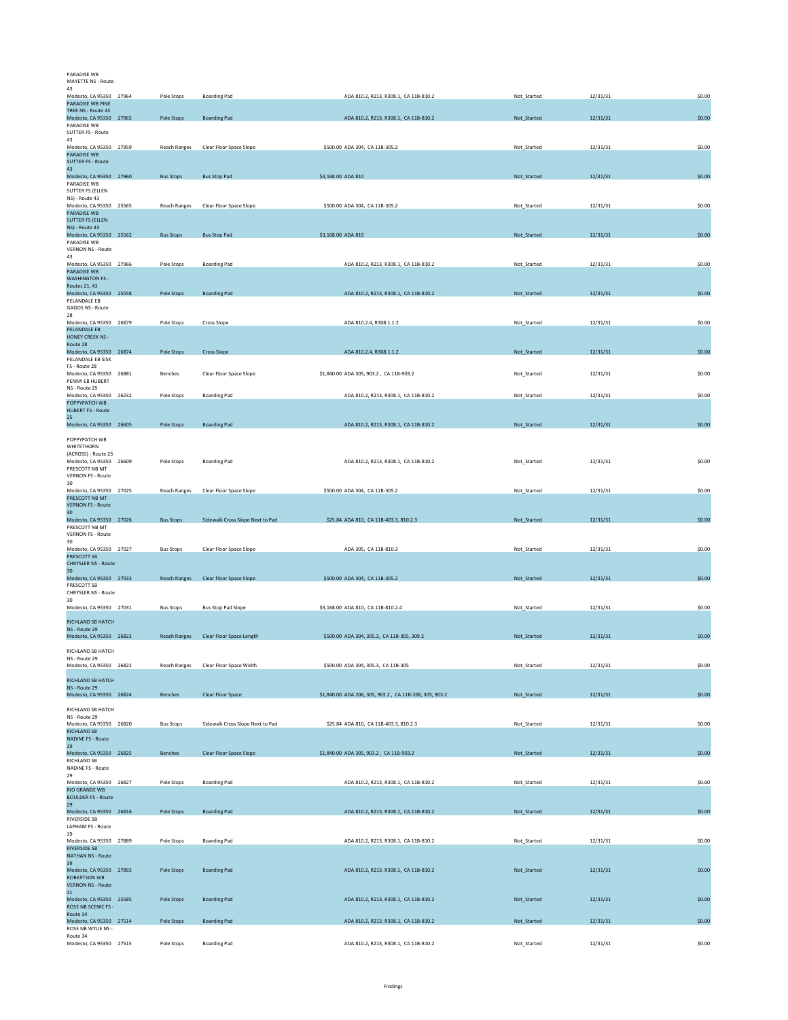| PARADISE WB<br>MAYETTE NS - Route                                        |                     |                                       |                                                        |             |          |        |
|--------------------------------------------------------------------------|---------------------|---------------------------------------|--------------------------------------------------------|-------------|----------|--------|
| 43<br>Modesto, CA 95350 27964                                            | Pole Stops          | <b>Boarding Pad</b>                   | ADA 810.2, R213, R308.1, CA 11B-810.2                  | Not_Started | 12/31/31 | \$0.00 |
| <b>PARADISE WB PINE</b><br>TREE NS - Route 43<br>Modesto, CA 95350 27965 | Pole Stops          | <b>Boarding Pad</b>                   | ADA 810.2, R213, R308.1, CA 11B-810.2                  | Not_Started | 12/31/31 | \$0.00 |
| PARADISE WB<br>SUTTER FS - Route                                         |                     |                                       |                                                        |             |          |        |
| 43<br>Modesto, CA 95350 27959                                            | <b>Reach Ranges</b> | Clear Floor Space Slope               | \$500.00 ADA 304, CA 11B-305.2                         | Not Started | 12/31/31 | \$0.00 |
| PARADISE WB<br><b>SUTTER FS - Route</b><br>43                            |                     |                                       |                                                        |             |          |        |
| Modesto, CA 95350 27960<br>PARADISE WB                                   | <b>Bus Stops</b>    | <b>Bus Stop Pad</b>                   | \$3,168.00 ADA 810                                     | Not_Started | 12/31/31 | \$0.00 |
| <b>SUTTER FS (ELLEN</b><br>NS) - Route 43                                |                     |                                       |                                                        |             |          |        |
| Modesto, CA 95350 25565<br><b>PARADISE WB</b><br><b>SUTTER FS (ELLEN</b> | <b>Reach Ranges</b> | Clear Floor Space Slope               | \$500.00 ADA 304, CA 11B-305.2                         | Not_Started | 12/31/31 | \$0.00 |
| NS) - Route 43<br>Modesto, CA 95350 25562                                | <b>Bus Stops</b>    | <b>Bus Stop Pad</b>                   | \$3,168.00 ADA 810                                     | Not_Started | 12/31/31 | \$0.00 |
| PARADISE WB<br><b>VERNON NS - Route</b>                                  |                     |                                       |                                                        |             |          |        |
| 43<br>Modesto, CA 95350 27966<br><b>PARADISE WB</b>                      | Pole Stops          | <b>Boarding Pad</b>                   | ADA 810.2, R213, R308.1, CA 11B-810.2                  | Not_Started | 12/31/31 | \$0.00 |
| <b>WASHINGTON FS -</b><br>Routes 21, 43                                  |                     |                                       |                                                        |             |          |        |
| Modesto, CA 95350 25558<br>PELANDALE EB                                  | Pole Stops          | <b>Boarding Pad</b>                   | ADA 810.2, R213, R308.1, CA 11B-810.2                  | Not_Started | 12/31/31 | \$0.00 |
| GAGOS NS - Route<br>28<br>Modesto, CA 95350 26879                        | Pole Stops          | Cross Slope                           | ADA 810.2.4, R308.1.1.2                                | Not_Started | 12/31/31 | \$0.00 |
| PELANDALE EB<br><b>HONEY CREEK NS -</b>                                  |                     |                                       |                                                        |             |          |        |
| Route 28<br>Modesto, CA 95350 26874                                      | <b>Pole Stops</b>   | <b>Cross Slope</b>                    | ADA 810.2.4, R308.1.1.2                                | Not_Started | 12/31/31 | \$0.00 |
| PELANDALE EB SISK<br>FS - Route 28                                       |                     |                                       |                                                        |             |          |        |
| Modesto, CA 95350 26881<br>PENNY FR HURERT<br>NS - Route 25              | Benches             | Clear Floor Space Slope               | \$1,840.00 ADA 305, 903.2, CA 11B-903.2                | Not_Started | 12/31/31 | \$0.00 |
| Modesto, CA 95350 26232<br>POPPYPATCH WB                                 | Pole Stops          | <b>Boarding Pad</b>                   | ADA 810.2, R213, R308.1, CA 11B-810.2                  | Not_Started | 12/31/31 | \$0.00 |
| <b>HUBERT FS - Route</b><br>25                                           |                     |                                       |                                                        |             |          |        |
| Modesto, CA 95350 26605<br>POPPYPATCH WB                                 | Pole Stops          | <b>Boarding Pad</b>                   | ADA 810.2, R213, R308.1, CA 11B-810.2                  | Not_Started | 12/31/31 | \$0.00 |
| <b>WHITETHORN</b><br>(ACROSS) - Route 25                                 |                     |                                       |                                                        |             |          |        |
| Modesto, CA 95350 26609<br>PRESCOTT NB MT                                | Pole Stops          | <b>Boarding Pad</b>                   | ADA 810.2, R213, R308.1, CA 11B-810.2                  | Not_Started | 12/31/31 | \$0.00 |
| VERNON FS - Route<br>30<br>Modesto, CA 95350 27025                       | Reach Ranges        | Clear Floor Space Slope               | \$500.00 ADA 304, CA 11B-305.2                         | Not_Started | 12/31/31 | \$0.00 |
| PRESCOTT NB MT<br><b>VERNON FS - Route</b>                               |                     |                                       |                                                        |             |          |        |
|                                                                          |                     |                                       |                                                        |             |          |        |
| 30 <sup>2</sup><br>Modesto, CA 95350 27026                               | <b>Bus Stops</b>    | Sidewalk Cross Slope Next to Pad      | \$25.84 ADA 810, CA 11B-403.3, 810.2.3                 | Not_Started | 12/31/31 | \$0.00 |
| PRESCOTT NB MT<br><b>VERNON FS - Route</b>                               |                     |                                       |                                                        |             |          |        |
| 30<br>Modesto, CA 95350 27027<br>PRESCOTT SB                             | <b>Bus Stops</b>    | Clear Floor Space Slope               | ADA 305, CA 11B-810.3                                  | Not Started | 12/31/31 | \$0.00 |
| <b>CHRYSLER NS - Route</b><br>30 <sup>2</sup>                            |                     |                                       |                                                        |             |          |        |
| Modesto, CA 95350 27033<br>PRESCOTT SB                                   | <b>Reach Ranges</b> | Clear Floor Space Slope               | \$500.00 ADA 304, CA 11B-305.2                         | Not Started | 12/31/31 | \$0.00 |
| CHRYSLER NS - Route<br>30<br>Modesto, CA 95350 27031                     | <b>Bus Stops</b>    | <b>Bus Stop Pad Slope</b>             | \$3,168.00 ADA 810, CA 11B-810.2.4                     | Not_Started | 12/31/31 | \$0.00 |
| RICHLAND SB HATCH                                                        |                     |                                       |                                                        |             |          |        |
| NS - Route 29<br>Modesto, CA 95350 26823                                 |                     | Reach Ranges Clear Floor Space Length | \$500.00 ADA 304, 305.3, CA 11B-305, 309.2             | Not_Started | 12/31/31 | \$0.00 |
| RICHLAND SB HATCH<br>NS - Route 29                                       |                     |                                       |                                                        |             |          |        |
| Modesto, CA 95350 26822                                                  | Reach Ranges        | Clear Floor Space Width               | \$500.00 ADA 304, 305.3, CA 11B-305                    | Not Started | 12/31/31 | \$0.00 |
| RICHLAND SB HATCH<br>NS - Route 29                                       | <b>Benches</b>      |                                       | \$1,840.00 ADA 206, 305, 903.2, CA 11B-206, 305, 903.2 |             | 12/31/31 | \$0.00 |
| Modesto, CA 95350 26824<br>RICHLAND SB HATCH                             |                     | Clear Floor Space                     |                                                        | Not_Started |          |        |
| NS - Route 29<br>Modesto, CA 95350 26820                                 | <b>Bus Stops</b>    | Sidewalk Cross Slope Next to Pad      | \$25.84 ADA 810, CA 11B-403.3, 810.2.3                 | Not_Started | 12/31/31 | \$0.00 |
| <b>RICHLAND SB</b><br><b>NADINE FS - Route</b><br>29                     |                     |                                       |                                                        |             |          |        |
| Modesto, CA 95350 26825<br>RICHLAND SB                                   | Benches             | Clear Floor Space Slope               | \$1,840.00 ADA 305, 903.2, CA 11B-903.2                | Not_Started | 12/31/31 | \$0.00 |
| NADINE FS - Route<br>29                                                  |                     |                                       |                                                        |             |          |        |
| Modesto, CA 95350 26827<br><b>RIO GRANDE WB</b>                          | Pole Stops          | <b>Boarding Pad</b>                   | ADA 810.2, R213, R308.1, CA 11B-810.2                  | Not_Started | 12/31/31 | \$0.00 |
| <b>BOULDER FS - Route</b><br>29<br>Modesto, CA 95350 26816               | Pole Stops          | <b>Boarding Pad</b>                   | ADA 810.2, R213, R308.1, CA 11B-810.2                  | Not_Started | 12/31/31 | \$0.00 |
| RIVERSIDE SB<br>LAPHAM FS - Route                                        |                     |                                       |                                                        |             |          |        |
| 39<br>Modesto, CA 95350 27889<br><b>RIVERSIDE SB</b>                     | Pole Stops          | <b>Boarding Pad</b>                   | ADA 810.2, R213, R308.1, CA 11B-810.2                  | Not_Started | 12/31/31 | \$0.00 |
| <b>NATHAN NS - Route</b><br>39                                           |                     |                                       |                                                        |             |          |        |
| Modesto, CA 95350 27892<br><b>ROBERTSON WB</b>                           | Pole Stops          | <b>Boarding Pad</b>                   | ADA 810.2, R213, R308.1, CA 11B-810.2                  | Not_Started | 12/31/31 | \$0.00 |
| <b>VERNON NS - Route</b><br>21                                           |                     |                                       |                                                        |             |          |        |
| Modesto, CA 95350 25585<br>ROSE NB SCENIC FS -<br>Route 34               | Pole Stops          | <b>Boarding Pad</b>                   | ADA 810.2, R213, R308.1, CA 11B-810.2                  | Not_Started | 12/31/31 | \$0.00 |
| Modesto, CA 95350 27514<br>ROSE NB WYLIE NS -<br>Route 34                | <b>Pole Stops</b>   | <b>Boarding Pad</b>                   | ADA 810.2, R213, R308.1, CA 11B-810.2                  | Not_Started | 12/31/31 | \$0.00 |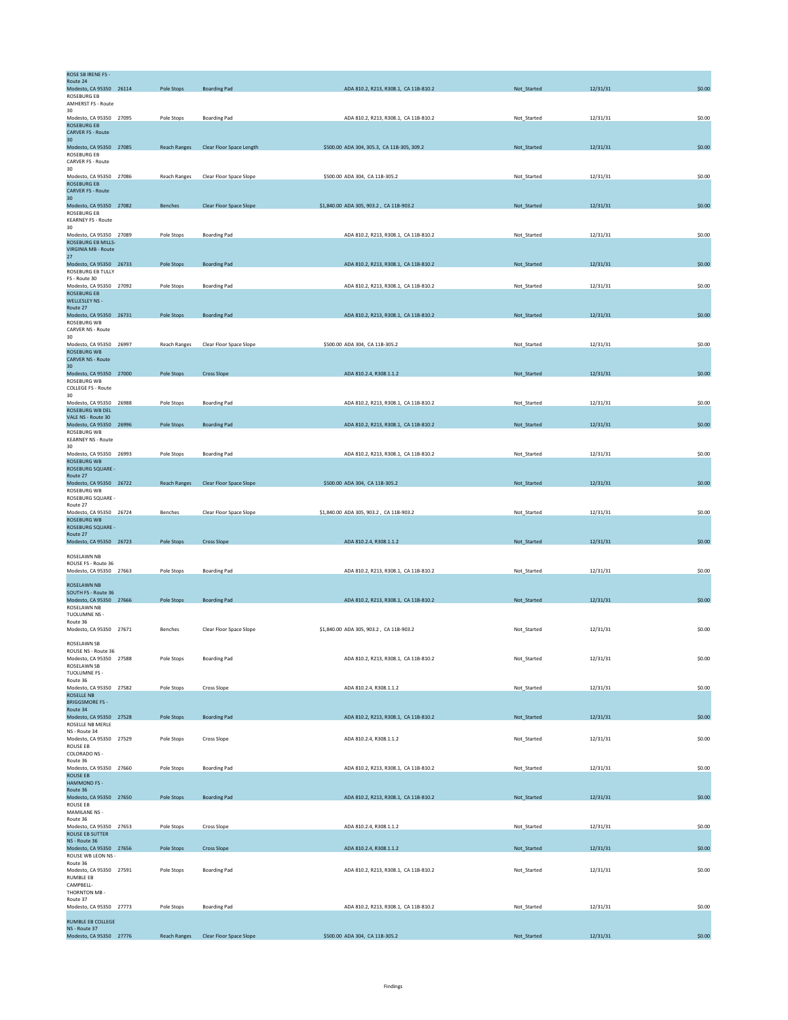| Route 24<br>Modesto, CA 95350 26114                  | Pole Stops          | <b>Boarding Pad</b>      | ADA 810.2, R213, R308.1, CA 11B-810.2      | Not_Started | 12/31/31 | \$0.00 |
|------------------------------------------------------|---------------------|--------------------------|--------------------------------------------|-------------|----------|--------|
| <b>ROSEBURG EB</b><br>AMHERST FS - Route             |                     |                          |                                            |             |          |        |
| 30<br>Modesto, CA 95350 27095                        | Pole Stops          | <b>Boarding Pad</b>      | ADA 810.2, R213, R308.1, CA 11B-810.2      | Not_Started | 12/31/31 | \$0.00 |
| <b>ROSEBURG EB</b>                                   |                     |                          |                                            |             |          |        |
| <b>CARVER FS - Route</b><br>30 <sup>2</sup>          |                     |                          |                                            |             |          |        |
| Modesto, CA 95350 27085<br>ROSEBURG EB               | <b>Reach Ranges</b> | Clear Floor Space Length | \$500.00 ADA 304, 305.3, CA 11B-305, 309.2 | Not_Started | 12/31/31 | \$0.00 |
| CARVER FS - Route                                    |                     |                          |                                            |             |          |        |
| 30<br>Modesto, CA 95350 27086                        | <b>Reach Ranges</b> | Clear Floor Space Slope  | \$500.00 ADA 304, CA 11B-305.2             | Not_Started | 12/31/31 | \$0.00 |
| <b>ROSEBURG EB</b><br><b>CARVER FS - Route</b>       |                     |                          |                                            |             |          |        |
| 30<br>Modesto, CA 95350 27082                        |                     | Clear Floor Space Slope  | \$1,840.00 ADA 305, 903.2, CA 11B-903.2    | Not_Started | 12/31/31 | \$0.00 |
| <b>ROSEBURG EB</b>                                   | Benches             |                          |                                            |             |          |        |
| <b>KEARNEY FS - Route</b><br>30                      |                     |                          |                                            |             |          |        |
| Modesto, CA 95350 27089<br><b>ROSEBURG EB MILLS-</b> | Pole Stops          | <b>Boarding Pad</b>      | ADA 810.2, R213, R308.1, CA 11B-810.2      | Not_Started | 12/31/31 | \$0.00 |
| <b>VIRGINIA MB - Route</b>                           |                     |                          |                                            |             |          |        |
| 27<br>Modesto, CA 95350 26733                        | Pole Stops          | <b>Boarding Pad</b>      | ADA 810.2, R213, R308.1, CA 11B-810.2      | Not_Started | 12/31/31 | \$0.00 |
| ROSEBURG EB TULLY<br>FS - Route 30                   |                     |                          |                                            |             |          |        |
| Modesto, CA 95350 27092                              | Pole Stops          | <b>Boarding Pad</b>      | ADA 810.2, R213, R308.1, CA 11B-810.2      | Not_Started | 12/31/31 | \$0.00 |
| <b>ROSEBURG EB</b><br>WELLESLEY NS -                 |                     |                          |                                            |             |          |        |
| Route 27<br>Modesto, CA 95350 26731                  | Pole Stops          | <b>Boarding Pad</b>      | ADA 810.2, R213, R308.1, CA 11B-810.2      | Not_Started | 12/31/31 | \$0.00 |
| ROSEBURG WB                                          |                     |                          |                                            |             |          |        |
| CARVER NS - Route<br>30                              |                     |                          |                                            |             |          |        |
| Modesto, CA 95350 26997<br><b>ROSEBURG WB</b>        | <b>Reach Ranges</b> | Clear Floor Space Slope  | \$500.00 ADA 304, CA 11B-305.2             | Not_Started | 12/31/31 | \$0.00 |
| <b>CARVER NS - Route</b><br>30                       |                     |                          |                                            |             |          |        |
| Modesto, CA 95350 27000                              | Pole Stops          | <b>Cross Slope</b>       | ADA 810.2.4, R308.1.1.2                    | Not_Started | 12/31/31 | \$0.00 |
| ROSEBURG WB<br><b>COLLEGE FS - Route</b>             |                     |                          |                                            |             |          |        |
| 30<br>Modesto, CA 95350 26988                        | Pole Stops          | <b>Boarding Pad</b>      | ADA 810.2, R213, R308.1, CA 11B-810.2      | Not_Started | 12/31/31 | \$0.00 |
| ROSEBURG WB DEL                                      |                     |                          |                                            |             |          |        |
| VALE NS - Route 30<br>Modesto, CA 95350 26996        | Pole Stops          | <b>Boarding Pad</b>      | ADA 810.2, R213, R308.1, CA 11B-810.2      | Not_Started | 12/31/31 | \$0.00 |
| ROSEBURG WB<br><b>KEARNEY NS - Route</b>             |                     |                          |                                            |             |          |        |
| 30                                                   |                     |                          |                                            |             |          |        |
| Modesto, CA 95350 26993<br><b>ROSEBURG WB</b>        | Pole Stops          | <b>Boarding Pad</b>      | ADA 810.2, R213, R308.1, CA 11B-810.2      | Not_Started | 12/31/31 | \$0.00 |
| ROSEBURG SQUARE -<br>Route 27                        |                     |                          |                                            |             |          |        |
| Modesto, CA 95350 26722                              | <b>Reach Ranges</b> | Clear Floor Space Slope  | \$500.00 ADA 304, CA 11B-305.2             | Not_Started | 12/31/31 | \$0.00 |
| ROSEBURG WB<br>ROSEBURG SQUARE -                     |                     |                          |                                            |             |          |        |
| Route 27<br>Modesto, CA 95350 26724                  | <b>Benches</b>      | Clear Floor Space Slope  | \$1,840.00 ADA 305, 903.2, CA 11B-903.2    | Not Started | 12/31/31 | \$0.00 |
| <b>ROSEBURG WB</b><br>ROSEBURG SQUARE -              |                     |                          |                                            |             |          |        |
|                                                      |                     |                          |                                            |             |          |        |
| Route 27                                             |                     |                          |                                            |             |          |        |
| Modesto, CA 95350 26723                              | Pole Stops          | <b>Cross Slope</b>       | ADA 810.2.4, R308.1.1.2                    | Not_Started | 12/31/31 | \$0.00 |
| ROSELAWN NB                                          |                     |                          |                                            |             |          |        |
| ROUSE FS - Route 36<br>Modesto, CA 95350 27663       | Pole Stops          | <b>Boarding Pad</b>      | ADA 810.2, R213, R308.1, CA 11B-810.2      | Not_Started | 12/31/31 | \$0.00 |
| ROSELAWN NB                                          |                     |                          |                                            |             |          |        |
| SOUTH FS - Route 36                                  |                     |                          |                                            |             |          |        |
| Modesto, CA 95350 27666<br>ROSELAWN NB               | Pole Stops          | <b>Boarding Pad</b>      | ADA 810.2, R213, R308.1, CA 11B-810.2      | Not_Started | 12/31/31 | \$0.00 |
| TUOLUMNE NS -<br>Route 36                            |                     |                          |                                            |             |          |        |
| Modesto, CA 95350 27671                              | Benches             | Clear Floor Space Slope  | \$1,840.00 ADA 305, 903.2, CA 11B-903.2    | Not_Started | 12/31/31 | \$0.00 |
| ROSELAWN SB                                          |                     |                          |                                            |             |          |        |
| ROUSE NS - Route 36<br>Modesto, CA 95350 27588       | Pole Stops          | <b>Boarding Pad</b>      | ADA 810.2, R213, R308.1, CA 11B-810.2      | Not_Started | 12/31/31 | \$0.00 |
| ROSELAWN SB<br>TUOLUMNE FS -                         |                     |                          |                                            |             |          |        |
| Route 36                                             |                     |                          |                                            |             |          |        |
| Modesto, CA 95350 27582<br><b>ROSELLE NB</b>         | Pole Stops          | Cross Slope              | ADA 810.2.4, R308.1.1.2                    | Not_Started | 12/31/31 | \$0.00 |
| <b>BRIGGSMORE FS-</b><br>Route 34                    |                     |                          |                                            |             |          |        |
| Modesto, CA 95350 27528                              | Pole Stops          | <b>Boarding Pad</b>      | ADA 810.2, R213, R308.1, CA 11B-810.2      | Not_Started | 12/31/31 | \$0.00 |
| ROSELLE NB MERLE<br>NS - Route 34                    |                     |                          |                                            |             |          |        |
| Modesto, CA 95350 27529<br>ROUSE EB                  | Pole Stops          | Cross Slope              | ADA 810.2.4, R308.1.1.2                    | Not_Started | 12/31/31 | \$0.00 |
| COLORADO NS -                                        |                     |                          |                                            |             |          |        |
| Route 36<br>Modesto, CA 95350 27660                  | Pole Stops          | <b>Boarding Pad</b>      | ADA 810.2, R213, R308.1, CA 11B-810.2      | Not_Started | 12/31/31 | \$0.00 |
| <b>ROUSE EB</b><br><b>HAMMOND FS -</b>               |                     |                          |                                            |             |          |        |
| Route 36<br>Modesto, CA 95350 27650                  | Pole Stops          | <b>Boarding Pad</b>      | ADA 810.2, R213, R308.1, CA 11B-810.2      | Not_Started | 12/31/31 | \$0.00 |
| ROUSE EB                                             |                     |                          |                                            |             |          |        |
| MAMILANE NS -<br>Route 36                            |                     |                          |                                            |             |          |        |
| Modesto, CA 95350 27653<br>ROUSE EB SUTTER           | Pole Stops          | Cross Slope              | ADA 810.2.4, R308.1.1.2                    | Not_Started | 12/31/31 | \$0.00 |
| NS - Route 36                                        |                     |                          |                                            |             |          |        |
| Modesto, CA 95350 27656<br>ROUSE WB LEON NS -        | Pole Stops          | <b>Cross Slope</b>       | ADA 810.2.4, R308.1.1.2                    | Not_Started | 12/31/31 | \$0.00 |
| Route 36<br>Modesto, CA 95350 27591                  | Pole Stops          | <b>Boarding Pad</b>      | ADA 810.2, R213, R308.1, CA 11B-810.2      | Not_Started | 12/31/31 | \$0.00 |
| RUMBLE EB                                            |                     |                          |                                            |             |          |        |
| CAMPBELL-<br>THORNTON MB -                           |                     |                          |                                            |             |          |        |
| Route 37<br>Modesto, CA 95350 27773                  | Pole Stops          | <b>Boarding Pad</b>      | ADA 810.2, R213, R308.1, CA 11B-810.2      | Not_Started | 12/31/31 | \$0.00 |
| RUMBLE EB COLLEGE                                    |                     |                          |                                            |             |          |        |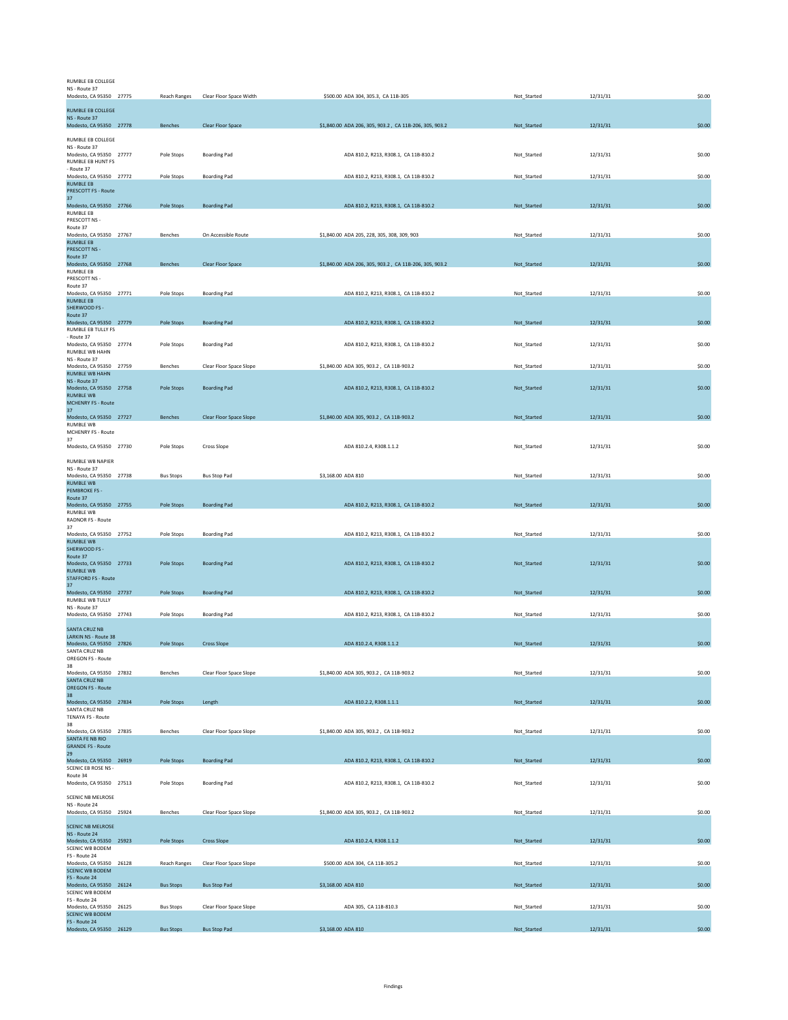## RUMBLE EB COLLEGE NS - Route 37

| Modesto, CA 95350 27775                             | Reach Ranges     | Clear Floor Space Width  | \$500.00 ADA 304, 305.3, CA 11B-305                    | Not_Started | 12/31/31 | \$0.00 |
|-----------------------------------------------------|------------------|--------------------------|--------------------------------------------------------|-------------|----------|--------|
| RUMBLE EB COLLEGE                                   |                  |                          |                                                        |             |          |        |
| NS - Route 37<br>Modesto, CA 95350 27778            | Benches          | <b>Clear Floor Space</b> | \$1,840.00 ADA 206, 305, 903.2, CA 11B-206, 305, 903.2 | Not_Started | 12/31/31 | \$0.00 |
|                                                     |                  |                          |                                                        |             |          |        |
| RUMBLE EB COLLEGE<br>NS - Route 37                  |                  |                          |                                                        |             |          |        |
| Modesto, CA 95350 27777                             | Pole Stops       | <b>Boarding Pad</b>      | ADA 810.2, R213, R308.1, CA 11B-810.2                  | Not_Started | 12/31/31 | \$0.00 |
| RUMBLE EB HUNT FS<br>- Route 37                     |                  |                          |                                                        |             |          |        |
| Modesto, CA 95350 27772<br><b>RUMBLE EB</b>         | Pole Stops       | <b>Boarding Pad</b>      | ADA 810.2, R213, R308.1, CA 11B-810.2                  | Not_Started | 12/31/31 | \$0.00 |
| <b>PRESCOTT FS - Route</b>                          |                  |                          |                                                        |             |          |        |
| 37<br>Modesto, CA 95350 27766                       | Pole Stops       | <b>Boarding Pad</b>      | ADA 810.2, R213, R308.1, CA 11B-810.2                  | Not_Started | 12/31/31 | \$0.00 |
| <b>RUMBLE EB</b>                                    |                  |                          |                                                        |             |          |        |
| PRESCOTT NS -<br>Route 37                           |                  |                          |                                                        |             |          |        |
| Modesto, CA 95350 27767                             | Benches          | On Accessible Route      | \$1,840.00 ADA 205, 228, 305, 308, 309, 903            | Not_Started | 12/31/31 | \$0.00 |
| <b>RUMBLE EB</b><br>PRESCOTT NS -                   |                  |                          |                                                        |             |          |        |
| Route 37<br>Modesto, CA 95350 27768                 |                  |                          |                                                        |             |          | \$0.00 |
| <b>RUMBLE EB</b>                                    | Benches          | Clear Floor Space        | \$1,840.00 ADA 206, 305, 903.2, CA 11B-206, 305, 903.2 | Not_Started | 12/31/31 |        |
| PRESCOTT NS -<br>Route 37                           |                  |                          |                                                        |             |          |        |
| Modesto, CA 95350 27771                             | Pole Stops       | <b>Boarding Pad</b>      | ADA 810.2, R213, R308.1, CA 11B-810.2                  | Not_Started | 12/31/31 | \$0.00 |
| <b>RUMBLE EB</b><br>SHERWOOD FS -                   |                  |                          |                                                        |             |          |        |
| Route 37                                            |                  |                          |                                                        |             |          |        |
| Modesto, CA 95350 27779<br>RUMBLE EB TULLY FS       | Pole Stops       | <b>Boarding Pad</b>      | ADA 810.2, R213, R308.1, CA 11B-810.2                  | Not_Started | 12/31/31 | \$0.00 |
| Route 37                                            |                  |                          |                                                        |             |          |        |
| Modesto, CA 95350 27774<br>RUMBLE WB HAHN           | Pole Stops       | <b>Boarding Pad</b>      | ADA 810.2, R213, R308.1, CA 11B-810.2                  | Not_Started | 12/31/31 | \$0.00 |
| NS - Route 37                                       |                  |                          |                                                        |             |          |        |
| Modesto, CA 95350 27759<br><b>RUMBLE WB HAHN</b>    | Benches          | Clear Floor Space Slope  | \$1,840.00 ADA 305, 903.2, CA 11B-903.2                | Not_Started | 12/31/31 | \$0.00 |
| NS - Route 37<br>Modesto, CA 95350 27758            | Pole Stops       | <b>Boarding Pad</b>      | ADA 810.2, R213, R308.1, CA 11B-810.2                  | Not_Started | 12/31/31 | \$0.00 |
| <b>RUMBLE WB</b>                                    |                  |                          |                                                        |             |          |        |
| <b>MCHENRY FS - Route</b><br>37                     |                  |                          |                                                        |             |          |        |
| Modesto, CA 95350 27727                             | <b>Benches</b>   | Clear Floor Space Slope  | \$1,840.00 ADA 305, 903.2, CA 11B-903.2                | Not_Started | 12/31/31 | \$0.00 |
| RUMBLE WB<br>MCHENRY FS - Route                     |                  |                          |                                                        |             |          |        |
| 37                                                  |                  |                          |                                                        |             |          |        |
| Modesto, CA 95350 27730                             | Pole Stops       | Cross Slope              | ADA 810.2.4, R308.1.1.2                                | Not_Started | 12/31/31 | \$0.00 |
| RUMBLE WB NAPIER                                    |                  |                          |                                                        |             |          |        |
| NS - Route 37<br>Modesto, CA 95350 27738            | <b>Bus Stops</b> | <b>Bus Stop Pad</b>      | \$3,168.00 ADA 810                                     | Not_Started | 12/31/31 | \$0.00 |
| <b>RUMBLE WB</b><br><b>PEMBROKE FS -</b>            |                  |                          |                                                        |             |          |        |
| Route 37                                            |                  |                          |                                                        |             |          |        |
| Modesto, CA 95350 27755<br><b>RUMBLE WB</b>         | Pole Stops       | <b>Boarding Pad</b>      | ADA 810.2, R213, R308.1, CA 11B-810.2                  | Not_Started | 12/31/31 | \$0.00 |
| RADNOR FS - Route                                   |                  |                          |                                                        |             |          |        |
| 37<br>Modesto, CA 95350 27752                       | Pole Stops       | <b>Boarding Pad</b>      | ADA 810.2, R213, R308.1, CA 11B-810.2                  | Not_Started | 12/31/31 | \$0.00 |
| <b>RUMBLE WB</b>                                    |                  |                          |                                                        |             |          |        |
| SHERWOOD FS -<br>Route 37                           |                  |                          |                                                        |             |          |        |
| Modesto, CA 95350 27733                             | Pole Stops       | <b>Boarding Pad</b>      | ADA 810.2, R213, R308.1, CA 11B-810.2                  | Not_Started | 12/31/31 | \$0.00 |
| <b>RUMBLE WB</b><br><b>STAFFORD FS - Route</b>      |                  |                          |                                                        |             |          |        |
| 37                                                  |                  |                          |                                                        |             |          |        |
| Modesto, CA 95350 27737<br>RUMBLE WB TULLY          | Pole Stops       | <b>Boarding Pad</b>      | ADA 810.2, R213, R308.1, CA 11B-810.2                  | Not_Started | 12/31/31 | \$0.00 |
| NS - Route 37                                       |                  |                          |                                                        |             |          |        |
| Modesto, CA 95350 27743                             | Pole Stops       | <b>Boarding Pad</b>      | ADA 810.2, R213, R308.1, CA 11B-810.2                  | Not_Started | 12/31/31 | \$0.00 |
| <b>SANTA CRUZ NB</b><br><b>LARKIN NS - Route 38</b> |                  |                          |                                                        |             |          |        |
| Modesto, CA 95350 27826                             | Pole Stops       | <b>Cross Slope</b>       | ADA 810.2.4, R308.1.1.2                                | Not_Started | 12/31/31 | \$0.00 |
| SANTA CRUZ NB<br><b>OREGON FS - Route</b>           |                  |                          |                                                        |             |          |        |
| 38                                                  |                  |                          |                                                        |             |          |        |
| Modesto, CA 95350 27832<br><b>SANTA CRUZ NB</b>     | Benches          | Clear Floor Space Slope  | \$1,840.00 ADA 305, 903.2, CA 11B-903.2                | Not_Started | 12/31/31 | \$0.00 |
| <b>OREGON FS - Route</b>                            |                  |                          |                                                        |             |          |        |
| 38<br>Modesto, CA 95350 27834                       | Pole Stops       | Length                   | ADA 810.2.2, R308.1.1.1                                | Not_Started | 12/31/31 | \$0.00 |
| SANTA CRUZ NB                                       |                  |                          |                                                        |             |          |        |
| <b>TENAYA FS - Route</b><br>38                      |                  |                          |                                                        |             |          |        |
| Modesto, CA 95350 27835                             | Benches          | Clear Floor Space Slope  | \$1,840.00 ADA 305, 903.2, CA 11B-903.2                | Not Started | 12/31/31 | \$0.00 |
| SANTA FE NB RIO<br><b>GRANDE FS - Route</b>         |                  |                          |                                                        |             |          |        |
| 29<br>Modesto, CA 95350 26919                       | Pole Stops       | <b>Boarding Pad</b>      | ADA 810.2, R213, R308.1, CA 11B-810.2                  | Not_Started | 12/31/31 | \$0.00 |
| <b>SCENIC EB ROSE NS -</b>                          |                  |                          |                                                        |             |          |        |
| Route 34<br>Modesto, CA 95350 27513                 | Pole Stops       | <b>Boarding Pad</b>      | ADA 810.2, R213, R308.1, CA 11B-810.2                  | Not_Started | 12/31/31 | \$0.00 |
|                                                     |                  |                          |                                                        |             |          |        |
| SCENIC NB MELROSE<br>NS - Route 24                  |                  |                          |                                                        |             |          |        |
| Modesto, CA 95350 25924                             | Benches          | Clear Floor Space Slope  | \$1,840.00 ADA 305, 903.2, CA 11B-903.2                | Not_Started | 12/31/31 | \$0.00 |
| <b>SCENIC NB MELROSE</b>                            |                  |                          |                                                        |             |          |        |
| NS - Route 24                                       |                  |                          |                                                        |             |          |        |
| Modesto, CA 95350 25923<br>SCENIC WB BODEM          | Pole Stops       | <b>Cross Slope</b>       | ADA 810.2.4, R308.1.1.2                                | Not_Started | 12/31/31 | \$0.00 |
| FS - Route 24                                       |                  |                          |                                                        |             |          |        |
| Modesto, CA 95350 26128<br><b>SCENIC WB BODEM</b>   | Reach Ranges     | Clear Floor Space Slope  | \$500.00 ADA 304, CA 11B-305.2                         | Not_Started | 12/31/31 | \$0.00 |
| FS - Route 24<br>Modesto, CA 95350 26124            |                  |                          | \$3,168.00 ADA 810                                     |             | 12/31/31 | \$0.00 |
| <b>SCENIC WB BODEM</b>                              | <b>Bus Stops</b> | <b>Bus Stop Pad</b>      |                                                        | Not_Started |          |        |
| FS - Route 24<br>Modesto, CA 95350 26125            | <b>Bus Stops</b> | Clear Floor Space Slope  | ADA 305, CA 11B-810.3                                  | Not_Started | 12/31/31 | \$0.00 |
| <b>SCENIC WB BODEM</b>                              |                  |                          |                                                        |             |          |        |
| FS - Route 24<br>Modesto, CA 95350 26129            | <b>Bus Stops</b> | <b>Bus Stop Pad</b>      | \$3,168.00 ADA 810                                     | Not_Started | 12/31/31 | \$0.00 |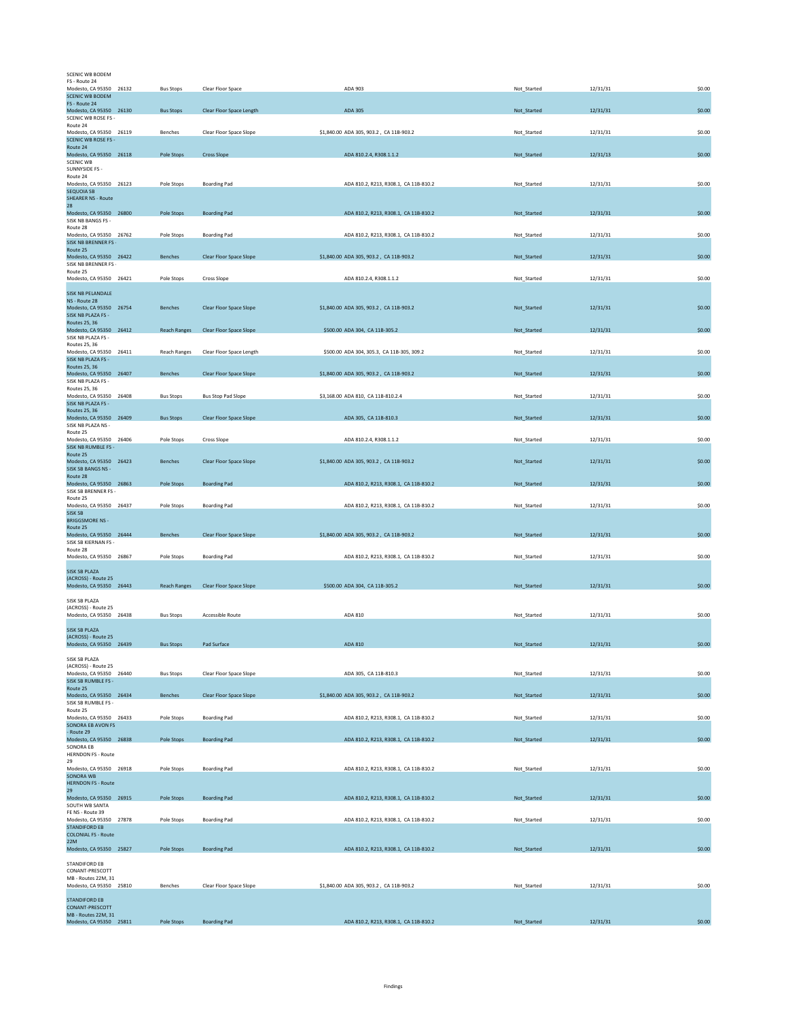| FS - Route 24                                         |                     |                                |                                            |             |          |        |
|-------------------------------------------------------|---------------------|--------------------------------|--------------------------------------------|-------------|----------|--------|
| Modesto, CA 95350 26132                               | <b>Bus Stops</b>    | Clear Floor Space              | ADA 903                                    | Not_Started | 12/31/31 | \$0.00 |
| <b>SCENIC WB BODEM</b>                                |                     |                                |                                            |             |          |        |
| FS - Route 24                                         |                     |                                |                                            |             |          |        |
| Modesto, CA 95350 26130<br>SCENIC WB ROSE FS -        | <b>Bus Stops</b>    | Clear Floor Space Length       | ADA 305                                    | Not_Started | 12/31/31 | \$0.00 |
| Route 24                                              |                     |                                |                                            |             |          |        |
| Modesto, CA 95350 26119<br><b>SCENIC WB ROSE FS -</b> | Benches             | Clear Floor Space Slope        | \$1,840.00 ADA 305, 903.2, CA 11B-903.2    | Not_Started | 12/31/31 | \$0.00 |
| Route 24                                              |                     |                                |                                            |             |          |        |
| Modesto, CA 95350 26118                               | Pole Stops          | <b>Cross Slope</b>             | ADA 810.2.4, R308.1.1.2                    | Not_Started | 12/31/13 | \$0.00 |
| <b>SCENIC WB</b><br>SUNNYSIDE FS -                    |                     |                                |                                            |             |          |        |
| Route 24                                              |                     |                                |                                            |             |          |        |
| Modesto, CA 95350 26123<br><b>SEQUOIA SB</b>          | Pole Stops          | <b>Boarding Pad</b>            | ADA 810.2, R213, R308.1, CA 11B-810.2      | Not_Started | 12/31/31 | \$0.00 |
| <b>SHEARER NS - Route</b>                             |                     |                                |                                            |             |          |        |
| 28                                                    |                     |                                |                                            |             |          |        |
| Modesto, CA 95350 26800<br>SISK NB BANGS FS -         | Pole Stops          | <b>Boarding Pad</b>            | ADA 810.2, R213, R308.1, CA 11B-810.2      | Not_Started | 12/31/31 | \$0.00 |
| Route 28                                              |                     |                                |                                            |             |          |        |
| Modesto, CA 95350 26762                               | Pole Stops          | <b>Boarding Pad</b>            | ADA 810.2, R213, R308.1, CA 11B-810.2      | Not_Started | 12/31/31 | \$0.00 |
| <b>SISK NB BRENNER FS-</b><br>Route 25                |                     |                                |                                            |             |          |        |
| Modesto, CA 95350 26422                               | <b>Benches</b>      | Clear Floor Space Slope        | \$1,840.00 ADA 305, 903.2, CA 11B-903.2    | Not_Started | 12/31/31 | \$0.00 |
| SISK NB BRENNER FS-<br>Route 25                       |                     |                                |                                            |             |          |        |
| Modesto, CA 95350 26421                               | Pole Stops          | Cross Slope                    | ADA 810.2.4, R308.1.1.2                    | Not_Started | 12/31/31 | \$0.00 |
|                                                       |                     |                                |                                            |             |          |        |
| <b>SISK NB PELANDALE</b><br>NS - Route 28             |                     |                                |                                            |             |          |        |
| Modesto, CA 95350 26754                               | <b>Benches</b>      | Clear Floor Space Slope        | \$1,840.00 ADA 305, 903.2, CA 11B-903.2    | Not Started | 12/31/31 | \$0.00 |
| SISK NB PLAZA FS -<br><b>Routes 25, 36</b>            |                     |                                |                                            |             |          |        |
| Modesto, CA 95350 26412                               | <b>Reach Ranges</b> | Clear Floor Space Slope        | \$500.00 ADA 304, CA 11B-305.2             | Not_Started | 12/31/31 | \$0.00 |
| SISK NB PLAZA FS -                                    |                     |                                |                                            |             |          |        |
| Routes 25, 36<br>Modesto, CA 95350 26411              | <b>Reach Ranges</b> | Clear Floor Space Length       | \$500.00 ADA 304, 305.3, CA 11B-305, 309.2 | Not_Started | 12/31/31 | \$0.00 |
| SISK NB PLAZA FS -                                    |                     |                                |                                            |             |          |        |
| Routes 25, 36                                         |                     |                                |                                            |             |          |        |
| Modesto, CA 95350 26407<br>SISK NB PLAZA FS -         | <b>Benches</b>      | <b>Clear Floor Space Slope</b> | \$1,840.00 ADA 305, 903.2, CA 11B-903.2    | Not Started | 12/31/31 | \$0.00 |
| Routes 25, 36                                         |                     |                                |                                            |             |          |        |
| Modesto, CA 95350 26408                               | <b>Bus Stops</b>    | <b>Bus Stop Pad Slope</b>      | \$3,168.00 ADA 810, CA 11B-810.2.4         | Not_Started | 12/31/31 | \$0.00 |
| SISK NB PLAZA FS -<br><b>Routes 25, 36</b>            |                     |                                |                                            |             |          |        |
| Modesto, CA 95350 26409                               | <b>Bus Stops</b>    | Clear Floor Space Slope        | ADA 305, CA 11B-810.3                      | Not_Started | 12/31/31 | \$0.00 |
| SISK NB PLAZA NS -                                    |                     |                                |                                            |             |          |        |
| Route 25<br>Modesto, CA 95350 26406                   | Pole Stops          | Cross Slope                    | ADA 810.2.4, R308.1.1.2                    | Not_Started | 12/31/31 | \$0.00 |
| SISK NB RUMBLE FS -                                   |                     |                                |                                            |             |          |        |
| Route 25<br>Modesto, CA 95350 26423                   | Benches             | Clear Floor Space Slope        | \$1,840.00 ADA 305, 903.2, CA 11B-903.2    | Not_Started | 12/31/31 | \$0.00 |
| SISK SB BANGS NS -                                    |                     |                                |                                            |             |          |        |
|                                                       |                     |                                |                                            |             |          |        |
| Route 28                                              |                     |                                |                                            |             |          |        |
| Modesto, CA 95350 26863                               | Pole Stops          | <b>Boarding Pad</b>            | ADA 810.2, R213, R308.1, CA 11B-810.2      | Not Started | 12/31/31 | \$0.00 |
| SISK SB BRENNER FS -<br>Route 25                      |                     |                                |                                            |             |          |        |
| Modesto, CA 95350 26437                               | Pole Stops          | <b>Boarding Pad</b>            | ADA 810.2, R213, R308.1, CA 11B-810.2      | Not_Started | 12/31/31 | \$0.00 |
| <b>SISK SB</b>                                        |                     |                                |                                            |             |          |        |
| <b>BRIGGSMORE NS -</b><br>Route 25                    |                     |                                |                                            |             |          |        |
| Modesto, CA 95350 26444                               | Benches             | Clear Floor Space Slope        | \$1,840.00 ADA 305, 903.2, CA 11B-903.2    | Not_Started | 12/31/31 | \$0.00 |
| SISK SB KIERNAN FS -<br>Route 28                      |                     |                                |                                            |             |          |        |
| Modesto, CA 95350 26867                               | Pole Stops          | <b>Boarding Pad</b>            | ADA 810.2, R213, R308.1, CA 11B-810.2      | Not_Started | 12/31/31 | \$0.00 |
|                                                       |                     |                                |                                            |             |          |        |
| <b>SISK SB PLAZA</b><br>(ACROSS) - Route 25           |                     |                                |                                            |             |          |        |
| Modesto, CA 95350 26443                               | <b>Reach Ranges</b> | <b>Clear Floor Space Slope</b> | \$500.00 ADA 304, CA 11B-305.2             | Not_Started | 12/31/31 | \$0.00 |
|                                                       |                     |                                |                                            |             |          |        |
| <b>SISK SB PLAZA</b><br>(ACROSS) - Route 25           |                     |                                |                                            |             |          |        |
| Modesto, CA 95350 26438                               | <b>Bus Stops</b>    | <b>Accessible Route</b>        | ADA 810                                    | Not Started | 12/31/31 | \$0.00 |
|                                                       |                     |                                |                                            |             |          |        |
| <b>SISK SB PLAZA</b><br>(ACROSS) - Route 25           |                     |                                |                                            |             |          |        |
| Modesto, CA 95350 26439                               | <b>Bus Stops</b>    | Pad Surface                    | ADA 810                                    | Not_Started | 12/31/31 | \$0.00 |
| SISK SB PLAZA                                         |                     |                                |                                            |             |          |        |
| (ACROSS) - Route 25                                   |                     |                                |                                            |             |          |        |
| Modesto, CA 95350 26440                               | <b>Bus Stops</b>    | Clear Floor Space Slope        | ADA 305, CA 11B-810.3                      | Not_Started | 12/31/31 | \$0.00 |
| SISK SB RUMBLE FS -<br>Route 25                       |                     |                                |                                            |             |          |        |
| Modesto, CA 95350 26434                               | Benches             | Clear Floor Space Slope        | \$1,840.00 ADA 305, 903.2, CA 11B-903.2    | Not_Started | 12/31/31 | \$0.00 |
| SISK SB RUMBLE FS -                                   |                     |                                |                                            |             |          |        |
| Route 25<br>Modesto, CA 95350 26433                   | Pole Stops          | <b>Boarding Pad</b>            | ADA 810.2, R213, R308.1, CA 11B-810.2      | Not Started | 12/31/31 | \$0.00 |
| SONORA EB AVON FS                                     |                     |                                |                                            |             |          |        |
| - Route 29                                            |                     |                                | ADA 810.2, R213, R308.1, CA 11B-810.2      |             |          | \$0.00 |
| Modesto, CA 95350 26838<br><b>SONORA EB</b>           | Pole Stops          | <b>Boarding Pad</b>            |                                            | Not_Started | 12/31/31 |        |
| <b>HERNDON FS - Route</b>                             |                     |                                |                                            |             |          |        |
| 29<br>Modesto, CA 95350 26918                         | Pole Stops          | <b>Boarding Pad</b>            | ADA 810.2, R213, R308.1, CA 11B-810.2      | Not_Started | 12/31/31 | \$0.00 |
| SONORA WB                                             |                     |                                |                                            |             |          |        |
| <b>HERNDON FS - Route</b><br>29                       |                     |                                |                                            |             |          |        |
| Modesto, CA 95350 26915                               | Pole Stops          | <b>Boarding Pad</b>            | ADA 810.2, R213, R308.1, CA 11B-810.2      | Not_Started | 12/31/31 | \$0.00 |
| SOUTH WB SANTA                                        |                     |                                |                                            |             |          |        |
| FE NS - Route 39                                      |                     |                                |                                            |             |          |        |
| Modesto, CA 95350 27878<br><b>STANDIFORD EB</b>       | Pole Stops          | <b>Boarding Pad</b>            | ADA 810.2, R213, R308.1, CA 11B-810.2      | Not_Started | 12/31/31 | \$0.00 |
| <b>COLONIAL FS - Route</b>                            |                     |                                |                                            |             |          |        |
| 22M<br>Modesto, CA 95350 25827                        | Pole Stops          | <b>Boarding Pad</b>            | ADA 810.2, R213, R308.1, CA 11B-810.2      | Not_Started | 12/31/31 | \$0.00 |
|                                                       |                     |                                |                                            |             |          |        |
| STANDIFORD EB                                         |                     |                                |                                            |             |          |        |
| CONANT-PRESCOTT<br>MB - Routes 22M, 31                |                     |                                |                                            |             |          |        |
| Modesto, CA 95350 25810                               | Benches             | Clear Floor Space Slope        | \$1,840.00 ADA 305, 903.2, CA 11B-903.2    | Not_Started | 12/31/31 | \$0.00 |
| <b>STANDIFORD EB</b>                                  |                     |                                |                                            |             |          |        |
| CONANT-PRESCOTT<br>MB - Routes 22M, 31                |                     |                                |                                            |             |          |        |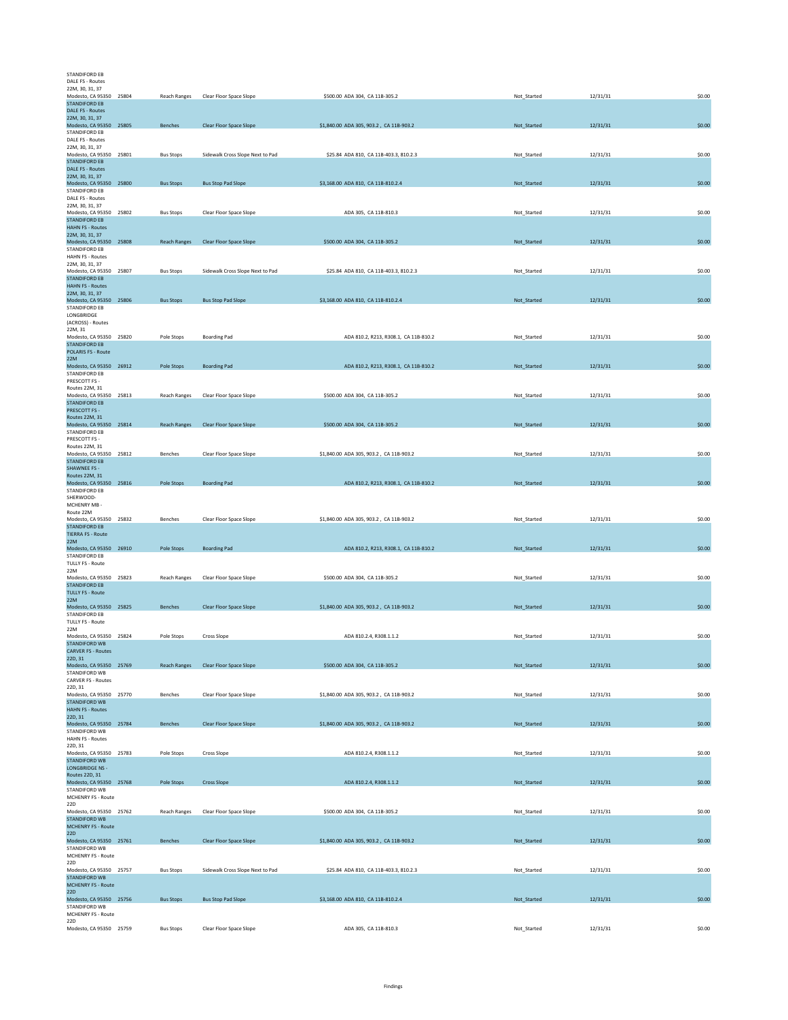| STANDIFORD EB<br>DALE FS - Routes               |                     |                                      |                                         |             |          |        |
|-------------------------------------------------|---------------------|--------------------------------------|-----------------------------------------|-------------|----------|--------|
| 22M, 30, 31, 37                                 |                     |                                      |                                         |             |          |        |
| Modesto, CA 95350 25804<br><b>STANDIFORD EB</b> | Reach Ranges        | Clear Floor Space Slope              | \$500.00 ADA 304, CA 11B-305.2          | Not_Started | 12/31/31 | \$0.00 |
| DALE FS - Routes                                |                     |                                      |                                         |             |          |        |
| 22M, 30, 31, 37                                 |                     |                                      |                                         |             |          |        |
| Modesto, CA 95350 25805<br><b>STANDIFORD EB</b> | Benches             | Clear Floor Space Slope              | \$1,840.00 ADA 305, 903.2, CA 11B-903.2 | Not_Started | 12/31/31 | \$0.00 |
| DALE FS - Routes                                |                     |                                      |                                         |             |          |        |
| 22M, 30, 31, 37                                 |                     |                                      |                                         |             |          |        |
| Modesto, CA 95350 25801<br><b>STANDIFORD EB</b> | <b>Bus Stops</b>    | Sidewalk Cross Slope Next to Pad     | \$25.84 ADA 810, CA 11B-403.3, 810.2.3  | Not_Started | 12/31/31 | \$0.00 |
| DALE FS - Routes                                |                     |                                      |                                         |             |          |        |
| 22M, 30, 31, 37                                 |                     |                                      |                                         |             |          |        |
| Modesto, CA 95350 25800<br>STANDIFORD EB        | <b>Bus Stops</b>    | <b>Bus Stop Pad Slope</b>            | \$3,168.00 ADA 810, CA 11B-810.2.4      | Not_Started | 12/31/31 | \$0.00 |
| DALE FS - Routes                                |                     |                                      |                                         |             |          |        |
| 22M, 30, 31, 37                                 |                     |                                      |                                         |             |          |        |
| Modesto, CA 95350 25802<br><b>STANDIFORD EB</b> | <b>Bus Stops</b>    | Clear Floor Space Slope              | ADA 305, CA 11B-810.3                   | Not Started | 12/31/31 | \$0.00 |
| <b>HAHN FS - Routes</b>                         |                     |                                      |                                         |             |          |        |
| 22M, 30, 31, 37                                 |                     |                                      |                                         |             |          |        |
| Modesto, CA 95350 25808<br>STANDIFORD EB        | <b>Reach Ranges</b> | <b>Clear Floor Space Slope</b>       | \$500.00 ADA 304, CA 11B-305.2          | Not_Started | 12/31/31 | \$0.00 |
| <b>HAHN FS - Routes</b>                         |                     |                                      |                                         |             |          |        |
| 22M, 30, 31, 37                                 |                     |                                      |                                         |             |          |        |
| Modesto, CA 95350 25807<br><b>STANDIFORD EB</b> | <b>Bus Stops</b>    | Sidewalk Cross Slope Next to Pad     | \$25.84 ADA 810, CA 11B-403.3, 810.2.3  | Not_Started | 12/31/31 | \$0.00 |
| <b>HAHN FS - Routes</b>                         |                     |                                      |                                         |             |          |        |
| 22M, 30, 31, 37                                 |                     |                                      |                                         |             |          |        |
| Modesto, CA 95350 25806                         | <b>Bus Stops</b>    | <b>Bus Stop Pad Slope</b>            | \$3,168.00 ADA 810, CA 11B-810.2.4      | Not_Started | 12/31/31 | \$0.00 |
| STANDIFORD EB<br>LONGBRIDGE                     |                     |                                      |                                         |             |          |        |
| (ACROSS) - Routes                               |                     |                                      |                                         |             |          |        |
| 22M, 31<br>Modesto, CA 95350 25820              |                     |                                      |                                         |             | 12/31/31 | \$0.00 |
| <b>STANDIFORD EB</b>                            | Pole Stops          | <b>Boarding Pad</b>                  | ADA 810.2, R213, R308.1, CA 11B-810.2   | Not_Started |          |        |
| <b>POLARIS FS - Route</b>                       |                     |                                      |                                         |             |          |        |
| 22M                                             |                     |                                      |                                         | Not_Started |          | \$0.00 |
| Modesto, CA 95350 26912<br><b>STANDIFORD EB</b> | Pole Stops          | <b>Boarding Pad</b>                  | ADA 810.2, R213, R308.1, CA 11B-810.2   |             | 12/31/31 |        |
| PRESCOTT FS -                                   |                     |                                      |                                         |             |          |        |
| Routes 22M, 31                                  |                     |                                      |                                         |             |          |        |
| Modesto, CA 95350 25813<br><b>STANDIFORD EB</b> | Reach Ranges        | Clear Floor Space Slope              | \$500.00 ADA 304, CA 11B-305.2          | Not_Started | 12/31/31 | \$0.00 |
| PRESCOTT FS -                                   |                     |                                      |                                         |             |          |        |
| Routes 22M, 31                                  |                     |                                      |                                         |             |          |        |
| Modesto, CA 95350 25814<br>STANDIFORD EB        | Reach Ranges        | Clear Floor Space Slope              | \$500.00 ADA 304, CA 11B-305.2          | Not_Started | 12/31/31 | \$0.00 |
| PRESCOTT FS -                                   |                     |                                      |                                         |             |          |        |
| Routes 22M, 31                                  |                     |                                      |                                         |             |          |        |
| Modesto, CA 95350 25812<br><b>STANDIFORD EB</b> | Benches             | Clear Floor Space Slope              | \$1,840.00 ADA 305, 903.2, CA 11B-903.2 | Not_Started | 12/31/31 | \$0.00 |
| <b>SHAWNEE FS -</b>                             |                     |                                      |                                         |             |          |        |
| Routes 22M, 31                                  |                     |                                      |                                         |             |          |        |
| Modesto, CA 95350 25816<br>STANDIFORD EB        | Pole Stops          | <b>Boarding Pad</b>                  | ADA 810.2, R213, R308.1, CA 11B-810.2   | Not_Started | 12/31/31 | \$0.00 |
| SHERWOOD-                                       |                     |                                      |                                         |             |          |        |
| MCHENRY MB -                                    |                     |                                      |                                         |             |          |        |
| Route 22M<br>Modesto, CA 95350 25832            | Benches             | Clear Floor Space Slope              | \$1,840.00 ADA 305, 903.2, CA 11B-903.2 | Not_Started | 12/31/31 | \$0.00 |
| <b>STANDIFORD EB</b>                            |                     |                                      |                                         |             |          |        |
| <b>TIERRA FS - Route</b>                        |                     |                                      |                                         |             |          |        |
| 22M<br>Modesto, CA 95350 26910                  | Pole Stops          | <b>Boarding Pad</b>                  | ADA 810.2, R213, R308.1, CA 11B-810.2   | Not_Started | 12/31/31 | \$0.00 |
| STANDIFORD EB                                   |                     |                                      |                                         |             |          |        |
| <b>TULLY FS - Route</b>                         |                     |                                      |                                         |             |          |        |
| 22M<br>Modesto, CA 95350 25823                  | <b>Reach Ranges</b> | Clear Floor Space Slope              | \$500.00 ADA 304, CA 11B-305.2          | Not Started | 12/31/31 | \$0.00 |
| <b>STANDIFORD EB</b>                            |                     |                                      |                                         |             |          |        |
| <b>TULLY FS - Route</b>                         |                     |                                      |                                         |             |          |        |
| 22M<br>Modesto, CA 95350 25825                  |                     |                                      |                                         |             |          |        |
| STANDIFORD EB                                   |                     |                                      |                                         |             |          |        |
| <b>TULLY FS - Route</b>                         | <b>Benches</b>      | Clear Floor Space Slope              | \$1,840.00 ADA 305, 903.2, CA 11B-903.2 | Not_Started | 12/31/31 | \$0.00 |
|                                                 |                     |                                      |                                         |             |          |        |
| 22M                                             |                     |                                      |                                         |             |          |        |
| Modesto, CA 95350 25824<br><b>STANDIFORD WB</b> | Pole Stops          | Cross Slope                          | ADA 810.2.4, R308.1.1.2                 | Not_Started | 12/31/31 | \$0.00 |
| <b>CARVER FS - Routes</b>                       |                     |                                      |                                         |             |          |        |
| 22D, 31                                         |                     |                                      |                                         |             |          |        |
| Modesto, CA 95350 25769<br>STANDIFORD WB        |                     | Reach Ranges Clear Floor Space Slope | \$500.00 ADA 304, CA 11B-305.2          | Not_Started | 12/31/31 | \$0.00 |
| CARVER FS - Routes                              |                     |                                      |                                         |             |          |        |
| 22D, 31                                         |                     |                                      |                                         |             |          |        |
| Modesto, CA 95350 25770<br>STANDIFORD WB        | Benches             | Clear Floor Space Slope              | \$1,840.00 ADA 305, 903.2, CA 11B-903.2 | Not_Started | 12/31/31 | \$0.00 |
| <b>HAHN FS - Routes</b>                         |                     |                                      |                                         |             |          |        |
| 22D, 31                                         |                     |                                      |                                         |             |          |        |
| Modesto, CA 95350 25784<br>STANDIFORD WB        | Benches             | Clear Floor Space Slope              | \$1,840.00 ADA 305, 903.2, CA 11B-903.2 | Not_Started | 12/31/31 | \$0.00 |
| HAHN FS - Routes                                |                     |                                      |                                         |             |          |        |
| 22D, 31                                         |                     |                                      |                                         |             |          |        |
| Modesto, CA 95350 25783<br><b>STANDIFORD WB</b> | Pole Stops          | Cross Slope                          | ADA 810.2.4, R308.1.1.2                 | Not_Started | 12/31/31 | \$0.00 |
| <b>LONGBRIDGE NS -</b>                          |                     |                                      |                                         |             |          |        |
| Routes 22D, 31                                  |                     |                                      |                                         |             |          |        |
| Modesto, CA 95350 25768<br>STANDIFORD WB        | Pole Stops          | <b>Cross Slope</b>                   | ADA 810.2.4, R308.1.1.2                 | Not_Started | 12/31/31 | \$0.00 |
| MCHENRY FS - Route                              |                     |                                      |                                         |             |          |        |
| 22D                                             |                     |                                      |                                         |             |          |        |
| Modesto, CA 95350 25762<br><b>STANDIFORD WB</b> | <b>Reach Ranges</b> | Clear Floor Space Slope              | \$500.00 ADA 304, CA 11B-305.2          | Not_Started | 12/31/31 | \$0.00 |
| <b>MCHENRY FS - Route</b>                       |                     |                                      |                                         |             |          |        |
| 22D                                             |                     |                                      |                                         |             |          |        |
| Modesto, CA 95350 25761<br>STANDIFORD WB        | Benches             | Clear Floor Space Slope              | \$1,840.00 ADA 305, 903.2, CA 11B-903.2 | Not_Started | 12/31/31 | \$0.00 |
| MCHENRY FS - Route                              |                     |                                      |                                         |             |          |        |
| 22D                                             |                     |                                      |                                         |             |          |        |
| Modesto, CA 95350 25757<br>STANDIFORD WB        | <b>Bus Stops</b>    | Sidewalk Cross Slope Next to Pad     | \$25.84 ADA 810, CA 11B-403.3, 810.2.3  | Not_Started | 12/31/31 | \$0.00 |
| <b>MCHENRY FS - Route</b>                       |                     |                                      |                                         |             |          |        |
| 22D                                             |                     |                                      |                                         |             |          |        |
| Modesto, CA 95350 25756<br>STANDIFORD WB        | <b>Bus Stops</b>    | <b>Bus Stop Pad Slope</b>            | \$3,168.00 ADA 810, CA 11B-810.2.4      | Not_Started | 12/31/31 | \$0.00 |
| MCHENRY FS - Route                              |                     |                                      |                                         |             |          |        |
| 22D<br>Modesto, CA 95350 25759                  | <b>Bus Stops</b>    | Clear Floor Space Slope              | ADA 305, CA 11B-810.3                   | Not_Started | 12/31/31 | \$0.00 |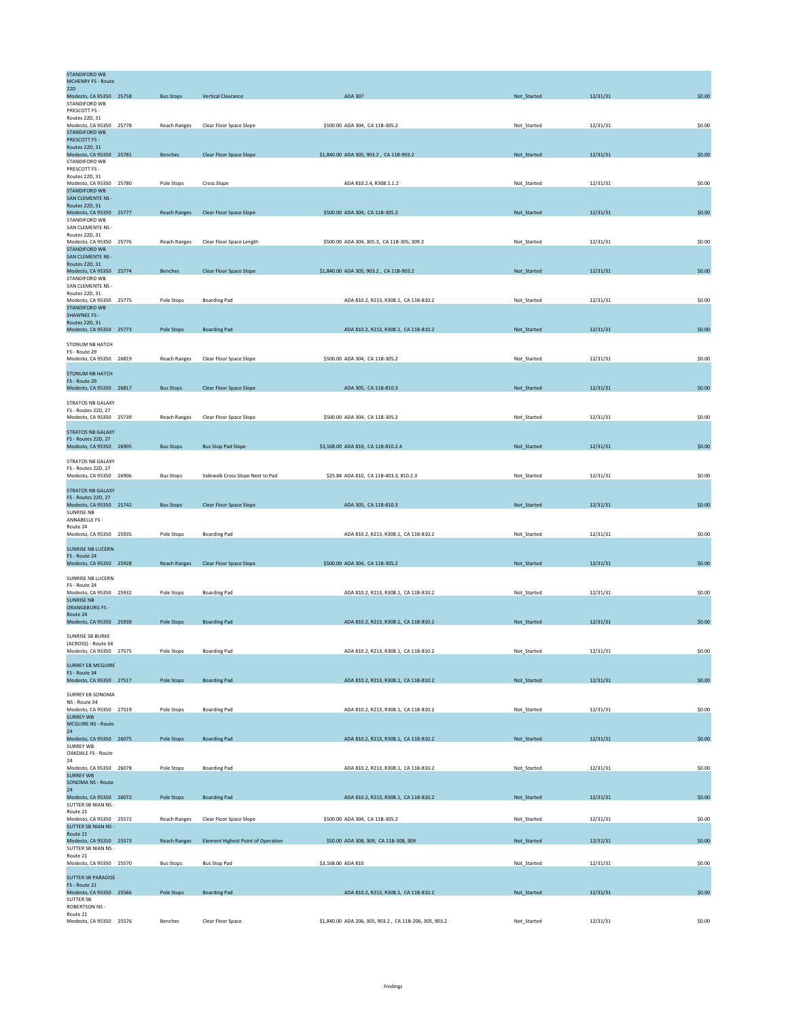| <b>STANDIFORD WB</b><br><b>MCHENRY FS - Route</b>     |                     |                                           |                                                        |             |          |        |
|-------------------------------------------------------|---------------------|-------------------------------------------|--------------------------------------------------------|-------------|----------|--------|
| <b>22D</b><br>Modesto, CA 95350 25758                 | <b>Bus Stops</b>    | <b>Vertical Clearance</b>                 | ADA 307                                                | Not_Started | 12/31/31 | \$0.00 |
| STANDIFORD WB                                         |                     |                                           |                                                        |             |          |        |
| PRESCOTT FS -<br>Routes 22D, 31                       |                     |                                           |                                                        |             |          |        |
| Modesto, CA 95350 25778<br><b>STANDIFORD WB</b>       | Reach Ranges        | Clear Floor Space Slope                   | \$500.00 ADA 304, CA 11B-305.2                         | Not_Started | 12/31/31 | \$0.00 |
| PRESCOTT FS -                                         |                     |                                           |                                                        |             |          |        |
| Routes 22D, 31<br>Modesto, CA 95350 25781             | <b>Benches</b>      | Clear Floor Space Slope                   | \$1,840.00 ADA 305, 903.2, CA 11B-903.2                | Not Started | 12/31/31 | \$0.00 |
| STANDIFORD WB<br>PRESCOTT FS -                        |                     |                                           |                                                        |             |          |        |
| Routes 22D, 31                                        |                     |                                           |                                                        |             |          |        |
| Modesto, CA 95350 25780<br><b>STANDIFORD WB</b>       | Pole Stops          | <b>Cross Slope</b>                        | ADA 810.2.4, R308.1.1.2                                | Not_Started | 12/31/31 | \$0.00 |
| SAN CLEMENTE NS -                                     |                     |                                           |                                                        |             |          |        |
| Routes 22D, 31<br>Modesto, CA 95350 25777             | <b>Reach Ranges</b> | Clear Floor Space Slope                   | \$500.00 ADA 304, CA 11B-305.2                         | Not_Started | 12/31/31 | \$0.00 |
| STANDIFORD WB<br>SAN CLEMENTE NS -                    |                     |                                           |                                                        |             |          |        |
| Routes 22D, 31                                        |                     |                                           | \$500.00 ADA 304, 305.3, CA 11B-305, 309.2             |             | 12/31/31 | \$0.00 |
| Modesto, CA 95350 25776<br><b>STANDIFORD WB</b>       | <b>Reach Ranges</b> | Clear Floor Space Length                  |                                                        | Not_Started |          |        |
| SAN CLEMENTE NS -<br>Routes 22D, 31                   |                     |                                           |                                                        |             |          |        |
| Modesto, CA 95350 25774                               | Benches             | Clear Floor Space Slope                   | \$1,840.00 ADA 305, 903.2, CA 11B-903.2                | Not_Started | 12/31/31 | \$0.00 |
| STANDIFORD WB<br>SAN CLEMENTE NS -                    |                     |                                           |                                                        |             |          |        |
| Routes 22D, 31<br>Modesto, CA 95350 25775             | Pole Stops          | <b>Boarding Pad</b>                       | ADA 810.2, R213, R308.1, CA 11B-810.2                  | Not_Started | 12/31/31 | \$0.00 |
| <b>STANDIFORD WB</b>                                  |                     |                                           |                                                        |             |          |        |
| <b>SHAWNEE FS -</b><br><b>Routes 22D, 31</b>          |                     |                                           |                                                        |             |          |        |
| Modesto, CA 95350 25773                               | Pole Stops          | <b>Boarding Pad</b>                       | ADA 810.2, R213, R308.1, CA 11B-810.2                  | Not_Started | 12/31/31 | \$0.00 |
| STONUM NB HATCH                                       |                     |                                           |                                                        |             |          |        |
| FS - Route 29<br>Modesto, CA 95350 26819              | <b>Reach Ranges</b> | Clear Floor Space Slope                   | \$500.00 ADA 304, CA 11B-305.2                         | Not_Started | 12/31/31 | \$0.00 |
|                                                       |                     |                                           |                                                        |             |          |        |
| <b>STONUM NB HATCH</b><br>FS - Route 29               |                     |                                           |                                                        |             |          |        |
| Modesto, CA 95350 26817                               | <b>Bus Stops</b>    | Clear Floor Space Slope                   | ADA 305, CA 11B-810.3                                  | Not_Started | 12/31/31 | \$0.00 |
| STRATOS NB GALAXY                                     |                     |                                           |                                                        |             |          |        |
| <b>FS - Routes 22D, 27</b><br>Modesto, CA 95350 25739 | <b>Reach Ranges</b> | Clear Floor Space Slope                   | \$500.00 ADA 304, CA 11B-305.2                         | Not Started | 12/31/31 | \$0.00 |
| <b>STRATOS NB GALAXY</b>                              |                     |                                           |                                                        |             |          |        |
| FS - Routes 22D, 27                                   |                     |                                           |                                                        |             |          |        |
| Modesto, CA 95350 26905                               | <b>Bus Stops</b>    | <b>Bus Stop Pad Slope</b>                 | \$3,168.00 ADA 810, CA 11B-810.2.4                     | Not_Started | 12/31/31 | \$0.00 |
| STRATOS NB GALAXY                                     |                     |                                           |                                                        |             |          |        |
| FS - Routes 22D, 27<br>Modesto, CA 95350 26906        | <b>Bus Stops</b>    | Sidewalk Cross Slope Next to Pad          | \$25.84 ADA 810, CA 11B-403.3, 810.2.3                 | Not_Started | 12/31/31 | \$0.00 |
| <b>STRATOS NB GALAXY</b>                              |                     |                                           |                                                        |             |          |        |
| FS - Routes 22D, 27                                   |                     |                                           |                                                        |             |          |        |
| Modesto, CA 95350 25742<br><b>SUNRISE NB</b>          | <b>Bus Stops</b>    | Clear Floor Space Slope                   | ADA 305, CA 11B-810.3                                  | Not_Started | 12/31/31 | \$0.00 |
| ANNABELLE FS -<br>Route 24                            |                     |                                           |                                                        |             |          |        |
| Modesto, CA 95350 25935                               | Pole Stops          | <b>Boarding Pad</b>                       | ADA 810.2, R213, R308.1, CA 11B-810.2                  | Not_Started | 12/31/31 | \$0.00 |
| <b>SUNRISE NB LUCERN</b>                              |                     |                                           |                                                        |             |          |        |
| FS - Route 24                                         |                     |                                           |                                                        |             |          |        |
| Modesto, CA 95350 25928                               | <b>Reach Ranges</b> | <b>Clear Floor Space Slope</b>            | \$500.00 ADA 304, CA 11B-305.2                         | Not_Started | 12/31/31 | \$0.00 |
| SUNRISE NB LUCERN<br>FS - Route 24                    |                     |                                           |                                                        |             |          |        |
| Modesto, CA 95350 25932                               | Pole Stops          | <b>Boarding Pad</b>                       | ADA 810.2, R213, R308.1, CA 11B-810.2                  | Not_Started | 12/31/31 | \$0.00 |
| <b>SUNRISE NB</b><br><b>ORANGEBURG FS-</b>            |                     |                                           |                                                        |             |          |        |
| Route 24<br>Modesto, CA 95350 25938                   | Pole Stops          | <b>Boarding Pad</b>                       | ADA 810.2, R213, R308.1, CA 11B-810.2                  | Not_Started | 12/31/31 | \$0.00 |
|                                                       |                     |                                           |                                                        |             |          |        |
| SUNRISE SB BURKE<br>(ACROSS) - Route 34               |                     |                                           |                                                        |             |          |        |
| Modesto, CA 95350 27575                               | Pole Stops          | <b>Boarding Pad</b>                       | ADA 810.2, R213, R308.1, CA 11B-810.2                  | Not_Started | 12/31/31 | \$0.00 |
| <b>SURREY EB MCGUIRE</b>                              |                     |                                           |                                                        |             |          |        |
| FS - Route 34<br>Modesto, CA 95350 27517              | Pole Stops          | <b>Boarding Pad</b>                       | ADA 810.2, R213, R308.1, CA 11B-810.2                  |             | 12/31/31 | \$0.00 |
|                                                       |                     |                                           |                                                        | Not_Started |          |        |
| SURREY EB SONOMA<br>NS - Route 34                     |                     |                                           |                                                        |             |          |        |
| Modesto, CA 95350 27519<br><b>SURREY WB</b>           | Pole Stops          | <b>Boarding Pad</b>                       | ADA 810.2, R213, R308.1, CA 11B-810.2                  | Not_Started | 12/31/31 | \$0.00 |
| <b>MCGUIRE NS - Route</b>                             |                     |                                           |                                                        |             |          |        |
| 24<br>Modesto, CA 95350 26075                         | Pole Stops          | <b>Boarding Pad</b>                       | ADA 810.2, R213, R308.1, CA 11B-810.2                  | Not_Started | 12/31/31 | \$0.00 |
| <b>SURREY WB</b>                                      |                     |                                           |                                                        |             |          |        |
| <b>OAKDALE FS - Route</b><br>24                       |                     |                                           |                                                        |             |          |        |
| Modesto, CA 95350 26078                               | Pole Stops          | <b>Boarding Pad</b>                       | ADA 810.2, R213, R308.1, CA 11B-810.2                  | Not_Started | 12/31/31 | \$0.00 |
| <b>SURREY WB</b><br>SONOMA NS - Route                 |                     |                                           |                                                        |             |          |        |
| 24<br>Modesto, CA 95350 26072                         | Pole Stops          | <b>Boarding Pad</b>                       | ADA 810.2, R213, R308.1, CA 11B-810.2                  | Not_Started | 12/31/31 | \$0.00 |
| SUTTER SB NIAN NS -                                   |                     |                                           |                                                        |             |          |        |
| Route 21<br>Modesto, CA 95350 25572                   | <b>Reach Ranges</b> | Clear Floor Space Slope                   | \$500.00 ADA 304, CA 11B-305.2                         | Not_Started | 12/31/31 | \$0.00 |
| SUTTER SB NIAN NS -                                   |                     |                                           |                                                        |             |          |        |
| Route 21<br>Modesto, CA 95350 25573                   | <b>Reach Ranges</b> | <b>Element Highest Point of Operation</b> | \$50.00 ADA 308, 309, CA 11B-308, 309                  | Not_Started | 12/31/31 | \$0.00 |
| SUTTER SB NIAN NS -<br>Route 21                       |                     |                                           |                                                        |             |          |        |
| Modesto, CA 95350 25570                               | <b>Bus Stops</b>    | <b>Bus Stop Pad</b>                       | \$3,168.00 ADA 810                                     | Not_Started | 12/31/31 | \$0.00 |
| <b>SUTTER SB PARADISE</b>                             |                     |                                           |                                                        |             |          |        |
| FS - Route 21<br>Modesto, CA 95350 25566              | Pole Stops          | <b>Boarding Pad</b>                       | ADA 810.2, R213, R308.1, CA 11B-810.2                  | Not_Started | 12/31/31 | \$0.00 |
| <b>SUTTER SB</b>                                      |                     |                                           |                                                        |             |          |        |
| <b>ROBERTSON NS -</b><br>Route 21                     |                     |                                           |                                                        |             |          |        |
| Modesto, CA 95350 25576                               | Benches             | Clear Floor Space                         | \$1,840.00 ADA 206, 305, 903.2, CA 11B-206, 305, 903.2 | Not_Started | 12/31/31 | \$0.00 |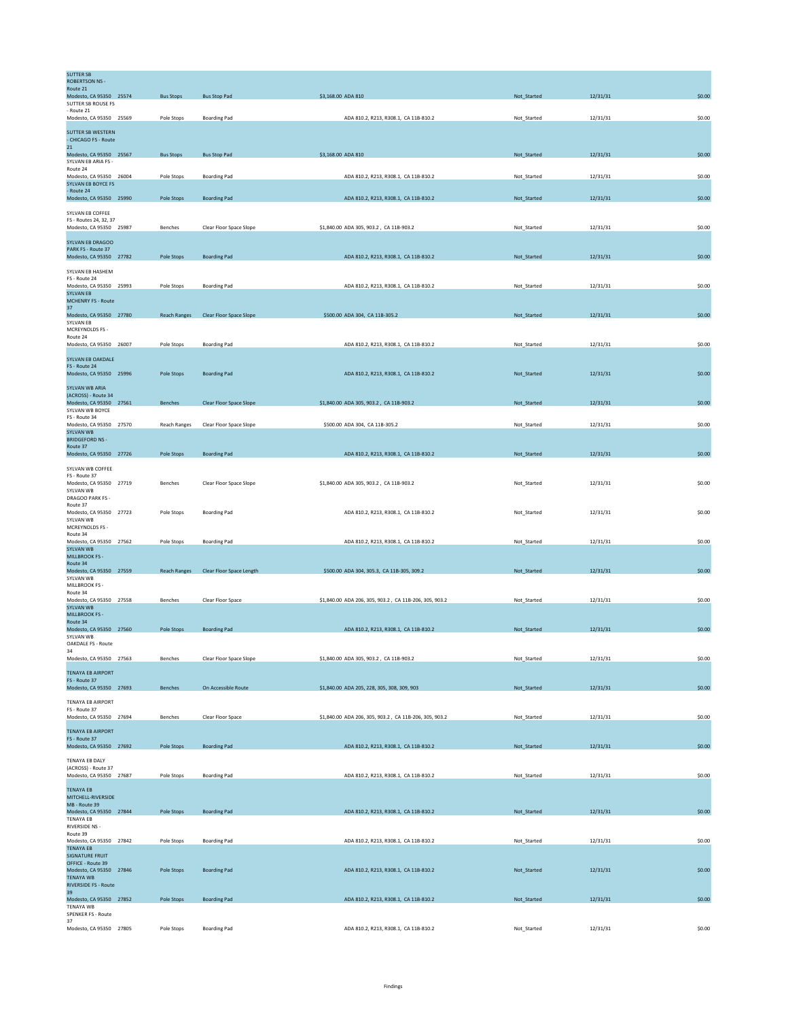| <b>SUTTER SB</b><br><b>ROBERTSON NS -</b>              |                     |                          |                                                        |             |          |        |
|--------------------------------------------------------|---------------------|--------------------------|--------------------------------------------------------|-------------|----------|--------|
| Route 21                                               |                     |                          |                                                        |             |          | \$0.00 |
| Modesto, CA 95350 25574<br>SUTTER SB ROUSE FS          | <b>Bus Stops</b>    | <b>Bus Stop Pad</b>      | \$3,168.00 ADA 810                                     | Not_Started | 12/31/31 |        |
| - Route 21                                             |                     |                          |                                                        |             |          |        |
| Modesto, CA 95350 25569                                | Pole Stops          | <b>Boarding Pad</b>      | ADA 810.2, R213, R308.1, CA 11B-810.2                  | Not_Started | 12/31/31 | \$0.00 |
| <b>SUTTER SB WESTERN</b><br>- CHICAGO FS - Route<br>21 |                     |                          |                                                        |             |          |        |
| Modesto, CA 95350 25567                                | <b>Bus Stops</b>    | <b>Bus Stop Pad</b>      | \$3,168.00 ADA 810                                     | Not_Started | 12/31/31 | \$0.00 |
| SYIVAN FR ARIA FS -<br>Route 24                        |                     |                          |                                                        |             |          |        |
| Modesto, CA 95350 26004                                | Pole Stops          | <b>Boarding Pad</b>      | ADA 810.2, R213, R308.1, CA 11B-810.2                  | Not_Started | 12/31/31 | \$0.00 |
| SYLVAN EB BOYCE FS<br>- Route 24                       |                     |                          |                                                        |             |          |        |
| Modesto, CA 95350 25990                                | Pole Stops          | <b>Boarding Pad</b>      | ADA 810.2, R213, R308.1, CA 11B-810.2                  | Not_Started | 12/31/31 | \$0.00 |
| SYLVAN EB COFFEE                                       |                     |                          |                                                        |             |          |        |
| FS - Routes 24, 32, 37                                 |                     |                          |                                                        |             |          |        |
| Modesto, CA 95350 25987                                | Benches             | Clear Floor Space Slope  | \$1,840.00 ADA 305, 903.2, CA 11B-903.2                | Not Started | 12/31/31 | \$0.00 |
| <b>SYLVAN EB DRAGOO</b>                                |                     |                          |                                                        |             |          |        |
| PARK FS - Route 37<br>Modesto, CA 95350 27782          | Pole Stops          | <b>Boarding Pad</b>      | ADA 810.2, R213, R308.1, CA 11B-810.2                  | Not_Started | 12/31/31 | \$0.00 |
|                                                        |                     |                          |                                                        |             |          |        |
| SYLVAN EB HASHEM<br>FS - Route 24                      |                     |                          |                                                        |             |          |        |
| Modesto, CA 95350 25993                                | Pole Stops          | <b>Boarding Pad</b>      | ADA 810.2, R213, R308.1, CA 11B-810.2                  | Not_Started | 12/31/31 | \$0.00 |
| <b>SYLVAN EB</b><br><b>MCHENRY FS - Route</b>          |                     |                          |                                                        |             |          |        |
| 37                                                     |                     |                          |                                                        |             |          |        |
| Modesto, CA 95350 27780<br><b>SYLVAN EB</b>            | <b>Reach Ranges</b> | Clear Floor Space Slope  | \$500.00 ADA 304, CA 11B-305.2                         | Not_Started | 12/31/31 | \$0.00 |
| MCREYNOLDS FS -<br>Route 24                            |                     |                          |                                                        |             |          |        |
| Modesto, CA 95350 26007                                | Pole Stops          | <b>Boarding Pad</b>      | ADA 810.2, R213, R308.1, CA 11B-810.2                  | Not_Started | 12/31/31 | \$0.00 |
| SYLVAN EB OAKDALE                                      |                     |                          |                                                        |             |          |        |
| FS - Route 24                                          |                     |                          |                                                        |             |          |        |
| Modesto, CA 95350 25996                                | Pole Stops          | <b>Boarding Pad</b>      | ADA 810.2, R213, R308.1, CA 11B-810.2                  | Not_Started | 12/31/31 | \$0.00 |
| SYLVAN WB ARIA                                         |                     |                          |                                                        |             |          |        |
| (ACROSS) - Route 34<br>Modesto, CA 95350 27561         | Benches             | Clear Floor Space Slope  | \$1,840.00 ADA 305, 903.2, CA 11B-903.2                | Not_Started | 12/31/31 | \$0.00 |
| SYLVAN WB BOYCE                                        |                     |                          |                                                        |             |          |        |
| FS - Route 34                                          |                     |                          |                                                        |             |          |        |
| Modesto, CA 95350 27570<br><b>SYLVAN WB</b>            | <b>Reach Ranges</b> | Clear Floor Space Slope  | \$500.00 ADA 304, CA 11B-305.2                         | Not_Started | 12/31/31 | \$0.00 |
| <b>BRIDGEFORD NS -</b>                                 |                     |                          |                                                        |             |          |        |
| Route 37<br>Modesto, CA 95350 27726                    | Pole Stops          | <b>Boarding Pad</b>      | ADA 810.2, R213, R308.1, CA 11B-810.2                  | Not_Started | 12/31/31 | \$0.00 |
| SYLVAN WB COFFEE                                       |                     |                          |                                                        |             |          |        |
| FS - Route 37                                          |                     |                          |                                                        |             |          |        |
| Modesto, CA 95350 27719                                | Benches             | Clear Floor Space Slope  | \$1,840.00 ADA 305, 903.2, CA 11B-903.2                | Not_Started | 12/31/31 | \$0.00 |
| SYLVAN WB<br>DRAGOO PARK FS -                          |                     |                          |                                                        |             |          |        |
| Route 37                                               |                     |                          |                                                        |             |          |        |
| Modesto, CA 95350 27723<br>SYLVAN WB                   | Pole Stops          | <b>Boarding Pad</b>      | ADA 810.2, R213, R308.1, CA 11B-810.2                  | Not_Started | 12/31/31 | \$0.00 |
| MCREYNOLDS FS -                                        |                     |                          |                                                        |             |          |        |
| Route 34<br>Modesto, CA 95350 27562                    | Pole Stops          | <b>Boarding Pad</b>      | ADA 810.2, R213, R308.1, CA 11B-810.2                  | Not_Started | 12/31/31 | \$0.00 |
| <b>SYLVAN WB</b>                                       |                     |                          |                                                        |             |          |        |
| <b>MILLBROOK FS -</b><br>Route 34                      |                     |                          |                                                        |             |          |        |
| Modesto, CA 95350 27559                                | <b>Reach Ranges</b> | Clear Floor Space Length | \$500.00 ADA 304, 305.3, CA 11B-305, 309.2             | Not_Started | 12/31/31 | \$0.00 |
| SYLVAN WB<br>MILLBROOK FS -                            |                     |                          |                                                        |             |          |        |
| Route 34<br>Modesto, CA 95350 27558                    | Benches             |                          |                                                        |             | 12/31/31 | \$0.00 |
| <b>SYLVAN WB</b>                                       |                     | Clear Floor Space        | \$1,840.00 ADA 206, 305, 903.2, CA 11B-206, 305, 903.2 | Not Started |          |        |
| <b>MILLBROOK FS -</b><br>Route 34                      |                     |                          |                                                        |             |          |        |
| Modesto, CA 95350 27560                                | Pole Stops          | <b>Boarding Pad</b>      | ADA 810.2, R213, R308.1, CA 11B-810.2                  | Not_Started | 12/31/31 | \$0.00 |
| SYLVAN WB<br>OAKDALE FS - Route                        |                     |                          |                                                        |             |          |        |
| 34                                                     |                     |                          |                                                        |             |          |        |
| Modesto, CA 95350 27563                                | Benches             | Clear Floor Space Slope  | \$1,840.00 ADA 305, 903.2, CA 11B-903.2                | Not_Started | 12/31/31 | \$0.00 |
| <b>TENAYA EB AIRPORT</b>                               |                     |                          |                                                        |             |          |        |
| FS - Route 37<br>Modesto, CA 95350 27693               | Benches             | On Accessible Route      | \$1,840.00 ADA 205, 228, 305, 308, 309, 903            | Not_Started | 12/31/31 | \$0.00 |
|                                                        |                     |                          |                                                        |             |          |        |
| <b>TENAYA EB AIRPORT</b><br>FS - Route 37              |                     |                          |                                                        |             |          |        |
| Modesto, CA 95350 27694                                | Benches             | Clear Floor Space        | \$1,840.00 ADA 206, 305, 903.2, CA 11B-206, 305, 903.2 | Not_Started | 12/31/31 | \$0.00 |
| <b>TENAYA EB AIRPORT</b>                               |                     |                          |                                                        |             |          |        |
| FS - Route 37                                          |                     |                          |                                                        |             |          |        |
| Modesto, CA 95350 27692                                | Pole Stops          | <b>Boarding Pad</b>      | ADA 810.2, R213, R308.1, CA 11B-810.2                  | Not_Started | 12/31/31 | \$0.00 |
| TENAYA EB DALY                                         |                     |                          |                                                        |             |          |        |
| (ACROSS) - Route 37<br>Modesto, CA 95350 27687         | Pole Stops          | <b>Boarding Pad</b>      | ADA 810.2, R213, R308.1, CA 11B-810.2                  | Not_Started | 12/31/31 | \$0.00 |
|                                                        |                     |                          |                                                        |             |          |        |
| <b>TENAYA EB</b><br>MITCHELL-RIVERSIDE                 |                     |                          |                                                        |             |          |        |
| MB - Route 39                                          |                     |                          |                                                        |             |          |        |
| Modesto, CA 95350 27844<br><b>TENAYA EB</b>            | Pole Stops          | <b>Boarding Pad</b>      | ADA 810.2, R213, R308.1, CA 11B-810.2                  | Not_Started | 12/31/31 | \$0.00 |
| RIVERSIDE NS -                                         |                     |                          |                                                        |             |          |        |
| Route 39                                               |                     |                          |                                                        |             |          |        |
| Modesto, CA 95350 27842<br><b>TENAYA EB</b>            | Pole Stops          | <b>Boarding Pad</b>      | ADA 810.2, R213, R308.1, CA 11B-810.2                  | Not_Started | 12/31/31 | \$0.00 |
| <b>SIGNATURE FRUIT</b>                                 |                     |                          |                                                        |             |          |        |
| OFFICE - Route 39<br>Modesto, CA 95350 27846           | Pole Stops          | <b>Boarding Pad</b>      | ADA 810.2, R213, R308.1, CA 11B-810.2                  | Not_Started | 12/31/31 | \$0.00 |
| <b>TENAYA WB</b>                                       |                     |                          |                                                        |             |          |        |
| RIVERSIDE FS - Route<br>39                             |                     |                          |                                                        |             |          |        |
| Modesto, CA 95350 27852                                | Pole Stops          | <b>Boarding Pad</b>      | ADA 810.2, R213, R308.1, CA 11B-810.2                  | Not_Started | 12/31/31 | \$0.00 |
| <b>TENAYA WB</b><br><b>SPENKER FS - Route</b>          |                     |                          |                                                        |             |          |        |
| 37                                                     |                     |                          |                                                        |             |          |        |
| Modesto, CA 95350 27805                                | Pole Stops          | <b>Boarding Pad</b>      | ADA 810.2, R213, R308.1, CA 11B-810.2                  | Not_Started | 12/31/31 | \$0.00 |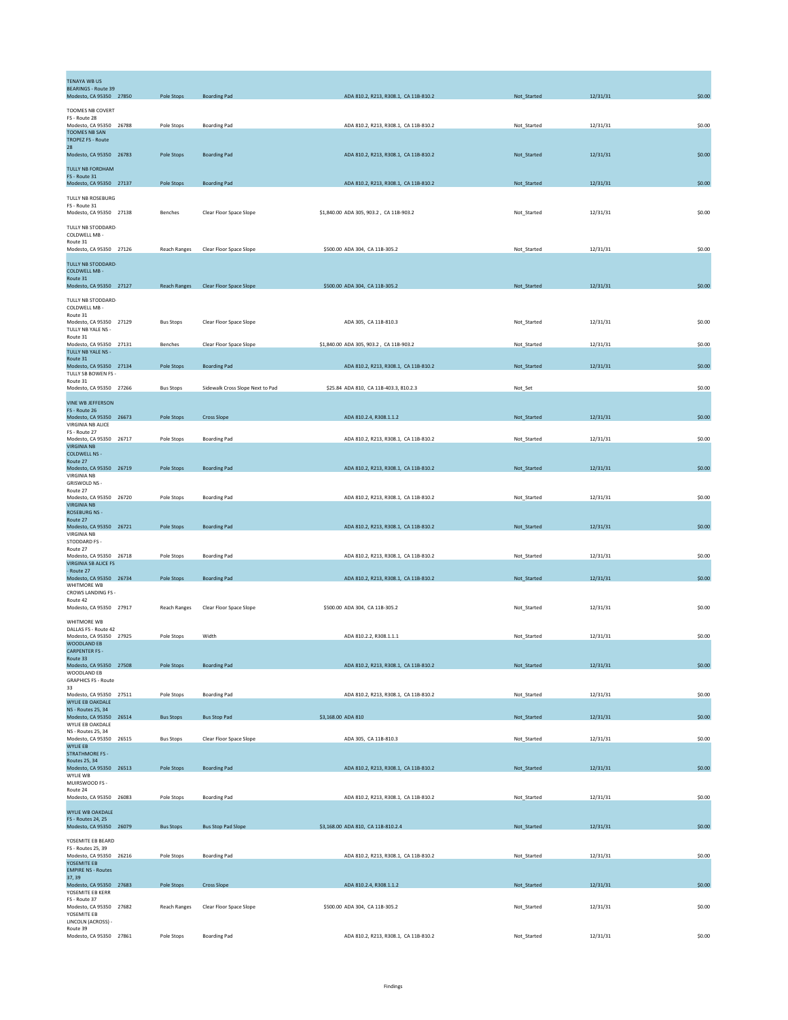| TENAYA WB US                                           |                     |                                  |                                         |             |          |        |
|--------------------------------------------------------|---------------------|----------------------------------|-----------------------------------------|-------------|----------|--------|
| <b>BEARINGS - Route 39</b><br>Modesto, CA 95350 27850  | Pole Stops          | <b>Boarding Pad</b>              | ADA 810.2, R213, R308.1, CA 11B-810.2   | Not_Started | 12/31/31 | \$0.00 |
|                                                        |                     |                                  |                                         |             |          |        |
| TOOMES NB COVERT<br>FS - Route 28                      |                     |                                  |                                         |             |          |        |
| Modesto, CA 95350 26788<br><b>TOOMES NB SAN</b>        | Pole Stops          | <b>Boarding Pad</b>              | ADA 810.2, R213, R308.1, CA 11B-810.2   | Not_Started | 12/31/31 | \$0.00 |
| <b>TROPEZ FS - Route</b>                               |                     |                                  |                                         |             |          |        |
| 28<br>Modesto, CA 95350 26783                          | Pole Stops          | <b>Boarding Pad</b>              | ADA 810.2, R213, R308.1, CA 11B-810.2   | Not_Started | 12/31/31 | \$0.00 |
| TULLY NB FORDHAM                                       |                     |                                  |                                         |             |          |        |
| FS - Route 31                                          |                     |                                  |                                         |             |          |        |
| Modesto, CA 95350 27137                                | Pole Stops          | <b>Boarding Pad</b>              | ADA 810.2, R213, R308.1, CA 11B-810.2   | Not_Started | 12/31/31 | \$0.00 |
| TULLY NB ROSEBURG                                      |                     |                                  |                                         |             |          |        |
| FS - Route 31<br>Modesto, CA 95350 27138               | Benches             | Clear Floor Space Slope          | \$1,840.00 ADA 305, 903.2, CA 11B-903.2 | Not_Started | 12/31/31 | \$0.00 |
| TULLY NB STODDARD-                                     |                     |                                  |                                         |             |          |        |
| COLDWELL MB -                                          |                     |                                  |                                         |             |          |        |
| Route 31<br>Modesto, CA 95350 27126                    | <b>Reach Ranges</b> | Clear Floor Space Slope          | \$500.00 ADA 304, CA 11B-305.2          | Not_Started | 12/31/31 | \$0.00 |
| TULLY NB STODDARD-                                     |                     |                                  |                                         |             |          |        |
| <b>COLDWELL MB -</b>                                   |                     |                                  |                                         |             |          |        |
| Route 31<br>Modesto, CA 95350 27127                    | <b>Reach Ranges</b> | Clear Floor Space Slope          | \$500.00 ADA 304, CA 11B-305.2          | Not_Started | 12/31/31 | \$0.00 |
|                                                        |                     |                                  |                                         |             |          |        |
| TULLY NB STODDARD-<br>COLDWELL MB -                    |                     |                                  |                                         |             |          |        |
| Route 31<br>Modesto, CA 95350 27129                    | <b>Bus Stops</b>    | Clear Floor Space Slope          | ADA 305, CA 11B-810.3                   | Not Started | 12/31/31 | \$0.00 |
| TULLY NB YALE NS -                                     |                     |                                  |                                         |             |          |        |
| Route 31<br>Modesto, CA 95350 27131                    | Benches             | Clear Floor Space Slope          | \$1,840.00 ADA 305, 903.2, CA 11B-903.2 | Not_Started | 12/31/31 | \$0.00 |
| TULLY NB YALE NS -                                     |                     |                                  |                                         |             |          |        |
| Route 31<br>Modesto, CA 95350 27134                    | Pole Stops          | <b>Boarding Pad</b>              | ADA 810.2, R213, R308.1, CA 11B-810.2   | Not_Started | 12/31/31 | \$0.00 |
| TULLY SB BOWEN FS -                                    |                     |                                  |                                         |             |          |        |
| Route 31<br>Modesto, CA 95350 27266                    | <b>Bus Stops</b>    | Sidewalk Cross Slope Next to Pad | \$25.84 ADA 810, CA 11B-403.3, 810.2.3  | Not_Set     |          | \$0.00 |
| <b>VINE WB JEFFERSON</b>                               |                     |                                  |                                         |             |          |        |
| FS - Route 26                                          |                     |                                  |                                         |             |          |        |
| Modesto, CA 95350 26673<br>VIRGINIA NB ALICE           | Pole Stops          | <b>Cross Slope</b>               | ADA 810.2.4, R308.1.1.2                 | Not_Started | 12/31/31 | \$0.00 |
| FS - Route 27                                          |                     |                                  |                                         |             |          |        |
| Modesto, CA 95350 26717<br><b>VIRGINIA NB</b>          | Pole Stops          | <b>Boarding Pad</b>              | ADA 810.2, R213, R308.1, CA 11B-810.2   | Not_Started | 12/31/31 | \$0.00 |
| <b>COLDWELL NS -</b>                                   |                     |                                  |                                         |             |          |        |
| Route 27<br>Modesto, CA 95350 26719                    | Pole Stops          | <b>Boarding Pad</b>              | ADA 810.2, R213, R308.1, CA 11B-810.2   | Not_Started | 12/31/31 | \$0.00 |
| VIRGINIA NB                                            |                     |                                  |                                         |             |          |        |
| GRISWOLD NS -<br>Route 27                              |                     |                                  |                                         |             |          |        |
| Modesto, CA 95350 26720<br><b>VIRGINIA NB</b>          | Pole Stops          | <b>Boarding Pad</b>              | ADA 810.2, R213, R308.1, CA 11B-810.2   | Not_Started | 12/31/31 | \$0.00 |
| <b>ROSEBURG NS -</b>                                   |                     |                                  |                                         |             |          |        |
| Route 27<br>Modesto, CA 95350 26721                    | Pole Stops          | <b>Boarding Pad</b>              | ADA 810.2, R213, R308.1, CA 11B-810.2   | Not_Started | 12/31/31 | \$0.00 |
| <b>VIRGINIA NB</b>                                     |                     |                                  |                                         |             |          |        |
| STODDARD FS -<br>Route 27                              |                     |                                  |                                         |             |          |        |
| Modesto, CA 95350 26718<br><b>VIRGINIA SB ALICE FS</b> | Pole Stops          | <b>Boarding Pad</b>              | ADA 810.2, R213, R308.1, CA 11B-810.2   | Not_Started | 12/31/31 | \$0.00 |
| - Route 27                                             |                     |                                  |                                         |             |          |        |
| Modesto, CA 95350 26734<br>WHITMORE WB                 | Pole Stops          | <b>Boarding Pad</b>              | ADA 810.2, R213, R308.1, CA 11B-810.2   | Not_Started | 12/31/31 | \$0.00 |
| CROWS LANDING FS -                                     |                     |                                  |                                         |             |          |        |
| Route 42<br>Modesto, CA 95350 27917                    | <b>Reach Ranges</b> | Clear Floor Space Slope          | \$500.00 ADA 304, CA 11B-305.2          | Not_Started | 12/31/31 | \$0.00 |
| WHITMORE WB                                            |                     |                                  |                                         |             |          |        |
| DALLAS ES - Route 42                                   |                     |                                  |                                         |             |          |        |
| Modesto, CA 95350 27925<br>WOODLAND EB                 | Pole Stops          | Width                            | ADA 810.2.2, R308.1.1.1                 | Not_Started | 12/31/31 | \$0.00 |
| <b>CARPENTER FS-</b>                                   |                     |                                  |                                         |             |          |        |
| Route 33<br>Modesto, CA 95350 27508                    | Pole Stops          | <b>Boarding Pad</b>              | ADA 810.2, R213, R308.1, CA 11B-810.2   | Not_Started | 12/31/31 | \$0.00 |
| WOODLAND EB<br><b>GRAPHICS FS - Route</b>              |                     |                                  |                                         |             |          |        |
| 33                                                     |                     |                                  |                                         |             |          |        |
| Modesto, CA 95350 27511<br>WYLIE EB OAKDALE            | Pole Stops          | <b>Boarding Pad</b>              | ADA 810.2, R213, R308.1, CA 11B-810.2   | Not_Started | 12/31/31 | \$0.00 |
| <b>NS - Routes 25, 34</b>                              |                     |                                  |                                         |             |          |        |
| Modesto, CA 95350 26514<br>WYLIE EB OAKDALE            | <b>Bus Stops</b>    | <b>Bus Stop Pad</b>              | \$3,168.00 ADA 810                      | Not_Started | 12/31/31 | \$0.00 |
| NS - Routes 25, 34                                     |                     | Clear Floor Space Slope          | ADA 305, CA 11B-810.3                   |             |          |        |
| Modesto, CA 95350 26515<br><b>WYLIE EB</b>             | <b>Bus Stops</b>    |                                  |                                         | Not_Started | 12/31/31 | \$0.00 |
| <b>STRATHMORE FS -</b><br>Routes 25, 34                |                     |                                  |                                         |             |          |        |
| Modesto, CA 95350 26513                                | Pole Stops          | <b>Boarding Pad</b>              | ADA 810.2, R213, R308.1, CA 11B-810.2   | Not_Started | 12/31/31 | \$0.00 |
| WYLIE WB<br>MUIRSWOOD FS -                             |                     |                                  |                                         |             |          |        |
| Route 24                                               |                     |                                  |                                         |             |          |        |
| Modesto, CA 95350 26083                                | Pole Stops          | <b>Boarding Pad</b>              | ADA 810.2, R213, R308.1, CA 11B-810.2   | Not_Started | 12/31/31 | \$0.00 |
| WYLIE WB OAKDALE<br>FS - Routes 24, 25                 |                     |                                  |                                         |             |          |        |
| Modesto, CA 95350 26079                                | <b>Bus Stops</b>    | <b>Bus Stop Pad Slope</b>        | \$3,168.00 ADA 810, CA 11B-810.2.4      | Not_Started | 12/31/31 | \$0.00 |
| YOSEMITE EB BEARD                                      |                     |                                  |                                         |             |          |        |
| FS - Routes 25, 39                                     |                     |                                  |                                         |             |          |        |
| Modesto, CA 95350 26216<br>YOSEMITE EB                 | Pole Stops          | <b>Boarding Pad</b>              | ADA 810.2, R213, R308.1, CA 11B-810.2   | Not_Started | 12/31/31 | \$0.00 |
| <b>EMPIRE NS - Routes</b>                              |                     |                                  |                                         |             |          |        |
| 37, 39<br>Modesto, CA 95350 27683                      | Pole Stops          | <b>Cross Slope</b>               | ADA 810.2.4, R308.1.1.2                 | Not_Started | 12/31/31 | \$0.00 |
| YOSEMITE EB KERR<br>FS - Route 37                      |                     |                                  |                                         |             |          |        |
| Modesto, CA 95350 27682                                | <b>Reach Ranges</b> | Clear Floor Space Slope          | \$500.00 ADA 304, CA 11B-305.2          | Not_Started | 12/31/31 | \$0.00 |
| YOSEMITE EB<br>LINCOLN (ACROSS) -                      |                     |                                  |                                         |             |          |        |
| Route 39<br>Modesto, CA 95350 27861                    |                     |                                  | ADA 810.2, R213, R308.1, CA 11B-810.2   |             | 12/31/31 |        |
|                                                        | Pole Stops          | <b>Boarding Pad</b>              |                                         | Not_Started |          | \$0.00 |